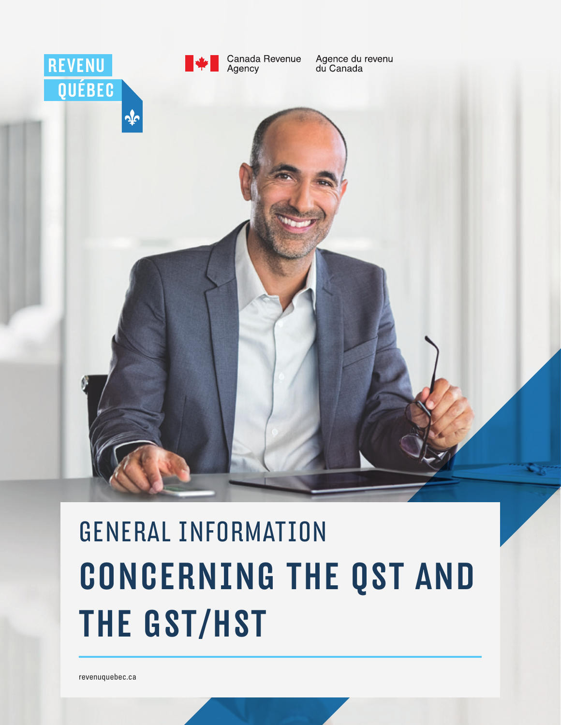

# GENERAL INFORMATION CONCERNING THE QST AND THE GST/HST

[revenuquebec.ca](http://www.revenuquebec.ca)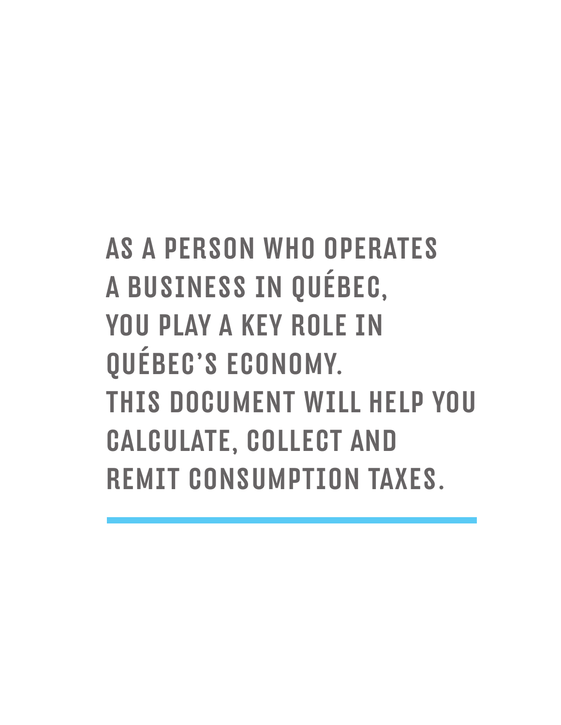# AS A PERSON WHO OPERATES A BUSINESS IN QUÉBEC, YOU PLAY A KEY ROLE IN QUÉBEC'S ECONOMY. THIS DOCUMENT WILL HELP YOU CALCULATE, COLLECT AND REMIT CONSUMPTION TAXES.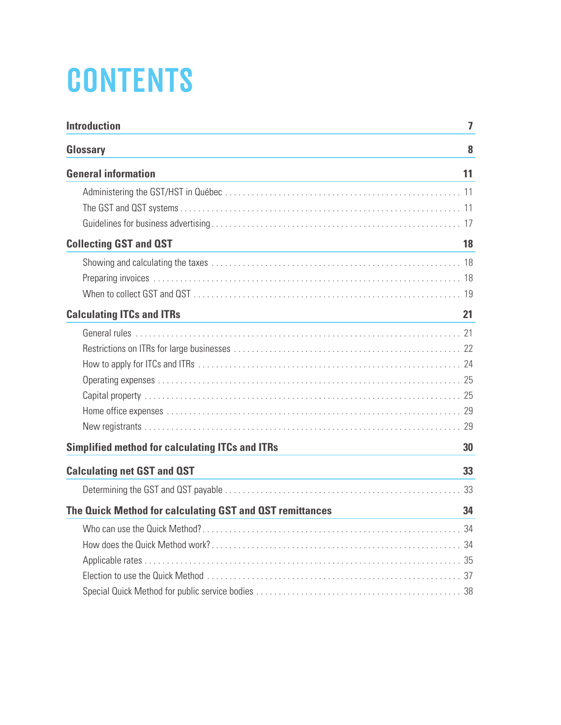# **CONTENTS**

| <b>Introduction</b>                                      | $\overline{I}$ |
|----------------------------------------------------------|----------------|
| Glossary                                                 | 8              |
| <b>General information</b>                               | 11             |
|                                                          |                |
|                                                          |                |
|                                                          |                |
| <b>Collecting GST and QST</b>                            | 18             |
|                                                          |                |
|                                                          |                |
|                                                          |                |
| <b>Calculating ITCs and ITRs</b>                         | 21             |
|                                                          |                |
|                                                          |                |
|                                                          |                |
|                                                          |                |
|                                                          |                |
|                                                          |                |
|                                                          |                |
| <b>Simplified method for calculating ITCs and ITRs</b>   | 30             |
| <b>Calculating net GST and QST</b>                       | 33             |
|                                                          |                |
| The Quick Method for calculating GST and QST remittances | 34             |
|                                                          |                |
|                                                          |                |
|                                                          |                |
|                                                          |                |
|                                                          |                |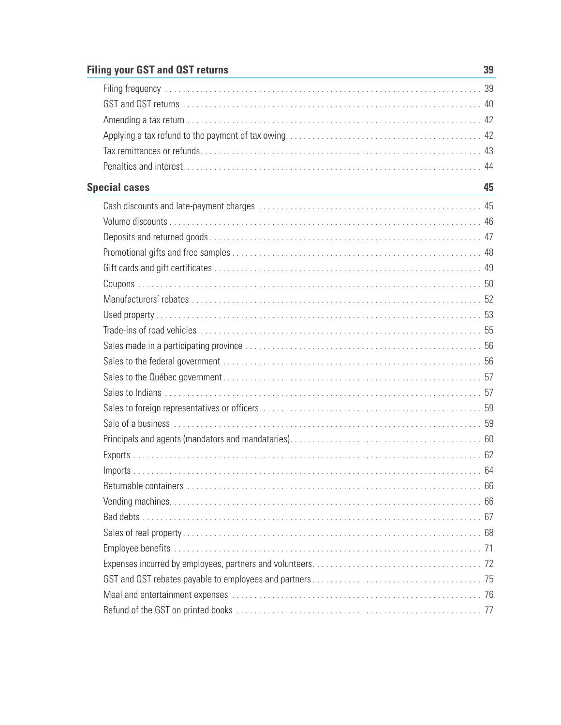# **Filing your GST and QST returns**

| <b>Special cases</b> | 45 |
|----------------------|----|
|                      |    |
|                      |    |
|                      |    |
|                      |    |
|                      |    |
|                      |    |
|                      |    |
|                      |    |
|                      |    |
|                      |    |
|                      |    |
|                      |    |
|                      |    |
|                      |    |
|                      |    |
|                      |    |
|                      |    |
|                      |    |
|                      |    |
|                      |    |
|                      |    |
|                      |    |
|                      |    |
|                      |    |
|                      |    |
|                      |    |
|                      |    |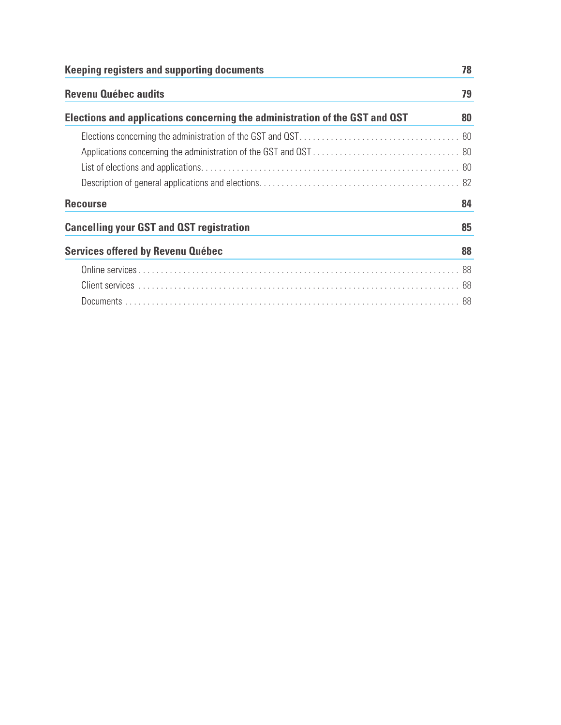| <b>Keeping registers and supporting documents</b>                           | 78 |
|-----------------------------------------------------------------------------|----|
| <b>Revenu Québec audits</b>                                                 | 79 |
| Elections and applications concerning the administration of the GST and QST | 80 |
|                                                                             |    |
|                                                                             |    |
|                                                                             |    |
|                                                                             |    |
| <b>Recourse</b>                                                             | 84 |
| <b>Cancelling your GST and QST registration</b>                             | 85 |
| <b>Services offered by Revenu Québec</b>                                    | 88 |
|                                                                             |    |
|                                                                             |    |
|                                                                             |    |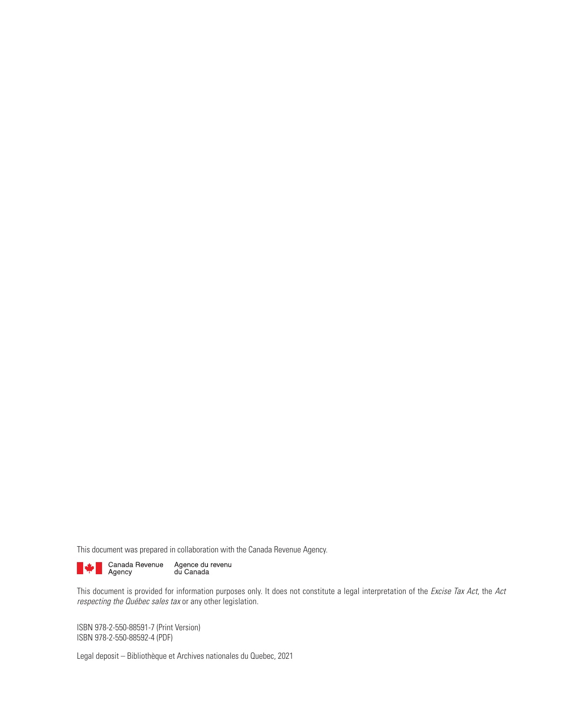This document was prepared in collaboration with the Canada Revenue Agency.

Agence du revenu<br>du Canada Canada Revenue<br>Agency

This document is provided for information purposes only. It does not constitute a legal interpretation of the Excise Tax Act, the Act respecting the Québec sales tax or any other legislation.

ISBN 978-2-550-88591-7 (Print Version) ISBN 978-2-550-88592-4 (PDF)

Legal deposit – Bibliothèque et Archives nationales du Quebec, 2021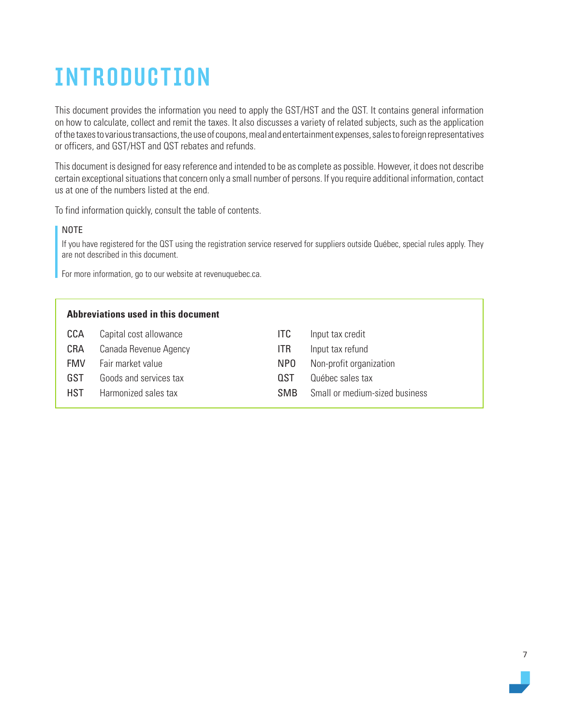# <span id="page-6-0"></span>INTRODUCTION

This document provides the information you need to apply the GST/HST and the QST. It contains general information on how to calculate, collect and remit the taxes. It also discusses a variety of related subjects, such as the application of the taxes to various transactions, the use of coupons, meal and entertainment expenses, sales to foreign representatives or officers, and GST/HST and QST rebates and refunds.

This document is designed for easy reference and intended to be as complete as possible. However, it does not describe certain exceptional situations that concern only a small number of persons. If you require additional information, contact us at one of the numbers listed at the end.

To find information quickly, consult the table of contents.

#### NOTE

If you have registered for the QST using the registration service reserved for suppliers outside Québec, special rules apply. They are not described in this document.

For more information, go to our website at revenuquebec.ca.

|            | Abbreviations used in this document |                 |                                |
|------------|-------------------------------------|-----------------|--------------------------------|
| CCA        | Capital cost allowance              | ITC             | Input tax credit               |
| <b>CRA</b> | Canada Revenue Agency               | ITR             | Input tax refund               |
| <b>FMV</b> | Fair market value                   | NP <sub>0</sub> | Non-profit organization        |
| GST        | Goods and services tax              | 0.ST            | Québec sales tax               |
| <b>HST</b> | Harmonized sales tax                | <b>SMB</b>      | Small or medium-sized business |
|            |                                     |                 |                                |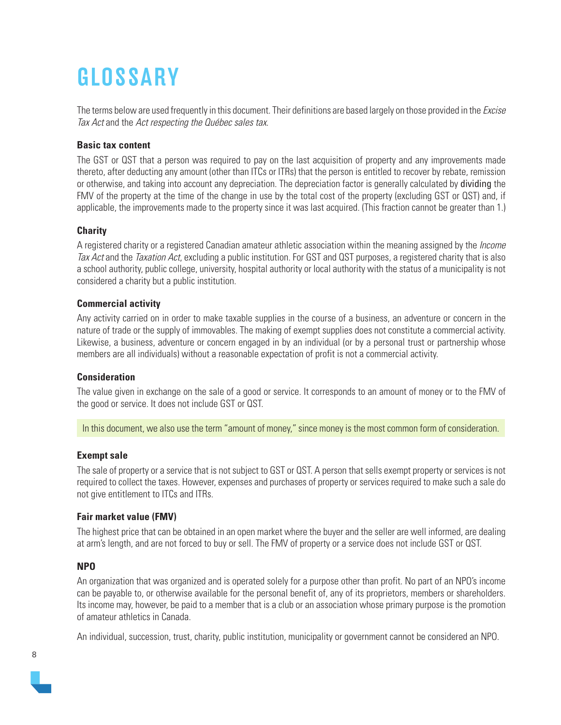# <span id="page-7-0"></span>**GLOSSARY**

The terms below are used frequently in this document. Their definitions are based largely on those provided in the *Excise* Tax Act and the Act respecting the Québec sales tax.

#### **Basic tax content**

The GST or QST that a person was required to pay on the last acquisition of property and any improvements made thereto, after deducting any amount (other than ITCs or ITRs) that the person is entitled to recover by rebate, remission or otherwise, and taking into account any depreciation. The depreciation factor is generally calculated by dividing the FMV of the property at the time of the change in use by the total cost of the property (excluding GST or QST) and, if applicable, the improvements made to the property since it was last acquired. (This fraction cannot be greater than 1.)

#### **Charity**

A registered charity or a registered Canadian amateur athletic association within the meaning assigned by the *Income* Tax Act and the Taxation Act, excluding a public institution. For GST and QST purposes, a registered charity that is also a school authority, public college, university, hospital authority or local authority with the status of a municipality is not considered a charity but a public institution.

#### **Commercial activity**

Any activity carried on in order to make taxable supplies in the course of a business, an adventure or concern in the nature of trade or the supply of immovables. The making of exempt supplies does not constitute a commercial activity. Likewise, a business, adventure or concern engaged in by an individual (or by a personal trust or partnership whose members are all individuals) without a reasonable expectation of profit is not a commercial activity.

#### **Consideration**

The value given in exchange on the sale of a good or service. It corresponds to an amount of money or to the FMV of the good or service. It does not include GST or QST.

In this document, we also use the term "amount of money," since money is the most common form of consideration.

#### **Exempt sale**

The sale of property or a service that is not subject to GST or QST. A person that sells exempt property or services is not required to collect the taxes. However, expenses and purchases of property or services required to make such a sale do not give entitlement to ITCs and ITRs.

## **Fair market value (FMV)**

The highest price that can be obtained in an open market where the buyer and the seller are well informed, are dealing at arm's length, and are not forced to buy or sell. The FMV of property or a service does not include GST or QST.

## **NPO**

An organization that was organized and is operated solely for a purpose other than profit. No part of an NPO's income can be payable to, or otherwise available for the personal benefit of, any of its proprietors, members or shareholders. Its income may, however, be paid to a member that is a club or an association whose primary purpose is the promotion of amateur athletics in Canada.

An individual, succession, trust, charity, public institution, municipality or government cannot be considered an NPO.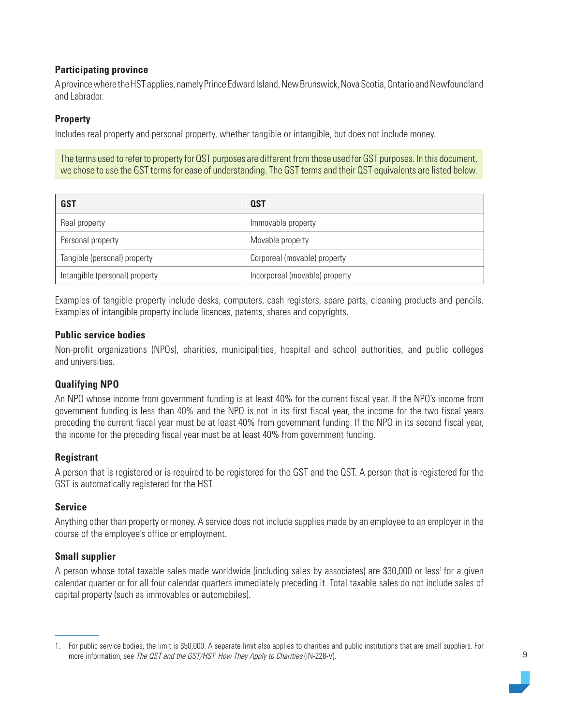#### **Participating province**

A province where the HST applies, namely Prince Edward Island, New Brunswick, Nova Scotia, Ontario and Newfoundland and Labrador.

#### **Property**

Includes real property and personal property, whether tangible or intangible, but does not include money.

The terms used to refer to property for QST purposes are different from those used for GST purposes. In this document, we chose to use the GST terms for ease of understanding. The GST terms and their QST equivalents are listed below.

| <b>GST</b>                     | <b>QST</b>                     |
|--------------------------------|--------------------------------|
| Real property                  | Immovable property             |
| Personal property              | Movable property               |
| Tangible (personal) property   | Corporeal (movable) property   |
| Intangible (personal) property | Incorporeal (movable) property |

Examples of tangible property include desks, computers, cash registers, spare parts, cleaning products and pencils. Examples of intangible property include licences, patents, shares and copyrights.

#### **Public service bodies**

Non-profit organizations (NPOs), charities, municipalities, hospital and school authorities, and public colleges and universities.

#### **Qualifying NPO**

An NPO whose income from government funding is at least 40% for the current fiscal year. If the NPO's income from government funding is less than 40% and the NPO is not in its first fiscal year, the income for the two fiscal years preceding the current fiscal year must be at least 40% from government funding. If the NPO in its second fiscal year, the income for the preceding fiscal year must be at least 40% from government funding.

#### **Registrant**

A person that is registered or is required to be registered for the GST and the QST. A person that is registered for the GST is automatically registered for the HST.

#### **Service**

Anything other than property or money. A service does not include supplies made by an employee to an employer in the course of the employee's office or employment.

#### **Small supplier**

A person whose total taxable sales made worldwide (including sales by associates) are \$30,000 or less<sup>1</sup> for a given calendar quarter or for all four calendar quarters immediately preceding it. Total taxable sales do not include sales of capital property (such as immovables or automobiles).

<sup>1.</sup> For public service bodies, the limit is \$50,000. A separate limit also applies to charities and public institutions that are small suppliers. For more information, see The QST and the GST/HST: How They Apply to Charities (IN-228-V).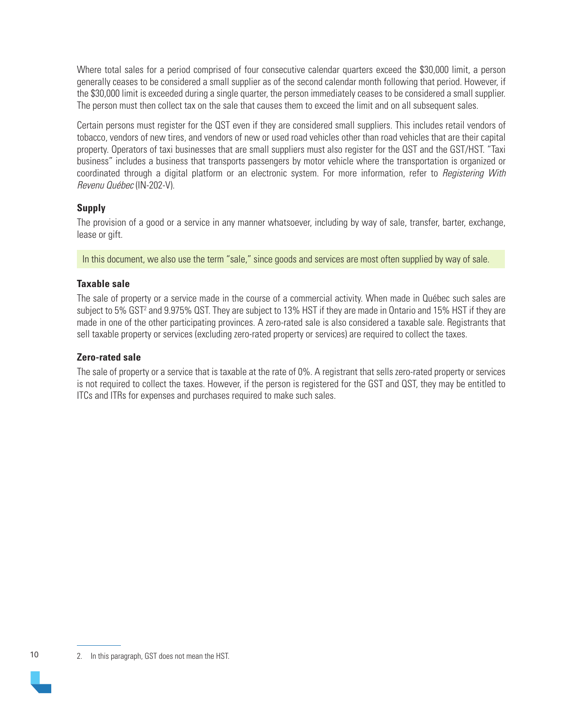Where total sales for a period comprised of four consecutive calendar quarters exceed the \$30,000 limit, a person generally ceases to be considered a small supplier as of the second calendar month following that period. However, if the \$30,000 limit is exceeded during a single quarter, the person immediately ceases to be considered a small supplier. The person must then collect tax on the sale that causes them to exceed the limit and on all subsequent sales.

Certain persons must register for the QST even if they are considered small suppliers. This includes retail vendors of tobacco, vendors of new tires, and vendors of new or used road vehicles other than road vehicles that are their capital property. Operators of taxi businesses that are small suppliers must also register for the QST and the GST/HST. "Taxi business" includes a business that transports passengers by motor vehicle where the transportation is organized or coordinated through a digital platform or an electronic system. For more information, refer to *Registering With* Revenu Québec (IN-202-V).

#### **Supply**

The provision of a good or a service in any manner whatsoever, including by way of sale, transfer, barter, exchange, lease or gift.

In this document, we also use the term "sale," since goods and services are most often supplied by way of sale.

#### **Taxable sale**

The sale of property or a service made in the course of a commercial activity. When made in Québec such sales are subject to 5% GST<sup>2</sup> and 9.975% QST. They are subject to 13% HST if they are made in Ontario and 15% HST if they are made in one of the other participating provinces. A zero-rated sale is also considered a taxable sale. Registrants that sell taxable property or services (excluding zero-rated property or services) are required to collect the taxes.

#### **Zero-rated sale**

The sale of property or a service that is taxable at the rate of 0%. A registrant that sells zero-rated property or services is not required to collect the taxes. However, if the person is registered for the GST and QST, they may be entitled to ITCs and ITRs for expenses and purchases required to make such sales.

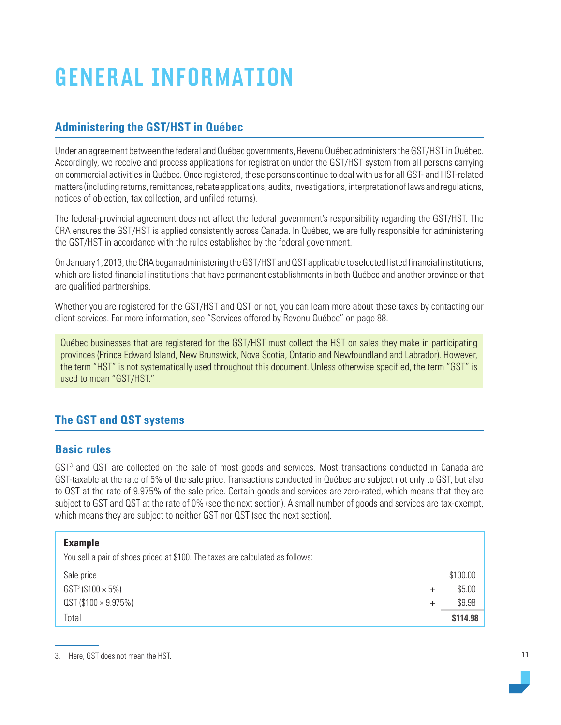# <span id="page-10-0"></span>GENERAL INFORMATION

# **Administering the GST/HST in Québec**

Under an agreement between the federal and Québec governments, Revenu Québec administers the GST/HST in Québec. Accordingly, we receive and process applications for registration under the GST/HST system from all persons carrying on commercial activities in Québec. Once registered, these persons continue to deal with us for all GST- and HST-related matters (including returns, remittances, rebate applications, audits, investigations, interpretation of laws and regulations, notices of objection, tax collection, and unfiled returns).

The federal-provincial agreement does not affect the federal government's responsibility regarding the GST/HST. The CRA ensures the GST/HST is applied consistently across Canada. In Québec, we are fully responsible for administering the GST/HST in accordance with the rules established by the federal government.

On January 1, 2013, the CRA began administering the GST/HST and QST applicable to selected listed financial institutions, which are listed financial institutions that have permanent establishments in both Québec and another province or that are qualified partnerships.

Whether you are registered for the GST/HST and QST or not, you can learn more about these taxes by contacting our client services. For more information, see "Services offered by Revenu Québec" on page 88.

Québec businesses that are registered for the GST/HST must collect the HST on sales they make in participating provinces (Prince Edward Island, New Brunswick, Nova Scotia, Ontario and Newfoundland and Labrador). However, the term "HST" is not systematically used throughout this document. Unless otherwise specified, the term "GST" is used to mean "GST/HST."

# **The GST and QST systems**

# **Basic rules**

GST<sup>3</sup> and QST are collected on the sale of most goods and services. Most transactions conducted in Canada are GST-taxable at the rate of 5% of the sale price. Transactions conducted in Québec are subject not only to GST, but also to QST at the rate of 9.975% of the sale price. Certain goods and services are zero-rated, which means that they are subject to GST and QST at the rate of 0% (see the next section). A small number of goods and services are tax-exempt, which means they are subject to neither GST nor QST (see the next section).

#### **Example**

You sell a pair of shoes priced at \$100. The taxes are calculated as follows:

| Sale price                    | \$100.00 |
|-------------------------------|----------|
| $GST^3$ (\$100 $\times$ 5%)   | \$5.00   |
| $QST($ \$100 $\times$ 9.975%) | \$9.98   |
| Total                         | \$114.98 |

<sup>3.</sup> Here, GST does not mean the HST.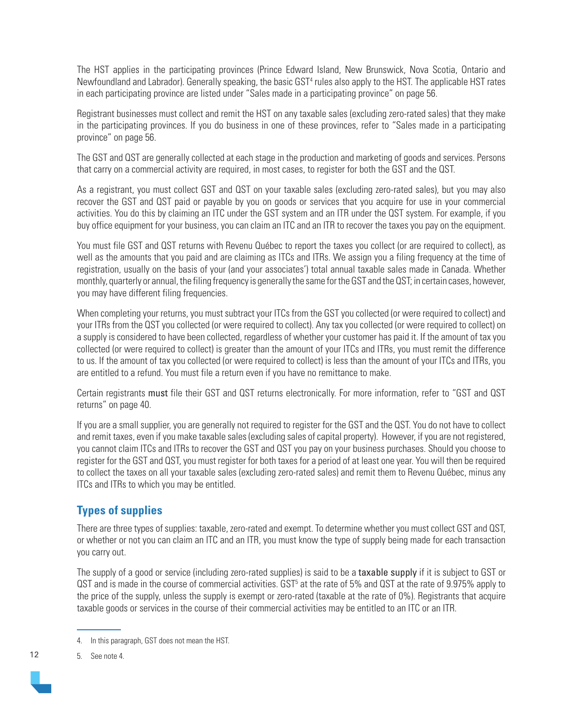The HST applies in the participating provinces (Prince Edward Island, New Brunswick, Nova Scotia, Ontario and Newfoundland and Labrador). Generally speaking, the basic GST<sup>4</sup> rules also apply to the HST. The applicable HST rates in each participating province are listed under "Sales made in a participating province" on page 56.

Registrant businesses must collect and remit the HST on any taxable sales (excluding zero-rated sales) that they make in the participating provinces. If you do business in one of these provinces, refer to "Sales made in a participating province" on page 56.

The GST and QST are generally collected at each stage in the production and marketing of goods and services. Persons that carry on a commercial activity are required, in most cases, to register for both the GST and the QST.

As a registrant, you must collect GST and QST on your taxable sales (excluding zero-rated sales), but you may also recover the GST and QST paid or payable by you on goods or services that you acquire for use in your commercial activities. You do this by claiming an ITC under the GST system and an ITR under the QST system. For example, if you buy office equipment for your business, you can claim an ITC and an ITR to recover the taxes you pay on the equipment.

You must file GST and QST returns with Revenu Québec to report the taxes you collect (or are required to collect), as well as the amounts that you paid and are claiming as ITCs and ITRs. We assign you a filing frequency at the time of registration, usually on the basis of your (and your associates') total annual taxable sales made in Canada. Whether monthly, quarterly or annual, the filing frequency is generally the same for the GST and the QST; in certain cases, however, you may have different filing frequencies.

When completing your returns, you must subtract your ITCs from the GST you collected (or were required to collect) and your ITRs from the QST you collected (or were required to collect). Any tax you collected (or were required to collect) on a supply is considered to have been collected, regardless of whether your customer has paid it. If the amount of tax you collected (or were required to collect) is greater than the amount of your ITCs and ITRs, you must remit the difference to us. If the amount of tax you collected (or were required to collect) is less than the amount of your ITCs and ITRs, you are entitled to a refund. You must file a return even if you have no remittance to make.

Certain registrants must file their GST and QST returns electronically. For more information, refer to "GST and QST returns" on page 40.

If you are a small supplier, you are generally not required to register for the GST and the QST. You do not have to collect and remit taxes, even if you make taxable sales (excluding sales of capital property). However, if you are not registered, you cannot claim ITCs and ITRs to recover the GST and QST you pay on your business purchases. Should you choose to register for the GST and QST, you must register for both taxes for a period of at least one year. You will then be required to collect the taxes on all your taxable sales (excluding zero-rated sales) and remit them to Revenu Québec, minus any ITCs and ITRs to which you may be entitled.

# **Types of supplies**

There are three types of supplies: taxable, zero-rated and exempt. To determine whether you must collect GST and QST, or whether or not you can claim an ITC and an ITR, you must know the type of supply being made for each transaction you carry out.

The supply of a good or service (including zero-rated supplies) is said to be a taxable supply if it is subject to GST or QST and is made in the course of commercial activities.  $GST^5$  at the rate of 5% and QST at the rate of 9.975% apply to the price of the supply, unless the supply is exempt or zero-rated (taxable at the rate of 0%). Registrants that acquire taxable goods or services in the course of their commercial activities may be entitled to an ITC or an ITR.

5. See note 4.

<sup>4.</sup> In this paragraph, GST does not mean the HST.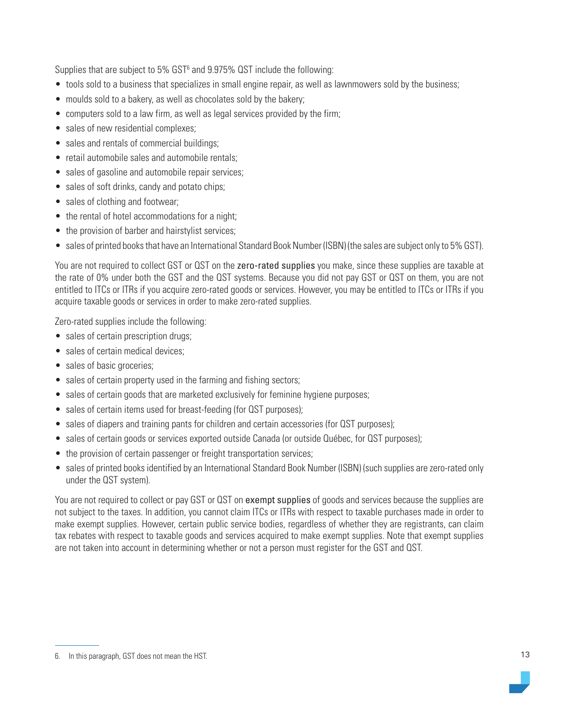Supplies that are subject to 5% GST<sup>6</sup> and 9.975% QST include the following:

- tools sold to a business that specializes in small engine repair, as well as lawnmowers sold by the business;
- moulds sold to a bakery, as well as chocolates sold by the bakery;
- computers sold to a law firm, as well as legal services provided by the firm;
- sales of new residential complexes;
- sales and rentals of commercial buildings:
- retail automobile sales and automobile rentals:
- sales of gasoline and automobile repair services;
- sales of soft drinks, candy and potato chips;
- sales of clothing and footwear;
- the rental of hotel accommodations for a night;
- the provision of barber and hairstylist services;
- sales of printed books that have an International Standard Book Number (ISBN) (the sales are subject only to 5% GST).

You are not required to collect GST or QST on the zero-rated supplies you make, since these supplies are taxable at the rate of 0% under both the GST and the QST systems. Because you did not pay GST or QST on them, you are not entitled to ITCs or ITRs if you acquire zero-rated goods or services. However, you may be entitled to ITCs or ITRs if you acquire taxable goods or services in order to make zero-rated supplies.

Zero-rated supplies include the following:

- sales of certain prescription drugs;
- sales of certain medical devices:
- sales of basic groceries;
- sales of certain property used in the farming and fishing sectors;
- sales of certain goods that are marketed exclusively for feminine hygiene purposes;
- sales of certain items used for breast-feeding (for QST purposes);
- sales of diapers and training pants for children and certain accessories (for QST purposes);
- sales of certain goods or services exported outside Canada (or outside Québec, for QST purposes);
- the provision of certain passenger or freight transportation services;
- sales of printed books identified by an International Standard Book Number (ISBN) (such supplies are zero-rated only under the QST system).

You are not required to collect or pay GST or QST on exempt supplies of goods and services because the supplies are not subject to the taxes. In addition, you cannot claim ITCs or ITRs with respect to taxable purchases made in order to make exempt supplies. However, certain public service bodies, regardless of whether they are registrants, can claim tax rebates with respect to taxable goods and services acquired to make exempt supplies. Note that exempt supplies are not taken into account in determining whether or not a person must register for the GST and QST.

<sup>6.</sup> In this paragraph, GST does not mean the HST.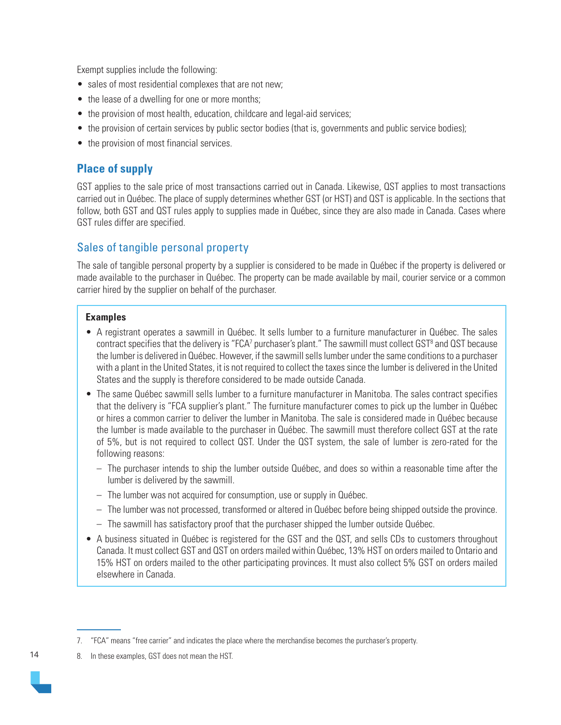Exempt supplies include the following:

- sales of most residential complexes that are not new;
- the lease of a dwelling for one or more months;
- the provision of most health, education, childcare and legal-aid services;
- the provision of certain services by public sector bodies (that is, governments and public service bodies);
- the provision of most financial services.

# **Place of supply**

GST applies to the sale price of most transactions carried out in Canada. Likewise, QST applies to most transactions carried out in Québec. The place of supply determines whether GST (or HST) and QST is applicable. In the sections that follow, both GST and QST rules apply to supplies made in Québec, since they are also made in Canada. Cases where GST rules differ are specified.

# Sales of tangible personal property

The sale of tangible personal property by a supplier is considered to be made in Québec if the property is delivered or made available to the purchaser in Québec. The property can be made available by mail, courier service or a common carrier hired by the supplier on behalf of the purchaser.

#### **Examples**

- A registrant operates a sawmill in Québec. It sells lumber to a furniture manufacturer in Québec. The sales contract specifies that the delivery is "FCA<sup>7</sup> purchaser's plant." The sawmill must collect GST<sup>8</sup> and QST because the lumber is delivered in Québec. However, if the sawmill sells lumber under the same conditions to a purchaser with a plant in the United States, it is not required to collect the taxes since the lumber is delivered in the United States and the supply is therefore considered to be made outside Canada.
- The same Québec sawmill sells lumber to a furniture manufacturer in Manitoba. The sales contract specifies that the delivery is "FCA supplier's plant." The furniture manufacturer comes to pick up the lumber in Québec or hires a common carrier to deliver the lumber in Manitoba. The sale is considered made in Québec because the lumber is made available to the purchaser in Québec. The sawmill must therefore collect GST at the rate of 5%, but is not required to collect QST. Under the QST system, the sale of lumber is zero-rated for the following reasons:
	- The purchaser intends to ship the lumber outside Québec, and does so within a reasonable time after the lumber is delivered by the sawmill.
	- The lumber was not acquired for consumption, use or supply in Québec.
	- The lumber was not processed, transformed or altered in Québec before being shipped outside the province.
	- The sawmill has satisfactory proof that the purchaser shipped the lumber outside Québec.
- A business situated in Québec is registered for the GST and the QST, and sells CDs to customers throughout Canada. It must collect GST and QST on orders mailed within Québec, 13% HST on orders mailed to Ontario and 15% HST on orders mailed to the other participating provinces. It must also collect 5% GST on orders mailed elsewhere in Canada.

<sup>7. &</sup>quot;FCA" means "free carrier" and indicates the place where the merchandise becomes the purchaser's property.

<sup>8.</sup> In these examples, GST does not mean the HST.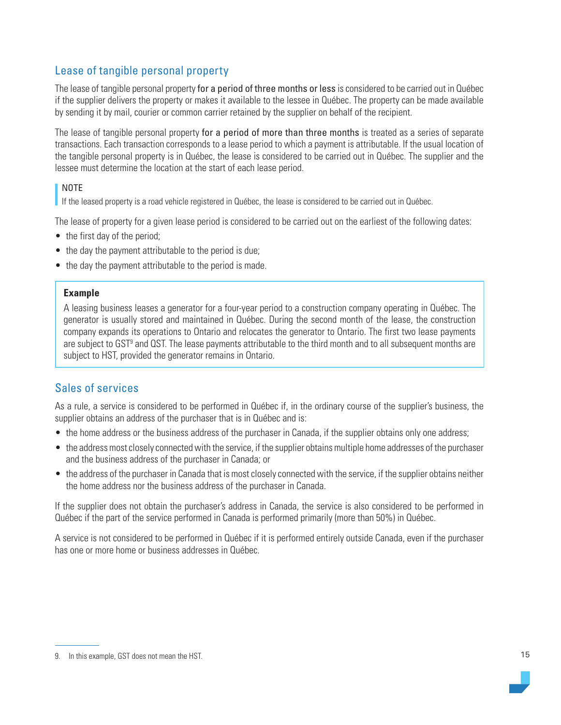# Lease of tangible personal property

The lease of tangible personal property for a period of three months or less is considered to be carried out in Québec if the supplier delivers the property or makes it available to the lessee in Québec. The property can be made available by sending it by mail, courier or common carrier retained by the supplier on behalf of the recipient.

The lease of tangible personal property for a period of more than three months is treated as a series of separate transactions. Each transaction corresponds to a lease period to which a payment is attributable. If the usual location of the tangible personal property is in Québec, the lease is considered to be carried out in Québec. The supplier and the lessee must determine the location at the start of each lease period.

#### NOTE

If the leased property is a road vehicle registered in Québec, the lease is considered to be carried out in Québec.

The lease of property for a given lease period is considered to be carried out on the earliest of the following dates:

- the first day of the period;
- the day the payment attributable to the period is due;
- the day the payment attributable to the period is made.

#### **Example**

A leasing business leases a generator for a four-year period to a construction company operating in Québec. The generator is usually stored and maintained in Québec. During the second month of the lease, the construction company expands its operations to Ontario and relocates the generator to Ontario. The first two lease payments are subject to GST<sup>9</sup> and QST. The lease payments attributable to the third month and to all subsequent months are subject to HST, provided the generator remains in Ontario.

# Sales of services

As a rule, a service is considered to be performed in Québec if, in the ordinary course of the supplier's business, the supplier obtains an address of the purchaser that is in Québec and is:

- the home address or the business address of the purchaser in Canada, if the supplier obtains only one address;
- the address most closely connected with the service, if the supplier obtains multiple home addresses of the purchaser and the business address of the purchaser in Canada; or
- the address of the purchaser in Canada that is most closely connected with the service, if the supplier obtains neither the home address nor the business address of the purchaser in Canada.

If the supplier does not obtain the purchaser's address in Canada, the service is also considered to be performed in Québec if the part of the service performed in Canada is performed primarily (more than 50%) in Québec.

A service is not considered to be performed in Québec if it is performed entirely outside Canada, even if the purchaser has one or more home or business addresses in Québec.

<sup>9.</sup> In this example, GST does not mean the HST.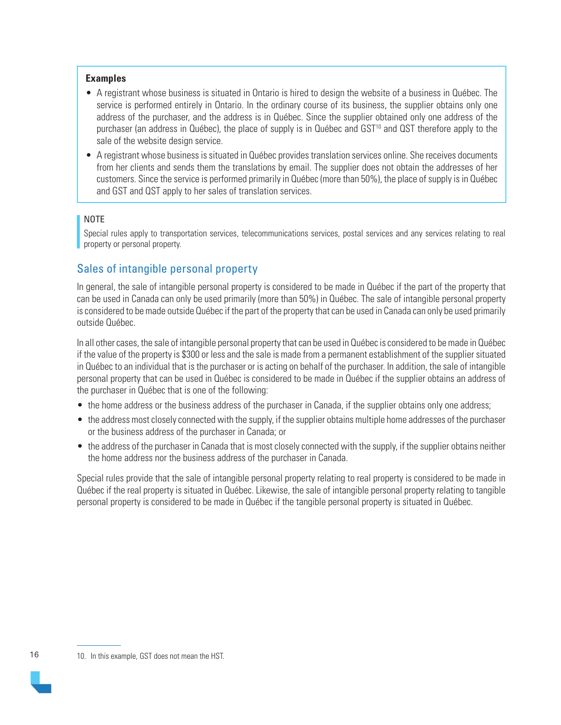#### **Examples**

- A registrant whose business is situated in Ontario is hired to design the website of a business in Québec. The service is performed entirely in Ontario. In the ordinary course of its business, the supplier obtains only one address of the purchaser, and the address is in Québec. Since the supplier obtained only one address of the purchaser (an address in Québec), the place of supply is in Québec and GST<sup>10</sup> and QST therefore apply to the sale of the website design service.
- A registrant whose business is situated in Québec provides translation services online. She receives documents from her clients and sends them the translations by email. The supplier does not obtain the addresses of her customers. Since the service is performed primarily in Québec (more than 50%), the place of supply is in Québec and GST and QST apply to her sales of translation services.

#### NOTE

Special rules apply to transportation services, telecommunications services, postal services and any services relating to real property or personal property.

# Sales of intangible personal property

In general, the sale of intangible personal property is considered to be made in Québec if the part of the property that can be used in Canada can only be used primarily (more than 50%) in Québec. The sale of intangible personal property is considered to be made outside Québec if the part of the property that can be used in Canada can only be used primarily outside Québec.

In all other cases, the sale of intangible personal property that can be used in Québec is considered to be made in Québec if the value of the property is \$300 or less and the sale is made from a permanent establishment of the supplier situated in Québec to an individual that is the purchaser or is acting on behalf of the purchaser. In addition, the sale of intangible personal property that can be used in Québec is considered to be made in Québec if the supplier obtains an address of the purchaser in Québec that is one of the following:

- the home address or the business address of the purchaser in Canada, if the supplier obtains only one address;
- the address most closely connected with the supply, if the supplier obtains multiple home addresses of the purchaser or the business address of the purchaser in Canada; or
- the address of the purchaser in Canada that is most closely connected with the supply, if the supplier obtains neither the home address nor the business address of the purchaser in Canada.

Special rules provide that the sale of intangible personal property relating to real property is considered to be made in Québec if the real property is situated in Québec. Likewise, the sale of intangible personal property relating to tangible personal property is considered to be made in Québec if the tangible personal property is situated in Québec.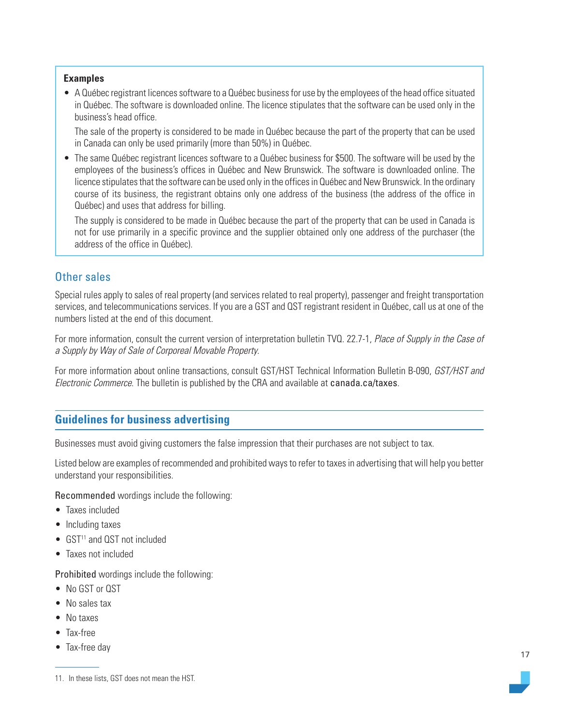#### <span id="page-16-0"></span>**Examples**

• A Québec registrant licences software to a Québec business for use by the employees of the head office situated in Québec. The software is downloaded online. The licence stipulates that the software can be used only in the business's head office.

The sale of the property is considered to be made in Québec because the part of the property that can be used in Canada can only be used primarily (more than 50%) in Québec.

• The same Québec registrant licences software to a Québec business for \$500. The software will be used by the employees of the business's offices in Québec and New Brunswick. The software is downloaded online. The licence stipulates that the software can be used only in the offices in Québec and New Brunswick. In the ordinary course of its business, the registrant obtains only one address of the business (the address of the office in Québec) and uses that address for billing.

The supply is considered to be made in Québec because the part of the property that can be used in Canada is not for use primarily in a specific province and the supplier obtained only one address of the purchaser (the address of the office in Québec).

# Other sales

Special rules apply to sales of real property (and services related to real property), passenger and freight transportation services, and telecommunications services. If you are a GST and QST registrant resident in Québec, call us at one of the numbers listed at the end of this document.

For more information, consult the current version of interpretation bulletin TVQ. 22.7-1, Place of Supply in the Case of a Supply by Way of Sale of Corporeal Movable Property.

For more information about online transactions, consult GST/HST Technical Information Bulletin B-090, GST/HST and Electronic Commerce. The bulletin is published by the CRA and available at [canada.ca/taxes](https://www.canada.ca/en/services/taxes.html).

# **Guidelines for business advertising**

Businesses must avoid giving customers the false impression that their purchases are not subject to tax.

Listed below are examples of recommended and prohibited ways to refer to taxes in advertising that will help you better understand your responsibilities.

Recommended wordings include the following:

- Taxes included
- Including taxes
- GST<sup>11</sup> and QST not included
- Taxes not included

Prohibited wordings include the following:

- No GST or QST
- No sales tax
- No taxes
- Tax-free
- Tax-free day

<sup>11.</sup> In these lists, GST does not mean the HST.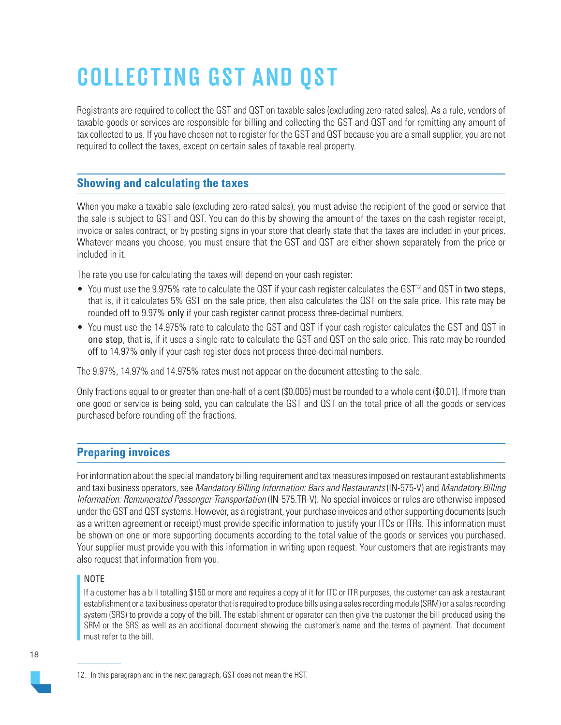# <span id="page-17-0"></span>COLLECTING GST AND QST

Registrants are required to collect the GST and QST on taxable sales (excluding zero-rated sales). As a rule, vendors of taxable goods or services are responsible for billing and collecting the GST and QST and for remitting any amount of tax collected to us. If you have chosen not to register for the GST and QST because you are a small supplier, you are not required to collect the taxes, except on certain sales of taxable real property.

# **Showing and calculating the taxes**

When you make a taxable sale (excluding zero-rated sales), you must advise the recipient of the good or service that the sale is subject to GST and QST. You can do this by showing the amount of the taxes on the cash register receipt, invoice or sales contract, or by posting signs in your store that clearly state that the taxes are included in your prices. Whatever means you choose, you must ensure that the GST and QST are either shown separately from the price or included in it.

The rate you use for calculating the taxes will depend on your cash register:

- You must use the 9.975% rate to calculate the QST if your cash register calculates the GST<sup>12</sup> and QST in two steps, that is, if it calculates 5% GST on the sale price, then also calculates the QST on the sale price. This rate may be rounded off to 9.97% only if your cash register cannot process three-decimal numbers.
- You must use the 14.975% rate to calculate the GST and QST if your cash register calculates the GST and QST in one step, that is, if it uses a single rate to calculate the GST and QST on the sale price. This rate may be rounded off to 14.97% only if your cash register does not process three-decimal numbers.

The 9.97%, 14.97% and 14.975% rates must not appear on the document attesting to the sale.

Only fractions equal to or greater than one-half of a cent (\$0.005) must be rounded to a whole cent (\$0.01). If more than one good or service is being sold, you can calculate the GST and QST on the total price of all the goods or services purchased before rounding off the fractions.

# **Preparing invoices**

For information about the special mandatory billing requirement and tax measures imposed on restaurant establishments and taxi business operators, see Mandatory Billing Information: Bars and Restaurants (IN-575-V) and Mandatory Billing Information: Remunerated Passenger Transportation (IN-575.TR-V). No special invoices or rules are otherwise imposed under the GST and QST systems. However, as a registrant, your purchase invoices and other supporting documents (such as a written agreement or receipt) must provide specific information to justify your ITCs or ITRs. This information must be shown on one or more supporting documents according to the total value of the goods or services you purchased. Your supplier must provide you with this information in writing upon request. Your customers that are registrants may also request that information from you.

#### NOTE

If a customer has a bill totalling \$150 or more and requires a copy of it for ITC or ITR purposes, the customer can ask a restaurant establishment or a taxi business operator that is required to produce bills using a sales recording module (SRM) or a sales recording system (SRS) to provide a copy of the bill. The establishment or operator can then give the customer the bill produced using the SRM or the SRS as well as an additional document showing the customer's name and the terms of payment. That document must refer to the bill.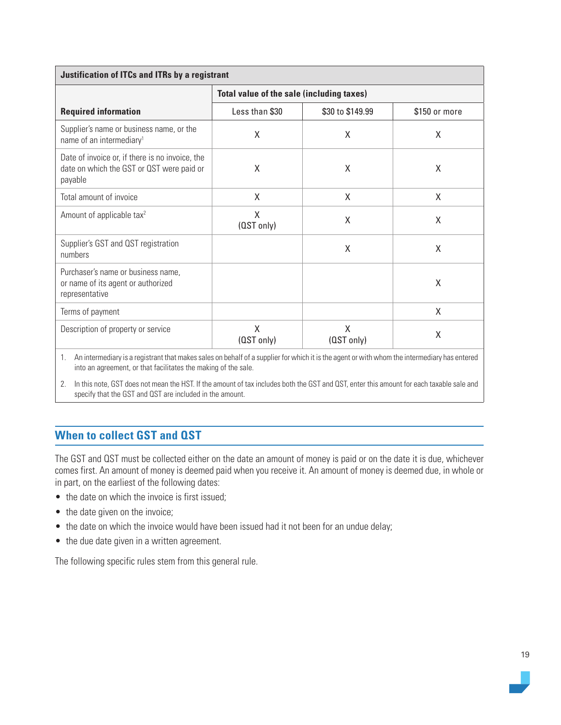<span id="page-18-0"></span>

| <b>Justification of ITCs and ITRs by a registrant</b>                                                   |                                                  |                  |               |  |
|---------------------------------------------------------------------------------------------------------|--------------------------------------------------|------------------|---------------|--|
|                                                                                                         | <b>Total value of the sale (including taxes)</b> |                  |               |  |
| <b>Required information</b>                                                                             | Less than \$30                                   | \$30 to \$149.99 | \$150 or more |  |
| Supplier's name or business name, or the<br>name of an intermediary <sup>1</sup>                        | X                                                | Χ                | X             |  |
| Date of invoice or, if there is no invoice, the<br>date on which the GST or QST were paid or<br>payable | X                                                | X                | X             |  |
| Total amount of invoice                                                                                 | X                                                | X                | X             |  |
| Amount of applicable tax <sup>2</sup>                                                                   | X<br>(QST only)                                  | X                | X             |  |
| Supplier's GST and QST registration<br>numbers                                                          |                                                  | X                | X             |  |
| Purchaser's name or business name,<br>or name of its agent or authorized<br>representative              |                                                  |                  | X             |  |
| Terms of payment                                                                                        |                                                  |                  | X             |  |
| Description of property or service                                                                      | X<br>(QST only)                                  | X<br>(QST only)  | X             |  |

1. An intermediary is a registrant that makes sales on behalf of a supplier for which it is the agent or with whom the intermediary has entered into an agreement, or that facilitates the making of the sale.

2. In this note, GST does not mean the HST. If the amount of tax includes both the GST and QST, enter this amount for each taxable sale and specify that the GST and QST are included in the amount.

# **When to collect GST and QST**

The GST and QST must be collected either on the date an amount of money is paid or on the date it is due, whichever comes first. An amount of money is deemed paid when you receive it. An amount of money is deemed due, in whole or in part, on the earliest of the following dates:

- the date on which the invoice is first issued;
- the date given on the invoice;
- the date on which the invoice would have been issued had it not been for an undue delay;
- the due date given in a written agreement.

The following specific rules stem from this general rule.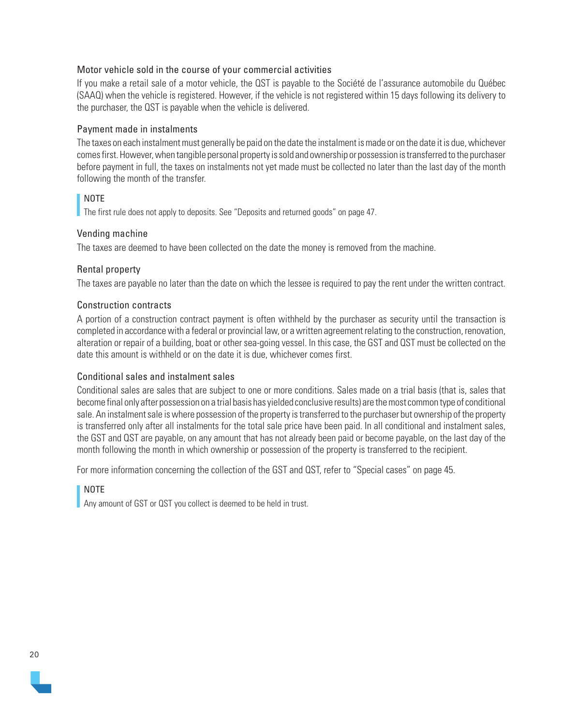#### Motor vehicle sold in the course of your commercial activities

If you make a retail sale of a motor vehicle, the QST is payable to the Société de l'assurance automobile du Québec (SAAQ) when the vehicle is registered. However, if the vehicle is not registered within 15 days following its delivery to the purchaser, the QST is payable when the vehicle is delivered.

#### Payment made in instalments

The taxes on each instalment must generally be paid on the date the instalment is made or on the date it is due, whichever comes first. However, when tangible personal property is sold and ownership or possession is transferred to the purchaser before payment in full, the taxes on instalments not yet made must be collected no later than the last day of the month following the month of the transfer.

#### NOTE

The first rule does not apply to deposits. See "Deposits and returned goods" on page 47.

#### Vending machine

The taxes are deemed to have been collected on the date the money is removed from the machine.

#### Rental property

The taxes are payable no later than the date on which the lessee is required to pay the rent under the written contract.

#### Construction contracts

A portion of a construction contract payment is often withheld by the purchaser as security until the transaction is completed in accordance with a federal or provincial law, or a written agreement relating to the construction, renovation, alteration or repair of a building, boat or other sea-going vessel. In this case, the GST and QST must be collected on the date this amount is withheld or on the date it is due, whichever comes first.

#### Conditional sales and instalment sales

Conditional sales are sales that are subject to one or more conditions. Sales made on a trial basis (that is, sales that become final only after possession on a trial basis has yielded conclusive results) are the most common type of conditional sale. An instalment sale is where possession of the property is transferred to the purchaser but ownership of the property is transferred only after all instalments for the total sale price have been paid. In all conditional and instalment sales, the GST and QST are payable, on any amount that has not already been paid or become payable, on the last day of the month following the month in which ownership or possession of the property is transferred to the recipient.

For more information concerning the collection of the GST and QST, refer to "Special cases" on page 45.

## NOTE

Any amount of GST or QST you collect is deemed to be held in trust.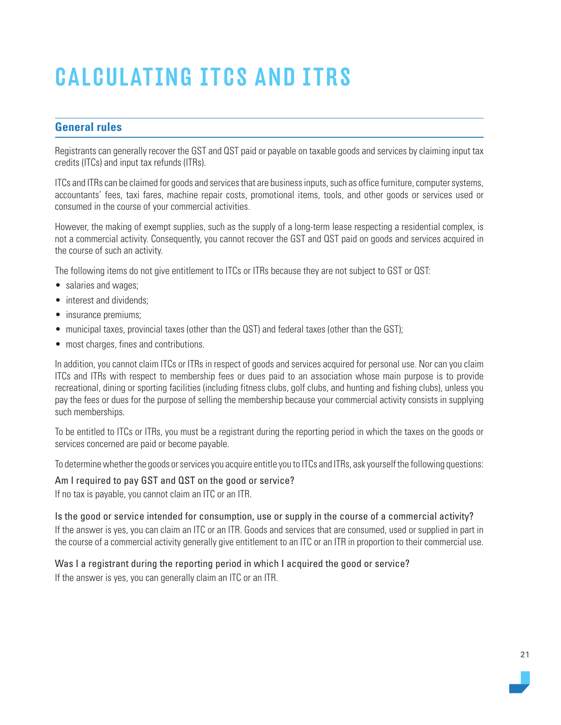# <span id="page-20-0"></span>CALCULATING ITCS AND ITRS

# **General rules**

Registrants can generally recover the GST and QST paid or payable on taxable goods and services by claiming input tax credits (ITCs) and input tax refunds (ITRs).

ITCs and ITRs can be claimed for goods and services that are business inputs, such as office furniture, computer systems, accountants' fees, taxi fares, machine repair costs, promotional items, tools, and other goods or services used or consumed in the course of your commercial activities.

However, the making of exempt supplies, such as the supply of a long-term lease respecting a residential complex, is not a commercial activity. Consequently, you cannot recover the GST and QST paid on goods and services acquired in the course of such an activity.

The following items do not give entitlement to ITCs or ITRs because they are not subject to GST or QST:

- salaries and wages;
- interest and dividends:
- insurance premiums:
- municipal taxes, provincial taxes (other than the QST) and federal taxes (other than the GST);
- most charges, fines and contributions.

In addition, you cannot claim ITCs or ITRs in respect of goods and services acquired for personal use. Nor can you claim ITCs and ITRs with respect to membership fees or dues paid to an association whose main purpose is to provide recreational, dining or sporting facilities (including fitness clubs, golf clubs, and hunting and fishing clubs), unless you pay the fees or dues for the purpose of selling the membership because your commercial activity consists in supplying such memberships.

To be entitled to ITCs or ITRs, you must be a registrant during the reporting period in which the taxes on the goods or services concerned are paid or become payable.

To determine whether the goods or services you acquire entitle you to ITCs and ITRs, ask yourself the following questions:

#### Am I required to pay GST and QST on the good or service?

If no tax is payable, you cannot claim an ITC or an ITR.

Is the good or service intended for consumption, use or supply in the course of a commercial activity? If the answer is yes, you can claim an ITC or an ITR. Goods and services that are consumed, used or supplied in part in the course of a commercial activity generally give entitlement to an ITC or an ITR in proportion to their commercial use.

## Was I a registrant during the reporting period in which I acquired the good or service?

If the answer is yes, you can generally claim an ITC or an ITR.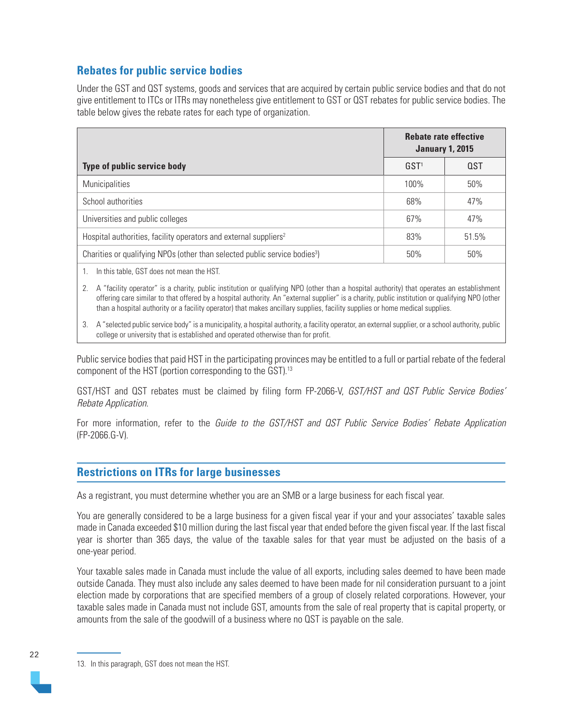# <span id="page-21-0"></span>**Rebates for public service bodies**

Under the GST and QST systems, goods and services that are acquired by certain public service bodies and that do not give entitlement to ITCs or ITRs may nonetheless give entitlement to GST or QST rebates for public service bodies. The table below gives the rebate rates for each type of organization.

|                                                                                        | <b>Rebate rate effective</b><br><b>January 1, 2015</b> |            |
|----------------------------------------------------------------------------------------|--------------------------------------------------------|------------|
| Type of public service body                                                            | GST <sup>1</sup>                                       | <b>QST</b> |
| <b>Municipalities</b>                                                                  | $100\%$                                                | 50%        |
| School authorities                                                                     | 68%                                                    | 47%        |
| Universities and public colleges                                                       | 67%                                                    | 47%        |
| Hospital authorities, facility operators and external suppliers <sup>2</sup>           | 83%                                                    | 51.5%      |
| Charities or qualifying NPOs (other than selected public service bodies <sup>3</sup> ) | 50%                                                    | 50%        |
|                                                                                        |                                                        |            |

1. In this table, GST does not mean the HST.

2. A "facility operator" is a charity, public institution or qualifying NPO (other than a hospital authority) that operates an establishment offering care similar to that offered by a hospital authority. An "external supplier" is a charity, public institution or qualifying NPO (other than a hospital authority or a facility operator) that makes ancillary supplies, facility supplies or home medical supplies.

3. A "selected public service body" is a municipality, a hospital authority, a facility operator, an external supplier, or a school authority, public college or university that is established and operated otherwise than for profit.

Public service bodies that paid HST in the participating provinces may be entitled to a full or partial rebate of the federal component of the HST (portion corresponding to the GST). 13

GST/HST and QST rebates must be claimed by filing form FP-2066-V, GST/HST and QST Public Service Bodies' Rebate Application.

For more information, refer to the Guide to the GST/HST and QST Public Service Bodies' Rebate Application (FP-2066.G-V).

## **Restrictions on ITRs for large businesses**

As a registrant, you must determine whether you are an SMB or a large business for each fiscal year.

You are generally considered to be a large business for a given fiscal year if your and your associates' taxable sales made in Canada exceeded \$10 million during the last fiscal year that ended before the given fiscal year. If the last fiscal year is shorter than 365 days, the value of the taxable sales for that year must be adjusted on the basis of a one-year period.

Your taxable sales made in Canada must include the value of all exports, including sales deemed to have been made outside Canada. They must also include any sales deemed to have been made for nil consideration pursuant to a joint election made by corporations that are specified members of a group of closely related corporations. However, your taxable sales made in Canada must not include GST, amounts from the sale of real property that is capital property, or amounts from the sale of the goodwill of a business where no QST is payable on the sale.

<sup>13.</sup> In this paragraph, GST does not mean the HST.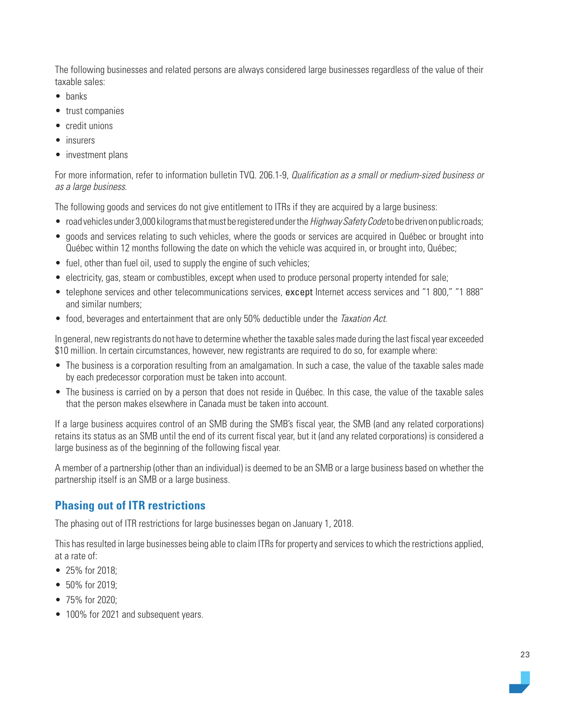The following businesses and related persons are always considered large businesses regardless of the value of their taxable sales:

- banks
- trust companies
- credit unions
- insurers
- investment plans

For more information, refer to information bulletin TVQ. 206.1-9, Qualification as a small or medium-sized business or as a large business.

The following goods and services do not give entitlement to ITRs if they are acquired by a large business:

- road vehicles under 3,000 kilograms that must be registered under the *Highway Safety Code* to be driven on public roads;
- goods and services relating to such vehicles, where the goods or services are acquired in Québec or brought into Québec within 12 months following the date on which the vehicle was acquired in, or brought into, Québec;
- fuel, other than fuel oil, used to supply the engine of such vehicles;
- electricity, gas, steam or combustibles, except when used to produce personal property intended for sale;
- telephone services and other telecommunications services, except Internet access services and "1 800," "1 888" and similar numbers;
- food, beverages and entertainment that are only 50% deductible under the Taxation Act.

In general, new registrants do not have to determine whether the taxable sales made during the last fiscal year exceeded \$10 million. In certain circumstances, however, new registrants are required to do so, for example where:

- The business is a corporation resulting from an amalgamation. In such a case, the value of the taxable sales made by each predecessor corporation must be taken into account.
- The business is carried on by a person that does not reside in Québec. In this case, the value of the taxable sales that the person makes elsewhere in Canada must be taken into account.

If a large business acquires control of an SMB during the SMB's fiscal year, the SMB (and any related corporations) retains its status as an SMB until the end of its current fiscal year, but it (and any related corporations) is considered a large business as of the beginning of the following fiscal year.

A member of a partnership (other than an individual) is deemed to be an SMB or a large business based on whether the partnership itself is an SMB or a large business.

# **Phasing out of ITR restrictions**

The phasing out of ITR restrictions for large businesses began on January 1, 2018.

This has resulted in large businesses being able to claim ITRs for property and services to which the restrictions applied, at a rate of:

- 25% for 2018;
- 50% for 2019;
- 75% for 2020;
- 100% for 2021 and subsequent years.

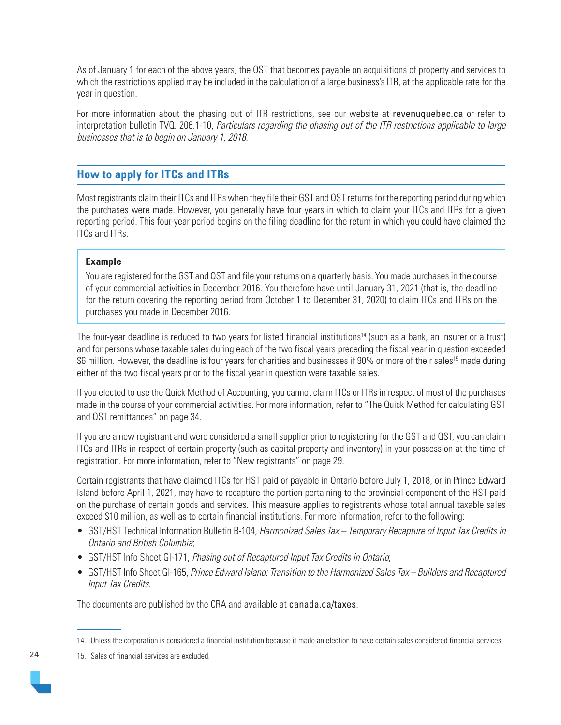<span id="page-23-0"></span>As of January 1 for each of the above years, the QST that becomes payable on acquisitions of property and services to which the restrictions applied may be included in the calculation of a large business's ITR, at the applicable rate for the year in question.

For more information about the phasing out of ITR restrictions, see our website at [revenuquebec.ca](https://www.revenuquebec.ca/en/) or refer to interpretation bulletin TVQ. 206.1-10, Particulars regarding the phasing out of the ITR restrictions applicable to large businesses that is to begin on January 1, 2018.

# **How to apply for ITCs and ITRs**

Most registrants claim their ITCs and ITRs when they file their GST and QST returns for the reporting period during which the purchases were made. However, you generally have four years in which to claim your ITCs and ITRs for a given reporting period. This four-year period begins on the filing deadline for the return in which you could have claimed the ITCs and ITRs.

#### **Example**

You are registered for the GST and QST and file your returns on a quarterly basis. You made purchases in the course of your commercial activities in December 2016. You therefore have until January 31, 2021 (that is, the deadline for the return covering the reporting period from October 1 to December 31, 2020) to claim ITCs and ITRs on the purchases you made in December 2016.

The four-year deadline is reduced to two years for listed financial institutions<sup>14</sup> (such as a bank, an insurer or a trust) and for persons whose taxable sales during each of the two fiscal years preceding the fiscal year in question exceeded \$6 million. However, the deadline is four years for charities and businesses if 90% or more of their sales<sup>15</sup> made during either of the two fiscal years prior to the fiscal year in question were taxable sales.

If you elected to use the Quick Method of Accounting, you cannot claim ITCs or ITRs in respect of most of the purchases made in the course of your commercial activities. For more information, refer to "The Quick Method for calculating GST and QST remittances" on page 34.

If you are a new registrant and were considered a small supplier prior to registering for the GST and QST, you can claim ITCs and ITRs in respect of certain property (such as capital property and inventory) in your possession at the time of registration. For more information, refer to "New registrants" on page 29.

Certain registrants that have claimed ITCs for HST paid or payable in Ontario before July 1, 2018, or in Prince Edward Island before April 1, 2021, may have to recapture the portion pertaining to the provincial component of the HST paid on the purchase of certain goods and services. This measure applies to registrants whose total annual taxable sales exceed \$10 million, as well as to certain financial institutions. For more information, refer to the following:

- GST/HST Technical Information Bulletin B-104, Harmonized Sales Tax Temporary Recapture of Input Tax Credits in Ontario and British Columbia;
- GST/HST Info Sheet GI-171, Phasing out of Recaptured Input Tax Credits in Ontario;
- GST/HST Info Sheet GI-165, Prince Edward Island: Transition to the Harmonized Sales Tax Builders and Recaptured Input Tax Credits.

The documents are published by the CRA and available at [canada.ca/taxes](https://www.canada.ca/en/services/taxes.html).

15. Sales of financial services are excluded.

<sup>14.</sup> Unless the corporation is considered a financial institution because it made an election to have certain sales considered financial services.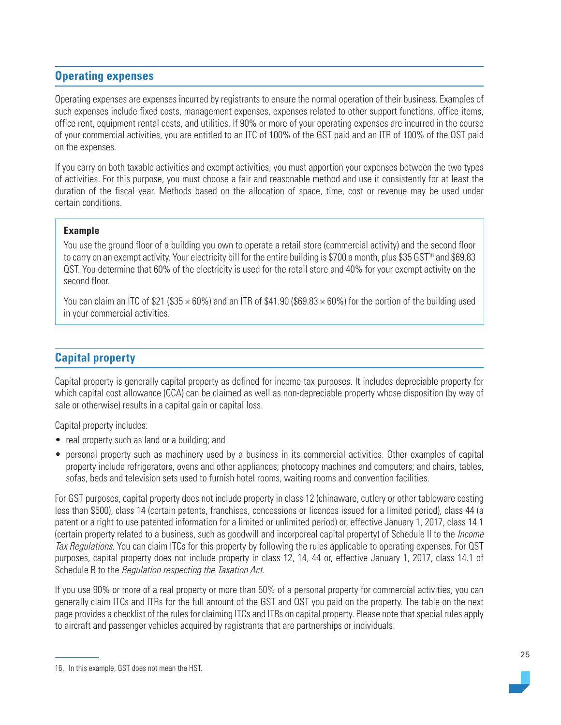# <span id="page-24-0"></span>**Operating expenses**

Operating expenses are expenses incurred by registrants to ensure the normal operation of their business. Examples of such expenses include fixed costs, management expenses, expenses related to other support functions, office items, office rent, equipment rental costs, and utilities. If 90% or more of your operating expenses are incurred in the course of your commercial activities, you are entitled to an ITC of 100% of the GST paid and an ITR of 100% of the QST paid on the expenses.

If you carry on both taxable activities and exempt activities, you must apportion your expenses between the two types of activities. For this purpose, you must choose a fair and reasonable method and use it consistently for at least the duration of the fiscal year. Methods based on the allocation of space, time, cost or revenue may be used under certain conditions.

#### **Example**

You use the ground floor of a building you own to operate a retail store (commercial activity) and the second floor to carry on an exempt activity. Your electricity bill for the entire building is \$700 a month, plus \$35 GST<sup>16</sup> and \$69.83 QST. You determine that 60% of the electricity is used for the retail store and 40% for your exempt activity on the second floor.

You can claim an ITC of \$21 (\$35  $\times$  60%) and an ITR of \$41.90 (\$69.83  $\times$  60%) for the portion of the building used in your commercial activities.

# **Capital property**

Capital property is generally capital property as defined for income tax purposes. It includes depreciable property for which capital cost allowance (CCA) can be claimed as well as non-depreciable property whose disposition (by way of sale or otherwise) results in a capital gain or capital loss.

Capital property includes:

- real property such as land or a building; and
- personal property such as machinery used by a business in its commercial activities. Other examples of capital property include refrigerators, ovens and other appliances; photocopy machines and computers; and chairs, tables, sofas, beds and television sets used to furnish hotel rooms, waiting rooms and convention facilities.

For GST purposes, capital property does not include property in class 12 (chinaware, cutlery or other tableware costing less than \$500), class 14 (certain patents, franchises, concessions or licences issued for a limited period), class 44 (a patent or a right to use patented information for a limited or unlimited period) or, effective January 1, 2017, class 14.1 (certain property related to a business, such as goodwill and incorporeal capital property) of Schedule II to the Income Tax Regulations. You can claim ITCs for this property by following the rules applicable to operating expenses. For QST purposes, capital property does not include property in class 12, 14, 44 or, effective January 1, 2017, class 14.1 of Schedule B to the Regulation respecting the Taxation Act.

If you use 90% or more of a real property or more than 50% of a personal property for commercial activities, you can generally claim ITCs and ITRs for the full amount of the GST and QST you paid on the property. The table on the next page provides a checklist of the rules for claiming ITCs and ITRs on capital property. Please note that special rules apply to aircraft and passenger vehicles acquired by registrants that are partnerships or individuals.

<sup>16.</sup> In this example, GST does not mean the HST.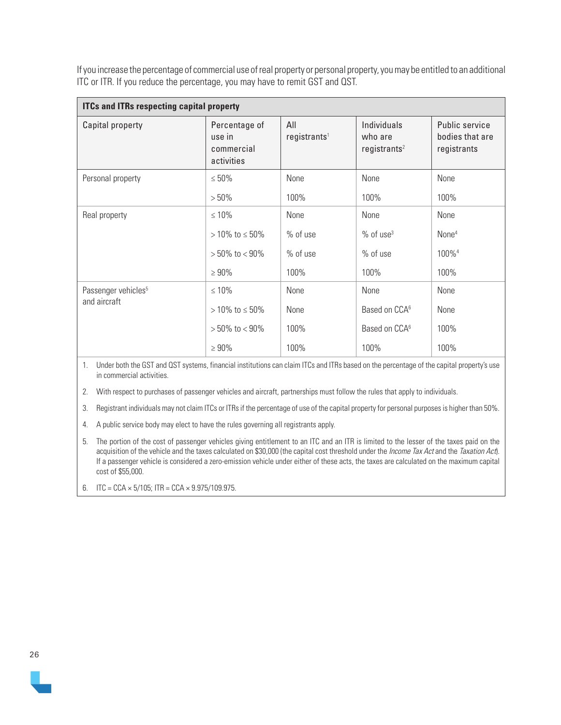If you increase the percentage of commercial use of real property or personal property, you may be entitled to an additional ITC or ITR. If you reduce the percentage, you may have to remit GST and QST.

| <b>ITCs and ITRs respecting capital property</b> |                                                     |                                 |                                                    |                                                  |  |
|--------------------------------------------------|-----------------------------------------------------|---------------------------------|----------------------------------------------------|--------------------------------------------------|--|
| Capital property                                 | Percentage of<br>use in<br>commercial<br>activities | All<br>registrants <sup>1</sup> | Individuals<br>who are<br>registrants <sup>2</sup> | Public service<br>bodies that are<br>registrants |  |
| Personal property                                | $\leq 50\%$                                         | None                            | None                                               | None                                             |  |
|                                                  | $>50\%$                                             | 100%                            | 100%                                               | 100%                                             |  |
| Real property                                    | $\leq 10\%$                                         | None                            | None                                               | None                                             |  |
|                                                  | $> 10\%$ to $\leq 50\%$                             | % of use                        | $%$ of use <sup>3</sup>                            | None <sup>4</sup>                                |  |
|                                                  | $>50\%$ to $< 90\%$                                 | $%$ of use                      | $%$ of use                                         | 100% <sup>4</sup>                                |  |
|                                                  | $\geq 90\%$                                         | 100%<br>100%                    |                                                    | 100%                                             |  |
| Passenger vehicles <sup>5</sup>                  | $\leq 10\%$                                         | None                            | None                                               | None                                             |  |
| and aircraft                                     | $> 10\%$ to $\leq 50\%$                             | None                            | Based on CCA <sup>6</sup>                          | None                                             |  |
|                                                  | $>50\%$ to $< 90\%$                                 | 100%                            | Based on CCA <sup>6</sup>                          | 100%                                             |  |
|                                                  | $\geq 90\%$                                         | 100%                            | 100%                                               | 100%                                             |  |

1. Under both the GST and QST systems, financial institutions can claim ITCs and ITRs based on the percentage of the capital property's use in commercial activities.

2. With respect to purchases of passenger vehicles and aircraft, partnerships must follow the rules that apply to individuals.

3. Registrant individuals may not claim ITCs or ITRs if the percentage of use of the capital property for personal purposes is higher than 50%.

4. A public service body may elect to have the rules governing all registrants apply.

5. The portion of the cost of passenger vehicles giving entitlement to an ITC and an ITR is limited to the lesser of the taxes paid on the acquisition of the vehicle and the taxes calculated on \$30,000 (the capital cost threshold under the *Income Tax Act* and the *Taxation Act*). If a passenger vehicle is considered a zero-emission vehicle under either of these acts, the taxes are calculated on the maximum capital cost of \$55,000.

6. ITC = CCA  $\times$  5/105; ITR = CCA  $\times$  9.975/109.975.

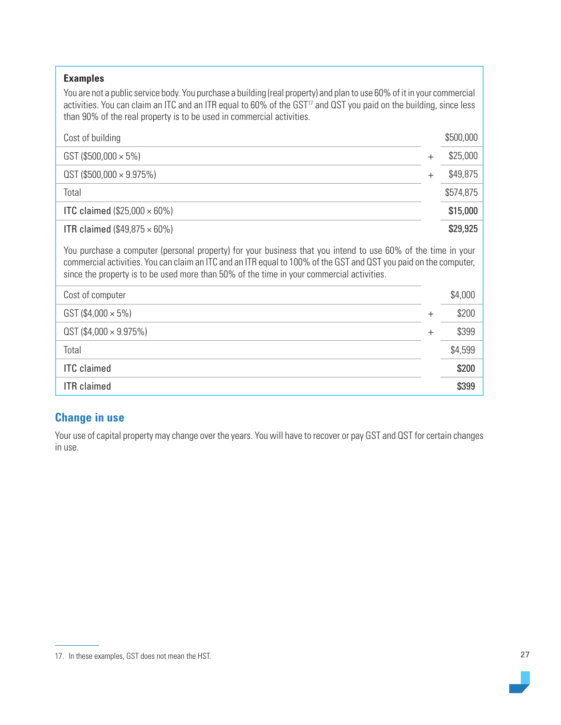| <b>Examples</b><br>You are not a public service body. You purchase a building (real property) and plan to use 60% of it in your commercial<br>activities. You can claim an ITC and an ITR equal to 60% of the GST <sup>17</sup> and QST you paid on the building, since less<br>than 90% of the real property is to be used in commercial activities. |        |           |
|-------------------------------------------------------------------------------------------------------------------------------------------------------------------------------------------------------------------------------------------------------------------------------------------------------------------------------------------------------|--------|-----------|
| Cost of building                                                                                                                                                                                                                                                                                                                                      |        | \$500,000 |
| GST (\$500,000 $\times$ 5%)                                                                                                                                                                                                                                                                                                                           | $^{+}$ | \$25,000  |
| $QST$ (\$500,000 $\times$ 9.975%)                                                                                                                                                                                                                                                                                                                     | $^{+}$ | \$49,875  |
| Total                                                                                                                                                                                                                                                                                                                                                 |        | \$574,875 |
| <b>ITC claimed (\$25,000 <math>\times</math> 60%)</b>                                                                                                                                                                                                                                                                                                 |        | \$15,000  |
| <b>ITR claimed (\$49,875 <math>\times</math> 60%)</b>                                                                                                                                                                                                                                                                                                 |        | \$29,925  |
| You purchase a computer (personal property) for your business that you intend to use 60% of the time in your<br>commercial activities. You can claim an ITC and an ITR equal to 100% of the GST and QST you paid on the computer,<br>since the property is to be used more than 50% of the time in your commercial activities.                        |        |           |
| Cost of computer                                                                                                                                                                                                                                                                                                                                      |        |           |
|                                                                                                                                                                                                                                                                                                                                                       |        | \$4,000   |
| GST (\$4,000 $\times$ 5%)                                                                                                                                                                                                                                                                                                                             | $+$    | \$200     |
| $QST$ (\$4,000 $\times$ 9.975%)                                                                                                                                                                                                                                                                                                                       | $^{+}$ | \$399     |
| Total                                                                                                                                                                                                                                                                                                                                                 |        | \$4,599   |
| <b>ITC</b> claimed                                                                                                                                                                                                                                                                                                                                    |        | \$200     |

# **Change in use**

Your use of capital property may change over the years. You will have to recover or pay GST and QST for certain changes in use.

<sup>17.</sup> In these examples, GST does not mean the HST.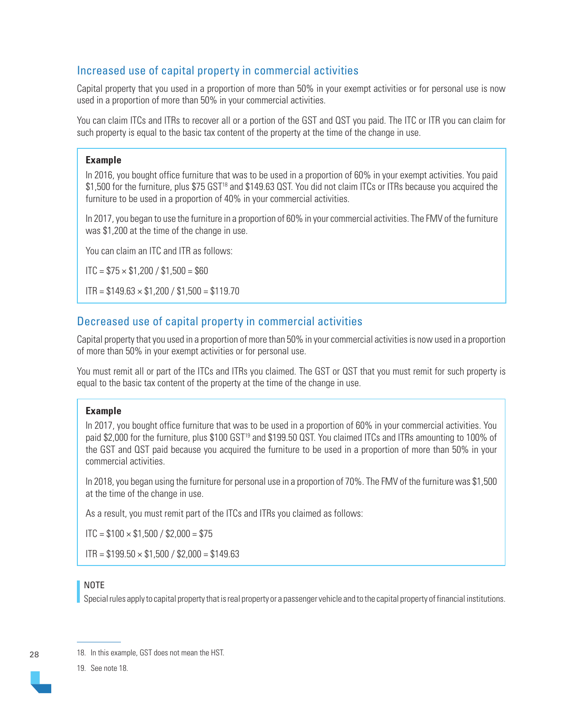# Increased use of capital property in commercial activities

Capital property that you used in a proportion of more than 50% in your exempt activities or for personal use is now used in a proportion of more than 50% in your commercial activities.

You can claim ITCs and ITRs to recover all or a portion of the GST and QST you paid. The ITC or ITR you can claim for such property is equal to the basic tax content of the property at the time of the change in use.

#### **Example**

In 2016, you bought office furniture that was to be used in a proportion of 60% in your exempt activities. You paid \$1,500 for the furniture, plus \$75 GST<sup>18</sup> and \$149.63 QST. You did not claim ITCs or ITRs because you acquired the furniture to be used in a proportion of 40% in your commercial activities.

In 2017, you began to use the furniture in a proportion of 60% in your commercial activities. The FMV of the furniture was \$1,200 at the time of the change in use.

You can claim an ITC and ITR as follows:

 $\text{ITC} = $75 \times $1,200 / $1,500 = $60$ 

 $ITR = $149.63 \times $1,200 / $1,500 = $119.70$ 

# Decreased use of capital property in commercial activities

Capital property that you used in a proportion of more than 50% in your commercial activities is now used in a proportion of more than 50% in your exempt activities or for personal use.

You must remit all or part of the ITCs and ITRs you claimed. The GST or QST that you must remit for such property is equal to the basic tax content of the property at the time of the change in use.

#### **Example**

In 2017, you bought office furniture that was to be used in a proportion of 60% in your commercial activities. You paid \$2,000 for the furniture, plus \$100 GST<sup>19</sup> and \$199.50 QST. You claimed ITCs and ITRs amounting to 100% of the GST and QST paid because you acquired the furniture to be used in a proportion of more than 50% in your commercial activities.

In 2018, you began using the furniture for personal use in a proportion of 70%. The FMV of the furniture was \$1,500 at the time of the change in use.

As a result, you must remit part of the ITCs and ITRs you claimed as follows:

 $ITC = $100 \times $1,500 / $2,000 = $75$ 

 $ITR = $199.50 \times $1,500 / $2,000 = $149.63$ 

#### NOTE

Special rules apply to capital property that is real property or a passenger vehicle and to the capital property of financial institutions.

28

19. See note 18.

<sup>18.</sup> In this example, GST does not mean the HST.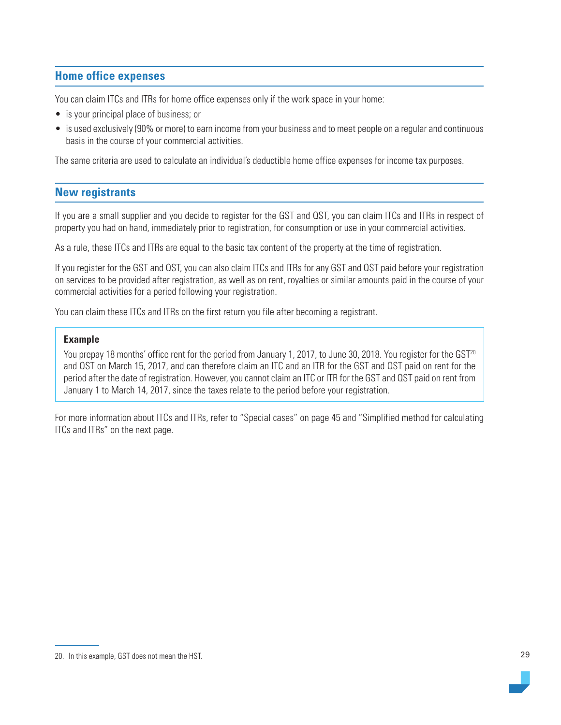# <span id="page-28-0"></span>**Home office expenses**

You can claim ITCs and ITRs for home office expenses only if the work space in your home:

- is your principal place of business; or
- is used exclusively (90% or more) to earn income from your business and to meet people on a regular and continuous basis in the course of your commercial activities.

The same criteria are used to calculate an individual's deductible home office expenses for income tax purposes.

## **New registrants**

If you are a small supplier and you decide to register for the GST and QST, you can claim ITCs and ITRs in respect of property you had on hand, immediately prior to registration, for consumption or use in your commercial activities.

As a rule, these ITCs and ITRs are equal to the basic tax content of the property at the time of registration.

If you register for the GST and QST, you can also claim ITCs and ITRs for any GST and QST paid before your registration on services to be provided after registration, as well as on rent, royalties or similar amounts paid in the course of your commercial activities for a period following your registration.

You can claim these ITCs and ITRs on the first return you file after becoming a registrant.

#### **Example**

You prepay 18 months' office rent for the period from January 1, 2017, to June 30, 2018. You register for the GST<sup>20</sup> and QST on March 15, 2017, and can therefore claim an ITC and an ITR for the GST and QST paid on rent for the period after the date of registration. However, you cannot claim an ITC or ITR for the GST and QST paid on rent from January 1 to March 14, 2017, since the taxes relate to the period before your registration.

For more information about ITCs and ITRs, refer to "Special cases" on page 45 and "Simplified method for calculating ITCs and ITRs" on the next page.

<sup>20.</sup> In this example, GST does not mean the HST.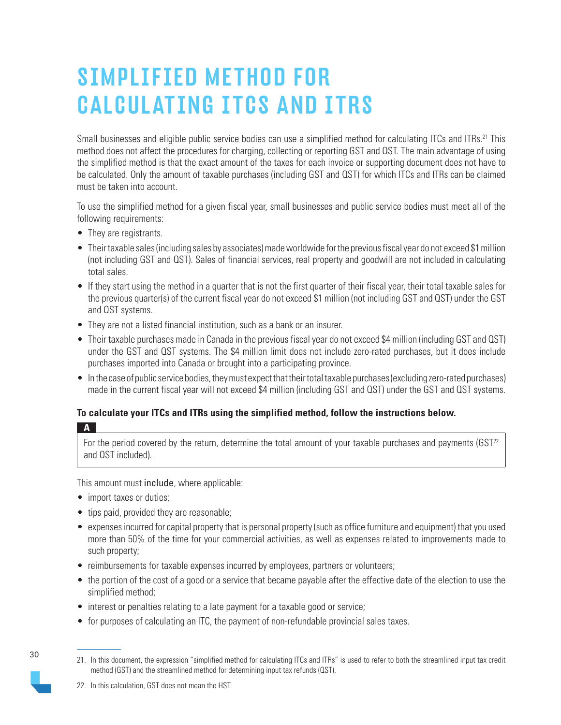# <span id="page-29-0"></span>SIMPLIFIED METHOD FOR CALCULATING ITCS AND ITRS

Small businesses and eligible public service bodies can use a simplified method for calculating ITCs and ITRs.<sup>21</sup> This method does not affect the procedures for charging, collecting or reporting GST and QST. The main advantage of using the simplified method is that the exact amount of the taxes for each invoice or supporting document does not have to be calculated. Only the amount of taxable purchases (including GST and QST) for which ITCs and ITRs can be claimed must be taken into account.

To use the simplified method for a given fiscal year, small businesses and public service bodies must meet all of the following requirements:

- They are registrants.
- Their taxable sales (including sales by associates) made worldwide for the previous fiscal year do not exceed \$1 million (not including GST and QST). Sales of financial services, real property and goodwill are not included in calculating total sales.
- If they start using the method in a quarter that is not the first quarter of their fiscal year, their total taxable sales for the previous quarter(s) of the current fiscal year do not exceed \$1 million (not including GST and QST) under the GST and QST systems.
- They are not a listed financial institution, such as a bank or an insurer.
- Their taxable purchases made in Canada in the previous fiscal year do not exceed \$4 million (including GST and QST) under the GST and QST systems. The \$4 million limit does not include zero-rated purchases, but it does include purchases imported into Canada or brought into a participating province.
- In the case of public service bodies, they must expect that their total taxable purchases (excluding zero-rated purchases) made in the current fiscal year will not exceed \$4 million (including GST and QST) under the GST and QST systems.

# **To calculate your ITCs and ITRs using the simplified method, follow the instructions below.**

**A**

For the period covered by the return, determine the total amount of your taxable purchases and payments  $(GST<sup>22</sup>)$ and QST included).

This amount must include, where applicable:

- import taxes or duties;
- tips paid, provided they are reasonable;
- expenses incurred for capital property that is personal property (such as office furniture and equipment) that you used more than 50% of the time for your commercial activities, as well as expenses related to improvements made to such property;
- reimbursements for taxable expenses incurred by employees, partners or volunteers;
- the portion of the cost of a good or a service that became payable after the effective date of the election to use the simplified method;
- interest or penalties relating to a late payment for a taxable good or service;
- for purposes of calculating an ITC, the payment of non-refundable provincial sales taxes.

<sup>21.</sup> In this document, the expression "simplified method for calculating ITCs and ITRs" is used to refer to both the streamlined input tax credit method (GST) and the streamlined method for determining input tax refunds (QST).

<sup>22.</sup> In this calculation, GST does not mean the HST.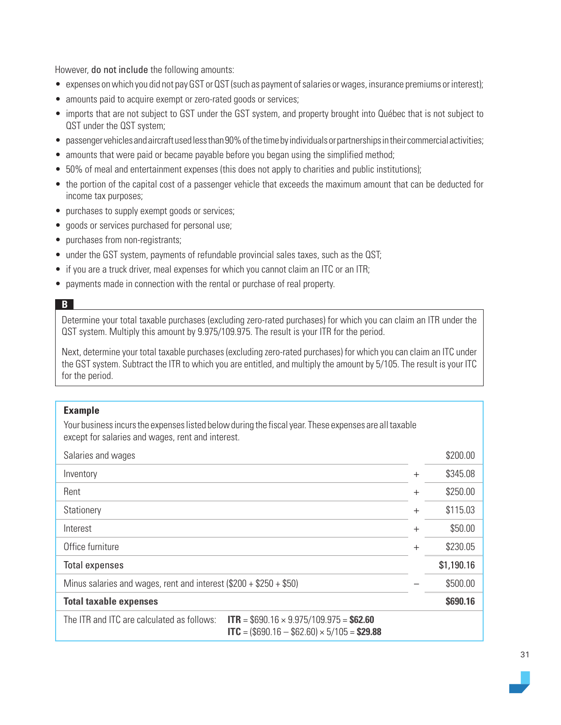However, do not include the following amounts:

- expenses on which you did not pay GST or QST (such as payment of salaries or wages, insurance premiums or interest);
- amounts paid to acquire exempt or zero-rated goods or services;
- imports that are not subject to GST under the GST system, and property brought into Québec that is not subject to QST under the QST system;
- passenger vehicles and aircraft used less than 90% of the time by individuals or partnerships in their commercial activities;
- amounts that were paid or became payable before you began using the simplified method;
- 50% of meal and entertainment expenses (this does not apply to charities and public institutions);
- the portion of the capital cost of a passenger vehicle that exceeds the maximum amount that can be deducted for income tax purposes;
- purchases to supply exempt goods or services;
- goods or services purchased for personal use;
- purchases from non-registrants;
- under the GST system, payments of refundable provincial sales taxes, such as the QST;
- if you are a truck driver, meal expenses for which you cannot claim an ITC or an ITR;
- payments made in connection with the rental or purchase of real property.

#### **B**

Determine your total taxable purchases (excluding zero-rated purchases) for which you can claim an ITR under the QST system. Multiply this amount by 9.975/109.975. The result is your ITR for the period.

Next, determine your total taxable purchases (excluding zero-rated purchases) for which you can claim an ITC under the GST system. Subtract the ITR to which you are entitled, and multiply the amount by 5/105. The result is your ITC for the period.

#### **Example**

Your business incurs the expenses listed below during the fiscal year. These expenses are all taxable except for salaries and wages, rent and interest.

| Salaries and wages                                                   |                                                                                                   |        | \$200.00   |
|----------------------------------------------------------------------|---------------------------------------------------------------------------------------------------|--------|------------|
| Inventory                                                            |                                                                                                   | $^{+}$ | \$345.08   |
| Rent                                                                 |                                                                                                   | $^{+}$ | \$250.00   |
| Stationery                                                           |                                                                                                   | $+$    | \$115.03   |
| Interest                                                             |                                                                                                   | $^{+}$ | \$50.00    |
| Office furniture                                                     |                                                                                                   | $+$    | \$230.05   |
| <b>Total expenses</b>                                                |                                                                                                   |        | \$1,190.16 |
| Minus salaries and wages, rent and interest $(\$200 + \$250 + \$50)$ |                                                                                                   |        | \$500.00   |
| <b>Total taxable expenses</b>                                        |                                                                                                   |        | \$690.16   |
| The ITR and ITC are calculated as follows:                           | $ITR = $690.16 \times 9.975/109.975 = $62.60$<br>$ITC = ($690.16 - $62.60) \times 5/105 = $29.88$ |        |            |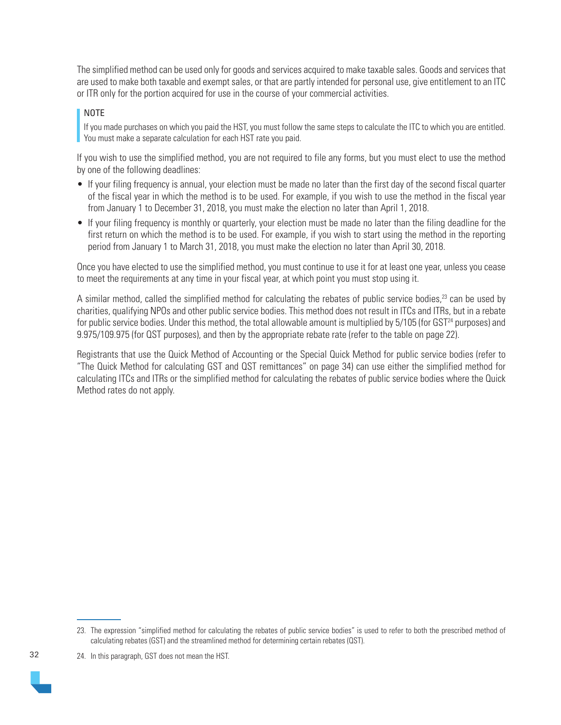The simplified method can be used only for goods and services acquired to make taxable sales. Goods and services that are used to make both taxable and exempt sales, or that are partly intended for personal use, give entitlement to an ITC or ITR only for the portion acquired for use in the course of your commercial activities.

#### NOTE

If you made purchases on which you paid the HST, you must follow the same steps to calculate the ITC to which you are entitled. You must make a separate calculation for each HST rate you paid.

If you wish to use the simplified method, you are not required to file any forms, but you must elect to use the method by one of the following deadlines:

- If your filing frequency is annual, your election must be made no later than the first day of the second fiscal quarter of the fiscal year in which the method is to be used. For example, if you wish to use the method in the fiscal year from January 1 to December 31, 2018, you must make the election no later than April 1, 2018.
- If your filing frequency is monthly or quarterly, your election must be made no later than the filing deadline for the first return on which the method is to be used. For example, if you wish to start using the method in the reporting period from January 1 to March 31, 2018, you must make the election no later than April 30, 2018.

Once you have elected to use the simplified method, you must continue to use it for at least one year, unless you cease to meet the requirements at any time in your fiscal year, at which point you must stop using it.

A similar method, called the simplified method for calculating the rebates of public service bodies, $^{23}$  can be used by charities, qualifying NPOs and other public service bodies. This method does not result in ITCs and ITRs, but in a rebate for public service bodies. Under this method, the total allowable amount is multiplied by 5/105 (for GST<sup>24</sup> purposes) and 9.975/109.975 (for QST purposes), and then by the appropriate rebate rate (refer to the table on page 22).

Registrants that use the Quick Method of Accounting or the Special Quick Method for public service bodies (refer to "The Quick Method for calculating GST and QST remittances" on page 34) can use either the simplified method for calculating ITCs and ITRs or the simplified method for calculating the rebates of public service bodies where the Quick Method rates do not apply.

<sup>23.</sup> The expression "simplified method for calculating the rebates of public service bodies" is used to refer to both the prescribed method of calculating rebates (GST) and the streamlined method for determining certain rebates (QST).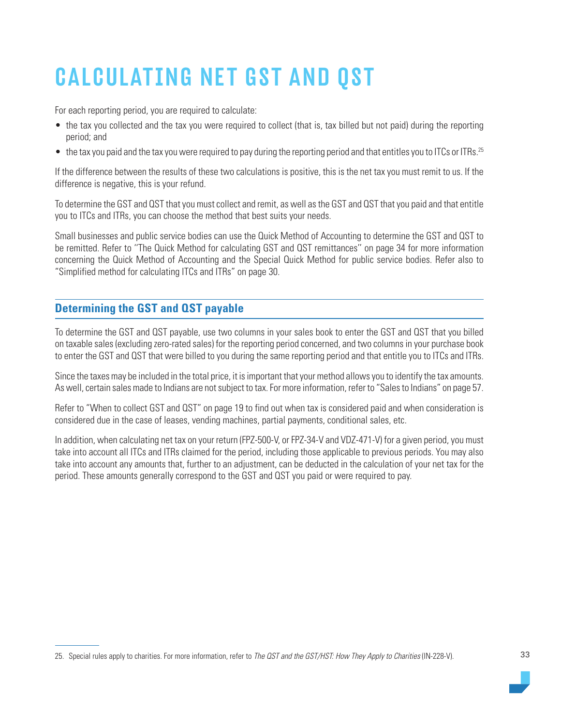# <span id="page-32-0"></span>CALCULATING NET GST AND QST

For each reporting period, you are required to calculate:

- the tax you collected and the tax you were required to collect (that is, tax billed but not paid) during the reporting period; and
- the tax you paid and the tax you were required to pay during the reporting period and that entitles you to ITCs or ITRs.<sup>25</sup>

If the difference between the results of these two calculations is positive, this is the net tax you must remit to us. If the difference is negative, this is your refund.

To determine the GST and QST that you must collect and remit, as well as the GST and QST that you paid and that entitle you to ITCs and ITRs, you can choose the method that best suits your needs.

Small businesses and public service bodies can use the Quick Method of Accounting to determine the GST and QST to be remitted. Refer to ''The Quick Method for calculating GST and QST remittances'' on page 34 for more information concerning the Quick Method of Accounting and the Special Quick Method for public service bodies. Refer also to "Simplified method for calculating ITCs and ITRs" on page 30.

# **Determining the GST and QST payable**

To determine the GST and QST payable, use two columns in your sales book to enter the GST and QST that you billed on taxable sales (excluding zero-rated sales) for the reporting period concerned, and two columns in your purchase book to enter the GST and QST that were billed to you during the same reporting period and that entitle you to ITCs and ITRs.

Since the taxes may be included in the total price, it is important that your method allows you to identify the tax amounts. As well, certain sales made to Indians are not subject to tax. For more information, refer to "Sales to Indians" on page 57.

Refer to "When to collect GST and QST" on page 19 to find out when tax is considered paid and when consideration is considered due in the case of leases, vending machines, partial payments, conditional sales, etc.

In addition, when calculating net tax on your return (FPZ-500-V, or FPZ-34-V and VDZ-471-V) for a given period, you must take into account all ITCs and ITRs claimed for the period, including those applicable to previous periods. You may also take into account any amounts that, further to an adjustment, can be deducted in the calculation of your net tax for the period. These amounts generally correspond to the GST and QST you paid or were required to pay.

<sup>25.</sup> Special rules apply to charities. For more information, refer to The QST and the GST/HST: How They Apply to Charities (IN-228-V).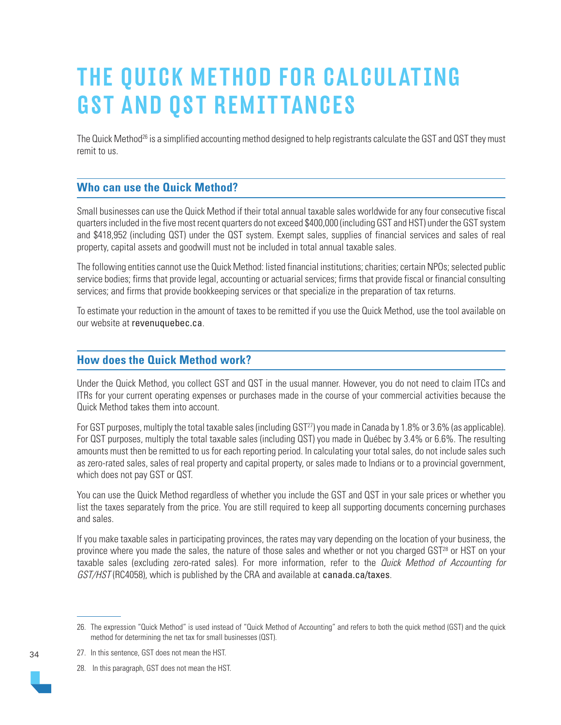# <span id="page-33-0"></span>THE QUICK METHOD FOR CALCULATING GST AND QST REMITTANCES

The Quick Method<sup>26</sup> is a simplified accounting method designed to help registrants calculate the GST and QST they must remit to us.

# **Who can use the Quick Method?**

Small businesses can use the Quick Method if their total annual taxable sales worldwide for any four consecutive fiscal quarters included in the five most recent quarters do not exceed \$400,000 (including GST and HST) under the GST system and \$418,952 (including QST) under the QST system. Exempt sales, supplies of financial services and sales of real property, capital assets and goodwill must not be included in total annual taxable sales.

The following entities cannot use the Quick Method: listed financial institutions; charities; certain NPOs; selected public service bodies; firms that provide legal, accounting or actuarial services; firms that provide fiscal or financial consulting services; and firms that provide bookkeeping services or that specialize in the preparation of tax returns.

To estimate your reduction in the amount of taxes to be remitted if you use the Quick Method, use the tool available on our website at [revenuquebec.ca](https://www.revenuquebec.ca/en/).

## **How does the Quick Method work?**

Under the Quick Method, you collect GST and QST in the usual manner. However, you do not need to claim ITCs and ITRs for your current operating expenses or purchases made in the course of your commercial activities because the Quick Method takes them into account.

For GST purposes, multiply the total taxable sales (including GST<sup>27</sup>) you made in Canada by 1.8% or 3.6% (as applicable). For QST purposes, multiply the total taxable sales (including QST) you made in Québec by 3.4% or 6.6%. The resulting amounts must then be remitted to us for each reporting period. In calculating your total sales, do not include sales such as zero-rated sales, sales of real property and capital property, or sales made to Indians or to a provincial government, which does not pay GST or QST.

You can use the Quick Method regardless of whether you include the GST and QST in your sale prices or whether you list the taxes separately from the price. You are still required to keep all supporting documents concerning purchases and sales.

If you make taxable sales in participating provinces, the rates may vary depending on the location of your business, the province where you made the sales, the nature of those sales and whether or not you charged GST<sup>28</sup> or HST on your taxable sales (excluding zero-rated sales). For more information, refer to the Quick Method of Accounting for GST/HST (RC4058), which is published by the CRA and available at [canada.ca/taxes](https://www.canada.ca/en/services/taxes.html).

28. In this paragraph, GST does not mean the HST.



<sup>26.</sup> The expression "Quick Method" is used instead of "Quick Method of Accounting" and refers to both the quick method (GST) and the quick method for determining the net tax for small businesses (QST).

<sup>27.</sup> In this sentence, GST does not mean the HST.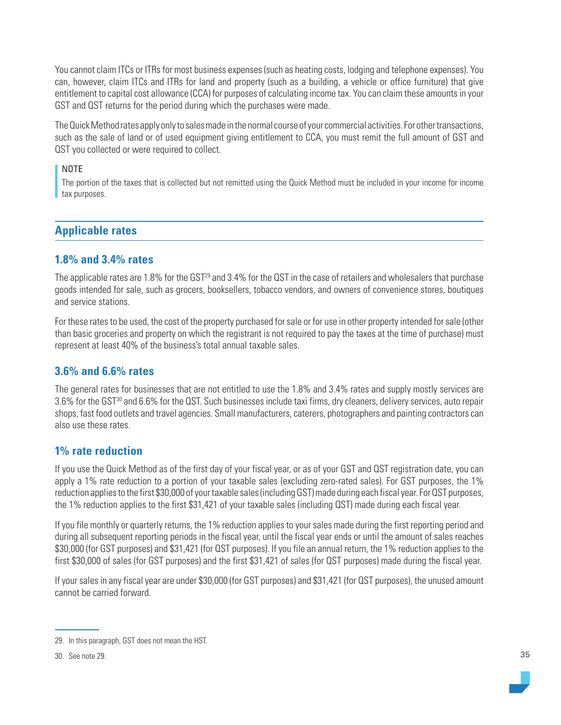<span id="page-34-0"></span>You cannot claim ITCs or ITRs for most business expenses (such as heating costs, lodging and telephone expenses). You can, however, claim ITCs and ITRs for land and property (such as a building, a vehicle or office furniture) that give entitlement to capital cost allowance (CCA) for purposes of calculating income tax. You can claim these amounts in your GST and QST returns for the period during which the purchases were made.

The Quick Method rates apply only to sales made in the normal course of your commercial activities. For other transactions, such as the sale of land or of used equipment giving entitlement to CCA, you must remit the full amount of GST and QST you collected or were required to collect.

#### NOTE

The portion of the taxes that is collected but not remitted using the Quick Method must be included in your income for income tax purposes.

# **Applicable rates**

# **1.8% and 3.4% rates**

The applicable rates are 1.8% for the  $\text{GST}^{29}$  and 3.4% for the QST in the case of retailers and wholesalers that purchase goods intended for sale, such as grocers, booksellers, tobacco vendors, and owners of convenience stores, boutiques and service stations.

For these rates to be used, the cost of the property purchased for sale or for use in other property intended for sale (other than basic groceries and property on which the registrant is not required to pay the taxes at the time of purchase) must represent at least 40% of the business's total annual taxable sales.

## **3.6% and 6.6% rates**

The general rates for businesses that are not entitled to use the 1.8% and 3.4% rates and supply mostly services are 3.6% for the GST30 and 6.6% for the QST. Such businesses include taxi firms, dry cleaners, delivery services, auto repair shops, fast food outlets and travel agencies. Small manufacturers, caterers, photographers and painting contractors can also use these rates.

## **1% rate reduction**

If you use the Quick Method as of the first day of your fiscal year, or as of your GST and QST registration date, you can apply a 1% rate reduction to a portion of your taxable sales (excluding zero-rated sales). For GST purposes, the 1% reduction applies to the first \$30,000 of your taxable sales (including GST) made during each fiscal year. For QST purposes, the 1% reduction applies to the first \$31,421 of your taxable sales (including QST) made during each fiscal year.

If you file monthly or quarterly returns, the 1% reduction applies to your sales made during the first reporting period and during all subsequent reporting periods in the fiscal year, until the fiscal year ends or until the amount of sales reaches \$30,000 (for GST purposes) and \$31,421 (for QST purposes). If you file an annual return, the 1% reduction applies to the first \$30,000 of sales (for GST purposes) and the first \$31,421 of sales (for QST purposes) made during the fiscal year.

If your sales in any fiscal year are under \$30,000 (for GST purposes) and \$31,421 (for QST purposes), the unused amount cannot be carried forward.

<sup>29.</sup> In this paragraph, GST does not mean the HST.

<sup>30.</sup> See note 29.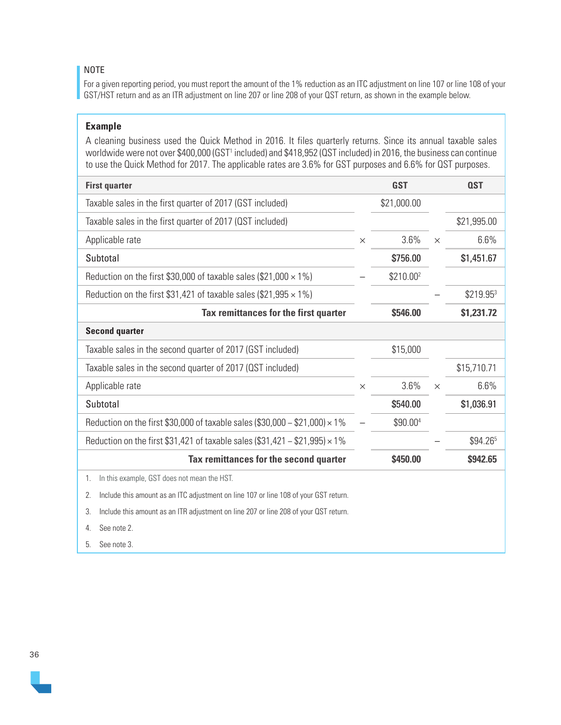#### NOTE

For a given reporting period, you must report the amount of the 1% reduction as an ITC adjustment on line 107 or line 108 of your GST/HST return and as an ITR adjustment on line 207 or line 208 of your QST return, as shown in the example below.

#### **Example**

A cleaning business used the Quick Method in 2016. It files quarterly returns. Since its annual taxable sales worldwide were not over \$400,000 (GST1 included) and \$418,952 (QST included) in 2016, the business can continue to use the Quick Method for 2017. The applicable rates are 3.6% for GST purposes and 6.6% for QST purposes.

| <b>First quarter</b>                                                                       |          | <b>GST</b>            |          | <b>QST</b>  |
|--------------------------------------------------------------------------------------------|----------|-----------------------|----------|-------------|
| Taxable sales in the first quarter of 2017 (GST included)                                  |          | \$21,000.00           |          |             |
| Taxable sales in the first quarter of 2017 (QST included)                                  |          |                       |          | \$21,995.00 |
| Applicable rate                                                                            | $\times$ | 3.6%                  | $\times$ | 6.6%        |
| Subtotal                                                                                   |          | \$756.00              |          | \$1,451.67  |
| Reduction on the first \$30,000 of taxable sales (\$21,000 $\times$ 1%)                    |          | \$210.00 <sup>2</sup> |          |             |
| Reduction on the first \$31,421 of taxable sales (\$21,995 $\times$ 1%)                    |          |                       |          | \$219.953   |
| Tax remittances for the first quarter                                                      |          | \$546.00              |          | \$1,231.72  |
| <b>Second quarter</b>                                                                      |          |                       |          |             |
| Taxable sales in the second quarter of 2017 (GST included)                                 |          | \$15,000              |          |             |
| Taxable sales in the second quarter of 2017 (QST included)                                 |          |                       |          | \$15,710.71 |
| Applicable rate                                                                            | $\times$ | 3.6%                  | $\times$ | 6.6%        |
| Subtotal                                                                                   |          | \$540.00              |          | \$1,036.91  |
| Reduction on the first \$30,000 of taxable sales (\$30,000 - \$21,000) $\times$ 1%         |          | \$90.004              |          |             |
| Reduction on the first \$31,421 of taxable sales (\$31,421 - \$21,995) $\times$ 1%         |          |                       |          | \$94.265    |
| Tax remittances for the second quarter                                                     |          | \$450.00              |          | \$942.65    |
| In this example, GST does not mean the HST.<br>1.                                          |          |                       |          |             |
| Include this amount as an ITC adjustment on line 107 or line 108 of your GST return.<br>2. |          |                       |          |             |
| Include this amount as an ITR adjustment on line 207 or line 208 of your QST return.<br>3. |          |                       |          |             |
| See note 2.<br>4.                                                                          |          |                       |          |             |

5. See note 3.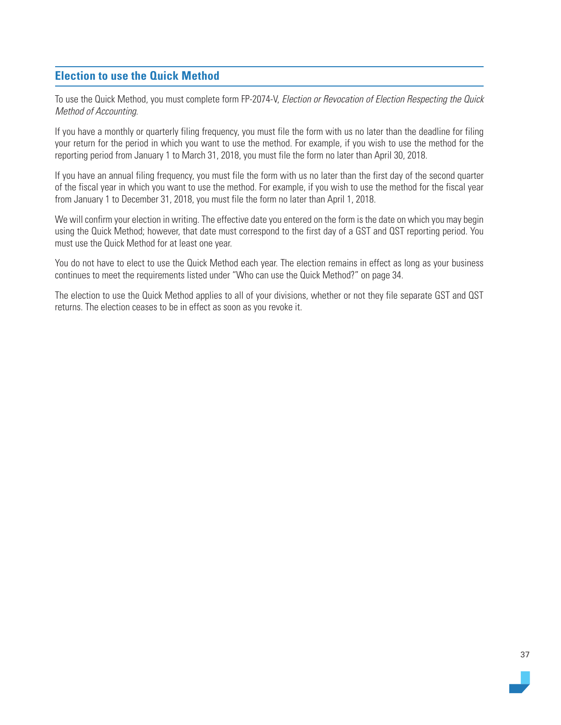# **Election to use the Quick Method**

To use the Quick Method, you must complete form FP-2074-V, Election or Revocation of Election Respecting the Quick Method of Accounting.

If you have a monthly or quarterly filing frequency, you must file the form with us no later than the deadline for filing your return for the period in which you want to use the method. For example, if you wish to use the method for the reporting period from January 1 to March 31, 2018, you must file the form no later than April 30, 2018.

If you have an annual filing frequency, you must file the form with us no later than the first day of the second quarter of the fiscal year in which you want to use the method. For example, if you wish to use the method for the fiscal year from January 1 to December 31, 2018, you must file the form no later than April 1, 2018.

We will confirm your election in writing. The effective date you entered on the form is the date on which you may begin using the Quick Method; however, that date must correspond to the first day of a GST and QST reporting period. You must use the Quick Method for at least one year.

You do not have to elect to use the Quick Method each year. The election remains in effect as long as your business continues to meet the requirements listed under "Who can use the Quick Method?" on page 34.

The election to use the Quick Method applies to all of your divisions, whether or not they file separate GST and QST returns. The election ceases to be in effect as soon as you revoke it.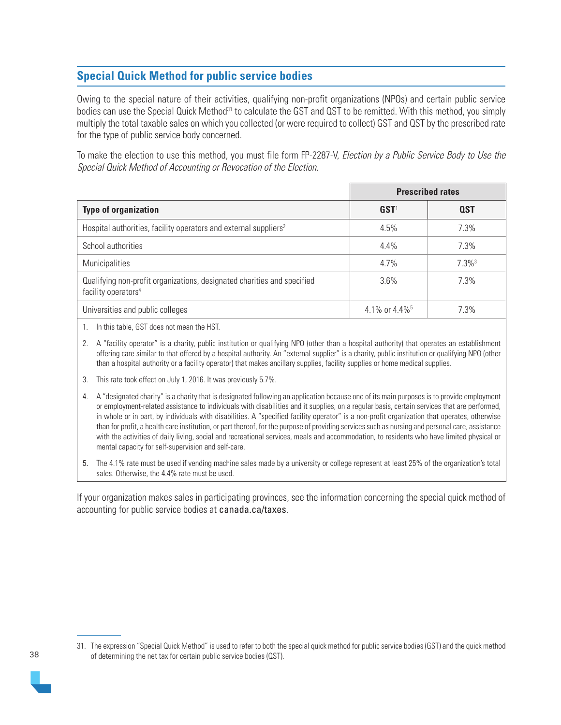# **Special Quick Method for public service bodies**

Owing to the special nature of their activities, qualifying non-profit organizations (NPOs) and certain public service bodies can use the Special Quick Method<sup>31</sup> to calculate the GST and QST to be remitted. With this method, you simply multiply the total taxable sales on which you collected (or were required to collect) GST and QST by the prescribed rate for the type of public service body concerned.

To make the election to use this method, you must file form FP-2287-V, Election by a Public Service Body to Use the Special Quick Method of Accounting or Revocation of the Election.

|                                                                                                            | <b>Prescribed rates</b>       |                      |  |
|------------------------------------------------------------------------------------------------------------|-------------------------------|----------------------|--|
| <b>Type of organization</b>                                                                                | $GST1$                        | <b>QST</b>           |  |
| Hospital authorities, facility operators and external suppliers <sup>2</sup>                               | 4.5%                          | 7.3%                 |  |
| School authorities                                                                                         | 4.4%                          | 7.3%                 |  |
| Municipalities                                                                                             | 4.7%                          | $7.3\%$ <sup>3</sup> |  |
| Qualifying non-profit organizations, designated charities and specified<br>facility operators <sup>4</sup> | 3.6%                          | 7.3%                 |  |
| Universities and public colleges                                                                           | 4.1\% or $4.4\%$ <sup>5</sup> | 7.3%                 |  |

1. In this table, GST does not mean the HST.

2. A "facility operator" is a charity, public institution or qualifying NPO (other than a hospital authority) that operates an establishment offering care similar to that offered by a hospital authority. An "external supplier" is a charity, public institution or qualifying NPO (other than a hospital authority or a facility operator) that makes ancillary supplies, facility supplies or home medical supplies.

3. This rate took effect on July 1, 2016. It was previously 5.7%.

4. A "designated charity" is a charity that is designated following an application because one of its main purposes is to provide employment or employment-related assistance to individuals with disabilities and it supplies, on a regular basis, certain services that are performed, in whole or in part, by individuals with disabilities. A "specified facility operator" is a non-profit organization that operates, otherwise than for profit, a health care institution, or part thereof, for the purpose of providing services such as nursing and personal care, assistance with the activities of daily living, social and recreational services, meals and accommodation, to residents who have limited physical or mental capacity for self-supervision and self-care.

5. The 4.1% rate must be used if vending machine sales made by a university or college represent at least 25% of the organization's total sales. Otherwise, the 4.4% rate must be used.

If your organization makes sales in participating provinces, see the information concerning the special quick method of accounting for public service bodies at [canada.ca/taxes](https://www.canada.ca/en/services/taxes.html).



<sup>31.</sup> The expression "Special Quick Method" is used to refer to both the special quick method for public service bodies (GST) and the quick method of determining the net tax for certain public service bodies (QST).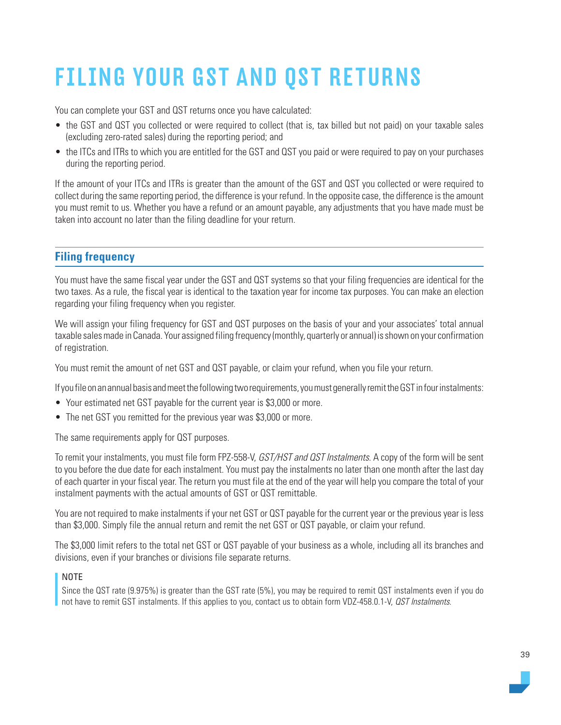# FILING YOUR GST AND QST RETURNS

You can complete your GST and QST returns once you have calculated:

- the GST and QST you collected or were required to collect (that is, tax billed but not paid) on your taxable sales (excluding zero-rated sales) during the reporting period; and
- the ITCs and ITRs to which you are entitled for the GST and QST you paid or were required to pay on your purchases during the reporting period.

If the amount of your ITCs and ITRs is greater than the amount of the GST and QST you collected or were required to collect during the same reporting period, the difference is your refund. In the opposite case, the difference is the amount you must remit to us. Whether you have a refund or an amount payable, any adjustments that you have made must be taken into account no later than the filing deadline for your return.

# **Filing frequency**

You must have the same fiscal year under the GST and QST systems so that your filing frequencies are identical for the two taxes. As a rule, the fiscal year is identical to the taxation year for income tax purposes. You can make an election regarding your filing frequency when you register.

We will assign your filing frequency for GST and QST purposes on the basis of your and your associates' total annual taxable sales made in Canada. Your assigned filing frequency (monthly, quarterly or annual) is shown on your confirmation of registration.

You must remit the amount of net GST and QST payable, or claim your refund, when you file your return.

If you file on an annual basis and meet the following two requirements, you must generally remit the GST in four instalments:

- Your estimated net GST payable for the current year is \$3,000 or more.
- The net GST you remitted for the previous year was \$3,000 or more.

The same requirements apply for QST purposes.

To remit your instalments, you must file form FPZ-558-V, GST/HST and QST Instalments. A copy of the form will be sent to you before the due date for each instalment. You must pay the instalments no later than one month after the last day of each quarter in your fiscal year. The return you must file at the end of the year will help you compare the total of your instalment payments with the actual amounts of GST or QST remittable.

You are not required to make instalments if your net GST or QST payable for the current year or the previous year is less than \$3,000. Simply file the annual return and remit the net GST or QST payable, or claim your refund.

The \$3,000 limit refers to the total net GST or QST payable of your business as a whole, including all its branches and divisions, even if your branches or divisions file separate returns.

## NOTE

Since the QST rate (9.975%) is greater than the GST rate (5%), you may be required to remit QST instalments even if you do not have to remit GST instalments. If this applies to you, contact us to obtain form VDZ-458.0.1-V, *QST Instalments*.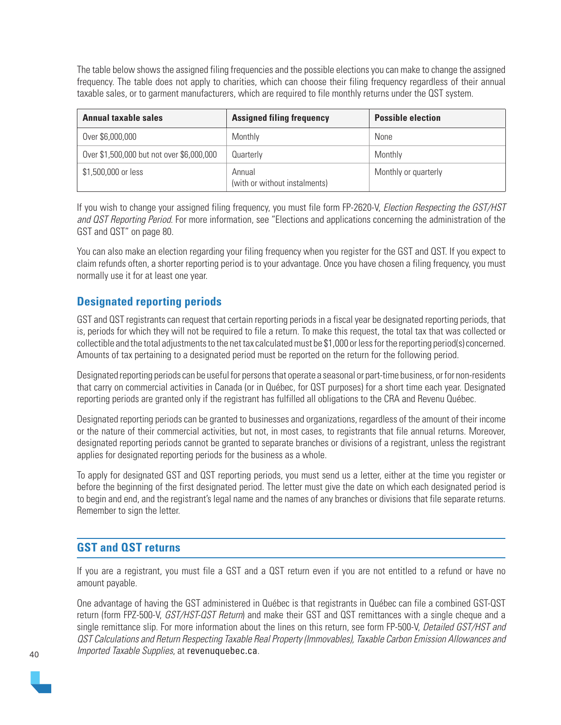The table below shows the assigned filing frequencies and the possible elections you can make to change the assigned frequency. The table does not apply to charities, which can choose their filing frequency regardless of their annual taxable sales, or to garment manufacturers, which are required to file monthly returns under the QST system.

| <b>Annual taxable sales</b>               | <b>Assigned filing frequency</b>        | <b>Possible election</b> |
|-------------------------------------------|-----------------------------------------|--------------------------|
| Over \$6,000,000                          | Monthly                                 | None                     |
| Over \$1,500,000 but not over \$6,000,000 | Quarterly                               | Monthly                  |
| \$1,500,000 or less                       | Annual<br>(with or without instalments) | Monthly or quarterly     |

If you wish to change your assigned filing frequency, you must file form FP-2620-V, *Election Respecting the GST/HST* and QST Reporting Period. For more information, see "Elections and applications concerning the administration of the GST and QST" on page 80.

You can also make an election regarding your filing frequency when you register for the GST and QST. If you expect to claim refunds often, a shorter reporting period is to your advantage. Once you have chosen a filing frequency, you must normally use it for at least one year.

# **Designated reporting periods**

GST and QST registrants can request that certain reporting periods in a fiscal year be designated reporting periods, that is, periods for which they will not be required to file a return. To make this request, the total tax that was collected or collectible and the total adjustments to the net tax calculated must be \$1,000 or less for the reporting period(s) concerned. Amounts of tax pertaining to a designated period must be reported on the return for the following period.

Designated reporting periods can be useful for persons that operate a seasonal or part-time business, or for non-residents that carry on commercial activities in Canada (or in Québec, for QST purposes) for a short time each year. Designated reporting periods are granted only if the registrant has fulfilled all obligations to the CRA and Revenu Québec.

Designated reporting periods can be granted to businesses and organizations, regardless of the amount of their income or the nature of their commercial activities, but not, in most cases, to registrants that file annual returns. Moreover, designated reporting periods cannot be granted to separate branches or divisions of a registrant, unless the registrant applies for designated reporting periods for the business as a whole.

To apply for designated GST and QST reporting periods, you must send us a letter, either at the time you register or before the beginning of the first designated period. The letter must give the date on which each designated period is to begin and end, and the registrant's legal name and the names of any branches or divisions that file separate returns. Remember to sign the letter.

# **GST and QST returns**

If you are a registrant, you must file a GST and a QST return even if you are not entitled to a refund or have no amount payable.

One advantage of having the GST administered in Québec is that registrants in Québec can file a combined GST-QST return (form FPZ-500-V, GST/HST-QST Return) and make their GST and QST remittances with a single cheque and a single remittance slip. For more information about the lines on this return, see form FP-500-V, Detailed GST/HST and QST Calculations and Return Respecting Taxable Real Property (Immovables), Taxable Carbon Emission Allowances and Imported Taxable Supplies, at [revenuquebec.ca](https://www.revenuquebec.ca/en/).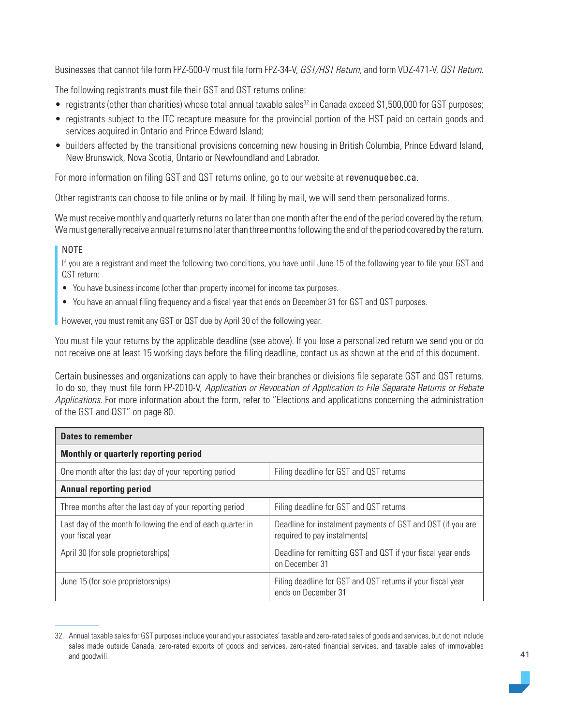Businesses that cannot file form FPZ-500-V must file form FPZ-34-V, GST/HST Return, and form VDZ-471-V, QST Return.

The following registrants must file their GST and QST returns online:

- registrants (other than charities) whose total annual taxable sales<sup>32</sup> in Canada exceed \$1,500,000 for GST purposes;
- registrants subject to the ITC recapture measure for the provincial portion of the HST paid on certain goods and services acquired in Ontario and Prince Edward Island;
- builders affected by the transitional provisions concerning new housing in British Columbia, Prince Edward Island, New Brunswick, Nova Scotia, Ontario or Newfoundland and Labrador.

For more information on filing GST and QST returns online, go to our website at [revenuquebec.ca](https://www.revenuquebec.ca/en/).

Other registrants can choose to file online or by mail. If filing by mail, we will send them personalized forms.

We must receive monthly and quarterly returns no later than one month after the end of the period covered by the return. We must generally receive annual returns no later than three months following the end of the period covered by the return.

#### NOTE

If you are a registrant and meet the following two conditions, you have until June 15 of the following year to file your GST and QST return:

- You have business income (other than property income) for income tax purposes.
- You have an annual filing frequency and a fiscal year that ends on December 31 for GST and QST purposes.

However, you must remit any GST or QST due by April 30 of the following year.

You must file your returns by the applicable deadline (see above). If you lose a personalized return we send you or do not receive one at least 15 working days before the filing deadline, contact us as shown at the end of this document.

Certain businesses and organizations can apply to have their branches or divisions file separate GST and QST returns. To do so, they must file form FP-2010-V, Application or Revocation of Application to File Separate Returns or Rebate Applications. For more information about the form, refer to "Elections and applications concerning the administration of the GST and QST" on page 80.

| <b>Dates to remember</b>                                                       |                                                                                             |
|--------------------------------------------------------------------------------|---------------------------------------------------------------------------------------------|
| Monthly or quarterly reporting period                                          |                                                                                             |
| One month after the last day of your reporting period                          | Filing deadline for GST and QST returns                                                     |
| <b>Annual reporting period</b>                                                 |                                                                                             |
| Three months after the last day of your reporting period                       | Filing deadline for GST and QST returns                                                     |
| Last day of the month following the end of each quarter in<br>your fiscal year | Deadline for instalment payments of GST and QST (if you are<br>required to pay instalments) |
| April 30 (for sole proprietorships)                                            | Deadline for remitting GST and QST if your fiscal year ends<br>on December 31               |
| June 15 (for sole proprietorships)                                             | Filing deadline for GST and QST returns if your fiscal year<br>ends on December 31          |

<sup>32.</sup> Annual taxable sales for GST purposes include your and your associates' taxable and zero-rated sales of goods and services, but do not include sales made outside Canada, zero-rated exports of goods and services, zero-rated financial services, and taxable sales of immovables and goodwill.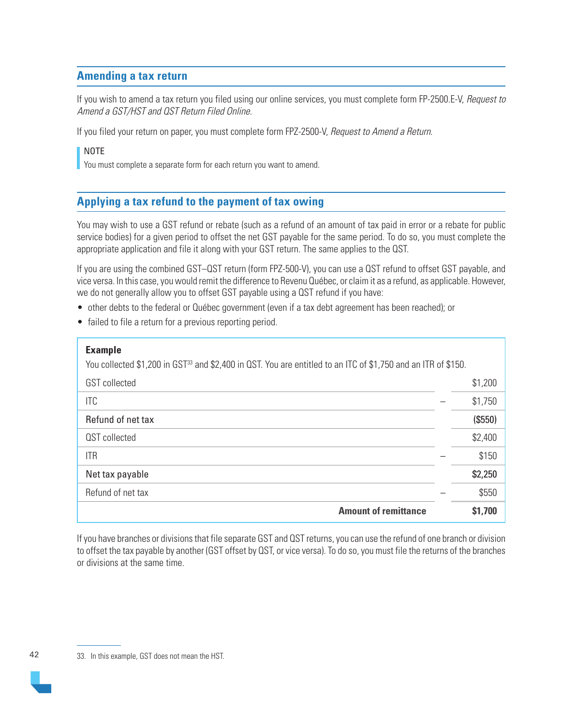# **Amending a tax return**

If you wish to amend a tax return you filed using our online services, you must complete form FP-2500.E-V, Request to Amend a GST/HST and QST Return Filed Online.

If you filed your return on paper, you must complete form FPZ-2500-V, Request to Amend a Return.

## NOTE

You must complete a separate form for each return you want to amend.

# **Applying a tax refund to the payment of tax owing**

You may wish to use a GST refund or rebate (such as a refund of an amount of tax paid in error or a rebate for public service bodies) for a given period to offset the net GST payable for the same period. To do so, you must complete the appropriate application and file it along with your GST return. The same applies to the QST.

If you are using the combined GST–QST return (form FPZ-500-V), you can use a QST refund to offset GST payable, and vice versa. In this case, you would remit the difference to Revenu Québec, or claim it as a refund, as applicable. However, we do not generally allow you to offset GST payable using a QST refund if you have:

- other debts to the federal or Québec government (even if a tax debt agreement has been reached); or
- failed to file a return for a previous reporting period.

| <b>Example</b>                                                                                                            |         |
|---------------------------------------------------------------------------------------------------------------------------|---------|
| You collected \$1,200 in GST <sup>33</sup> and \$2,400 in QST. You are entitled to an ITC of \$1,750 and an ITR of \$150. |         |
| <b>GST</b> collected                                                                                                      | \$1,200 |
| <b>ITC</b>                                                                                                                | \$1,750 |
| Refund of net tax                                                                                                         | (\$550) |
| QST collected                                                                                                             | \$2,400 |
| <b>ITR</b>                                                                                                                | \$150   |
| Net tax payable                                                                                                           | \$2,250 |
| Refund of net tax                                                                                                         | \$550   |
| <b>Amount of remittance</b>                                                                                               | \$1,700 |

If you have branches or divisions that file separate GST and QST returns, you can use the refund of one branch or division to offset the tax payable by another (GST offset by QST, or vice versa). To do so, you must file the returns of the branches or divisions at the same time.

<sup>42</sup> 33. In this example, GST does not mean the HST.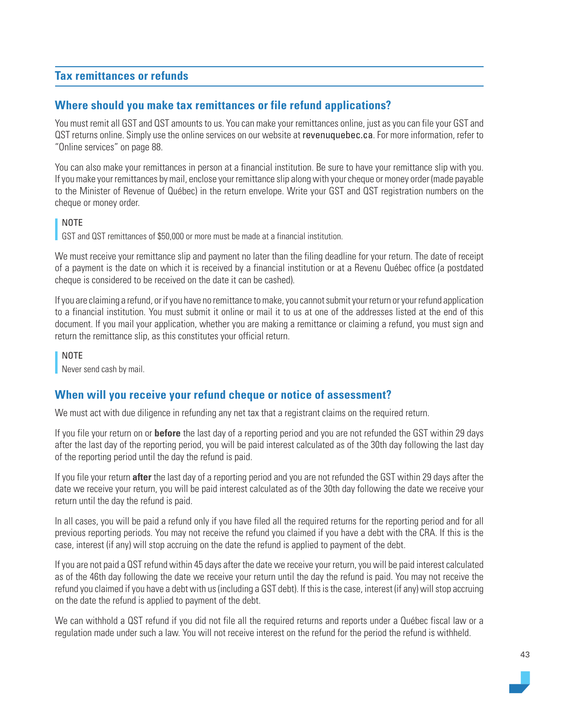# **Tax remittances or refunds**

## **Where should you make tax remittances or file refund applications?**

You must remit all GST and QST amounts to us. You can make your remittances online, just as you can file your GST and QST returns online. Simply use the online services on our website at [revenuquebec.ca](https://www.revenuquebec.ca/en/). For more information, refer to "Online services" on page 88.

You can also make your remittances in person at a financial institution. Be sure to have your remittance slip with you. If you make your remittances by mail, enclose your remittance slip along with your cheque or money order (made payable to the Minister of Revenue of Québec) in the return envelope. Write your GST and QST registration numbers on the cheque or money order.

## NOTE

GST and QST remittances of \$50,000 or more must be made at a financial institution.

We must receive your remittance slip and payment no later than the filing deadline for your return. The date of receipt of a payment is the date on which it is received by a financial institution or at a Revenu Québec office (a postdated cheque is considered to be received on the date it can be cashed).

If you are claiming a refund, or if you have no remittance to make, you cannot submit your return or your refund application to a financial institution. You must submit it online or mail it to us at one of the addresses listed at the end of this document. If you mail your application, whether you are making a remittance or claiming a refund, you must sign and return the remittance slip, as this constitutes your official return.

NOTE

Never send cash by mail.

# **When will you receive your refund cheque or notice of assessment?**

We must act with due diligence in refunding any net tax that a registrant claims on the required return.

If you file your return on or **before** the last day of a reporting period and you are not refunded the GST within 29 days after the last day of the reporting period, you will be paid interest calculated as of the 30th day following the last day of the reporting period until the day the refund is paid.

If you file your return **after** the last day of a reporting period and you are not refunded the GST within 29 days after the date we receive your return, you will be paid interest calculated as of the 30th day following the date we receive your return until the day the refund is paid.

In all cases, you will be paid a refund only if you have filed all the required returns for the reporting period and for all previous reporting periods. You may not receive the refund you claimed if you have a debt with the CRA. If this is the case, interest (if any) will stop accruing on the date the refund is applied to payment of the debt.

If you are not paid a QST refund within 45 days after the date we receive your return, you will be paid interest calculated as of the 46th day following the date we receive your return until the day the refund is paid. You may not receive the refund you claimed if you have a debt with us (including a GST debt). If this is the case, interest (if any) will stop accruing on the date the refund is applied to payment of the debt.

We can withhold a QST refund if you did not file all the required returns and reports under a Québec fiscal law or a regulation made under such a law. You will not receive interest on the refund for the period the refund is withheld.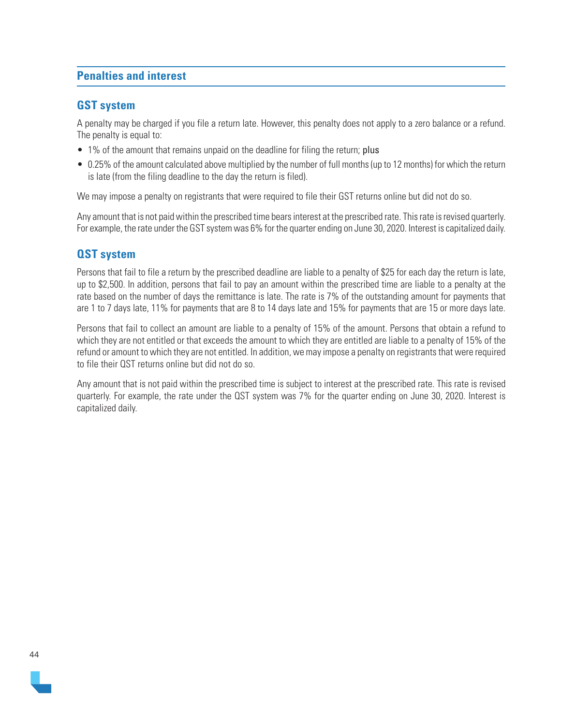# **Penalties and interest**

## **GST system**

A penalty may be charged if you file a return late. However, this penalty does not apply to a zero balance or a refund. The penalty is equal to:

- 1% of the amount that remains unpaid on the deadline for filing the return; plus
- 0.25% of the amount calculated above multiplied by the number of full months (up to 12 months) for which the return is late (from the filing deadline to the day the return is filed).

We may impose a penalty on registrants that were required to file their GST returns online but did not do so.

Any amount that is not paid within the prescribed time bears interest at the prescribed rate. This rate is revised quarterly. For example, the rate under the GST system was 6% for the quarter ending on June 30, 2020. Interest is capitalized daily.

# **QST system**

Persons that fail to file a return by the prescribed deadline are liable to a penalty of \$25 for each day the return is late, up to \$2,500. In addition, persons that fail to pay an amount within the prescribed time are liable to a penalty at the rate based on the number of days the remittance is late. The rate is 7% of the outstanding amount for payments that are 1 to 7 days late, 11% for payments that are 8 to 14 days late and 15% for payments that are 15 or more days late.

Persons that fail to collect an amount are liable to a penalty of 15% of the amount. Persons that obtain a refund to which they are not entitled or that exceeds the amount to which they are entitled are liable to a penalty of 15% of the refund or amount to which they are not entitled. In addition, we may impose a penalty on registrants that were required to file their QST returns online but did not do so.

Any amount that is not paid within the prescribed time is subject to interest at the prescribed rate. This rate is revised quarterly. For example, the rate under the QST system was 7% for the quarter ending on June 30, 2020. Interest is capitalized daily.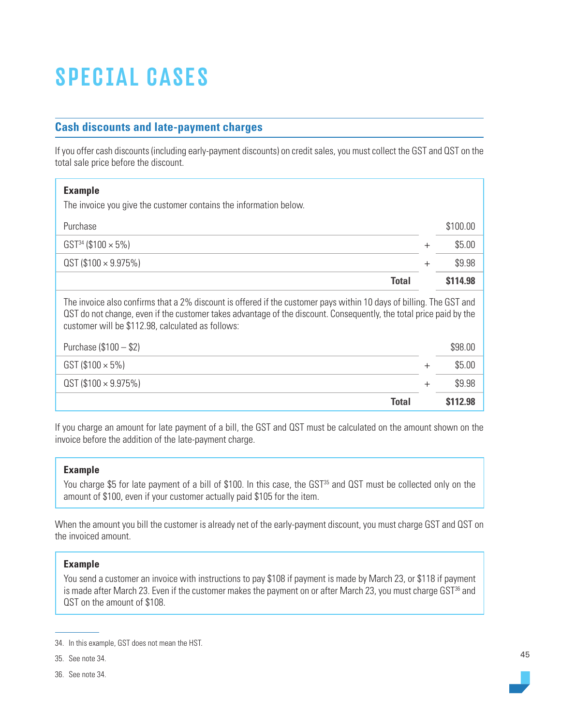# SPECIAL CASES

# **Cash discounts and late-payment charges**

If you offer cash discounts (including early-payment discounts) on credit sales, you must collect the GST and QST on the total sale price before the discount.

| <b>Example</b><br>The invoice you give the customer contains the information below.                                                                                                                                                                                                            |        |                |
|------------------------------------------------------------------------------------------------------------------------------------------------------------------------------------------------------------------------------------------------------------------------------------------------|--------|----------------|
| Purchase                                                                                                                                                                                                                                                                                       |        | \$100.00       |
| $GST^{34}$ (\$100 $\times$ 5%)                                                                                                                                                                                                                                                                 | $+$    | \$5.00         |
| $QST(100 \times 9.975%)$                                                                                                                                                                                                                                                                       | $^{+}$ | \$9.98         |
| <b>Total</b>                                                                                                                                                                                                                                                                                   |        | \$114.98       |
| The invoice also confirms that a 2% discount is offered if the customer pays within 10 days of billing. The GST and<br>QST do not change, even if the customer takes advantage of the discount. Consequently, the total price paid by the<br>customer will be \$112.98, calculated as follows: |        |                |
| Purchase $($100 - $2)$                                                                                                                                                                                                                                                                         |        | \$98.00        |
| $GST$ (\$100 $\times$ 5%)                                                                                                                                                                                                                                                                      |        | \$5.00         |
| $QST(100 \times 9.975%)$                                                                                                                                                                                                                                                                       | $^+$   | \$9.98         |
| <b>Total</b>                                                                                                                                                                                                                                                                                   |        | <b>S112.98</b> |

If you charge an amount for late payment of a bill, the GST and QST must be calculated on the amount shown on the invoice before the addition of the late-payment charge.

#### **Example**

You charge \$5 for late payment of a bill of \$100. In this case, the GST<sup>35</sup> and QST must be collected only on the amount of \$100, even if your customer actually paid \$105 for the item.

When the amount you bill the customer is already net of the early-payment discount, you must charge GST and QST on the invoiced amount.

## **Example**

You send a customer an invoice with instructions to pay \$108 if payment is made by March 23, or \$118 if payment is made after March 23. Even if the customer makes the payment on or after March 23, you must charge GST<sup>36</sup> and QST on the amount of \$108.

<sup>34.</sup> In this example, GST does not mean the HST.

<sup>35.</sup> See note 34.

<sup>36.</sup> See note 34.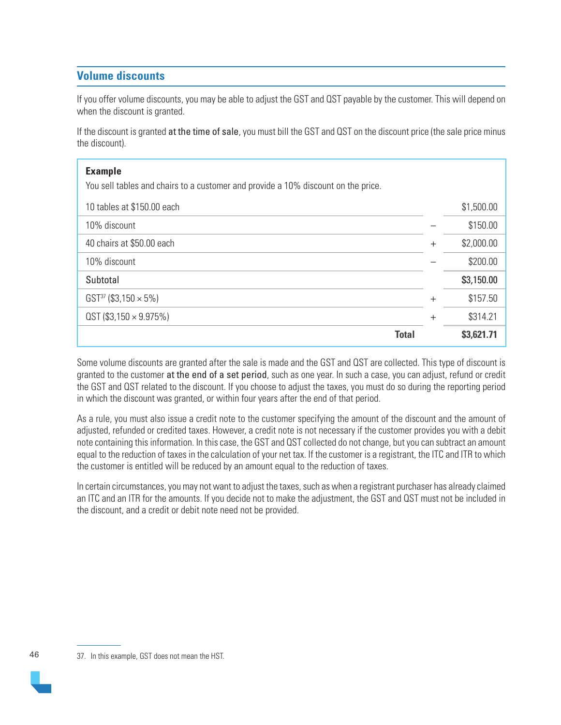# **Volume discounts**

If you offer volume discounts, you may be able to adjust the GST and QST payable by the customer. This will depend on when the discount is granted.

If the discount is granted at the time of sale, you must bill the GST and QST on the discount price (the sale price minus the discount).

| <b>Example</b><br>You sell tables and chairs to a customer and provide a 10% discount on the price. |        |            |
|-----------------------------------------------------------------------------------------------------|--------|------------|
| 10 tables at \$150.00 each                                                                          |        | \$1,500.00 |
| 10% discount                                                                                        |        | \$150.00   |
| 40 chairs at \$50.00 each                                                                           | $+$    | \$2,000.00 |
| 10% discount                                                                                        |        | \$200.00   |
| Subtotal                                                                                            |        | \$3,150.00 |
| $GST^{37}$ (\$3,150 $\times$ 5%)                                                                    | $+$    | \$157.50   |
| $QST$ (\$3,150 $\times$ 9.975%)                                                                     | $^{+}$ | \$314.21   |
| <b>Total</b>                                                                                        |        | \$3,621.71 |

Some volume discounts are granted after the sale is made and the GST and QST are collected. This type of discount is granted to the customer at the end of a set period, such as one year. In such a case, you can adjust, refund or credit the GST and QST related to the discount. If you choose to adjust the taxes, you must do so during the reporting period in which the discount was granted, or within four years after the end of that period.

As a rule, you must also issue a credit note to the customer specifying the amount of the discount and the amount of adjusted, refunded or credited taxes. However, a credit note is not necessary if the customer provides you with a debit note containing this information. In this case, the GST and QST collected do not change, but you can subtract an amount equal to the reduction of taxes in the calculation of your net tax. If the customer is a registrant, the ITC and ITR to which the customer is entitled will be reduced by an amount equal to the reduction of taxes.

In certain circumstances, you may not want to adjust the taxes, such as when a registrant purchaser has already claimed an ITC and an ITR for the amounts. If you decide not to make the adjustment, the GST and QST must not be included in the discount, and a credit or debit note need not be provided.

<sup>46</sup> 37. In this example, GST does not mean the HST.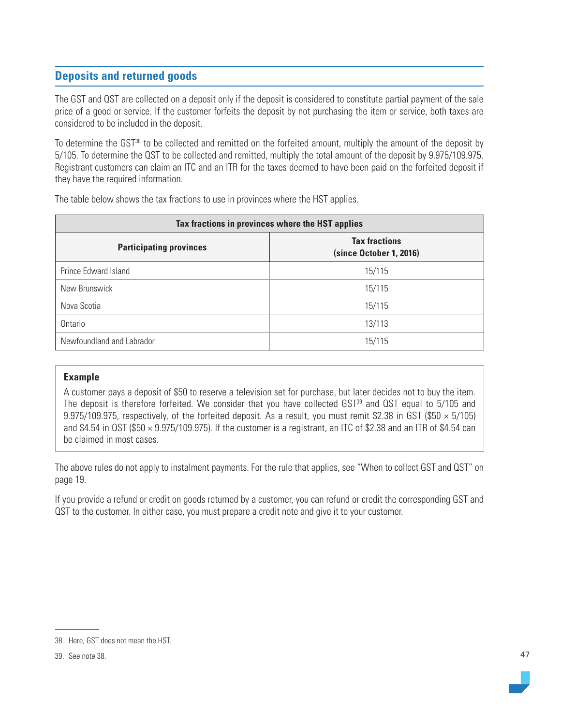# **Deposits and returned goods**

The GST and QST are collected on a deposit only if the deposit is considered to constitute partial payment of the sale price of a good or service. If the customer forfeits the deposit by not purchasing the item or service, both taxes are considered to be included in the deposit.

To determine the GST<sup>38</sup> to be collected and remitted on the forfeited amount, multiply the amount of the deposit by 5/105. To determine the QST to be collected and remitted, multiply the total amount of the deposit by 9.975/109.975. Registrant customers can claim an ITC and an ITR for the taxes deemed to have been paid on the forfeited deposit if they have the required information.

| Tax fractions in provinces where the HST applies |                                                 |  |
|--------------------------------------------------|-------------------------------------------------|--|
| <b>Participating provinces</b>                   | <b>Tax fractions</b><br>(since October 1, 2016) |  |
| Prince Edward Island                             | 15/115                                          |  |
| New Brunswick                                    | 15/115                                          |  |
| Nova Scotia                                      | 15/115                                          |  |
| Ontario                                          | 13/113                                          |  |
| Newfoundland and Labrador                        | 15/115                                          |  |

The table below shows the tax fractions to use in provinces where the HST applies.

## **Example**

A customer pays a deposit of \$50 to reserve a television set for purchase, but later decides not to buy the item. The deposit is therefore forfeited. We consider that you have collected  $GST<sup>39</sup>$  and  $QST$  equal to  $5/105$  and 9.975/109.975, respectively, of the forfeited deposit. As a result, you must remit \$2.38 in GST (\$50  $\times$  5/105) and \$4.54 in QST (\$50 × 9.975/109.975). If the customer is a registrant, an ITC of \$2.38 and an ITR of \$4.54 can be claimed in most cases.

The above rules do not apply to instalment payments. For the rule that applies, see "When to collect GST and QST" on page 19.

If you provide a refund or credit on goods returned by a customer, you can refund or credit the corresponding GST and QST to the customer. In either case, you must prepare a credit note and give it to your customer.



<sup>38.</sup> Here, GST does not mean the HST.

<sup>39.</sup> See note 38.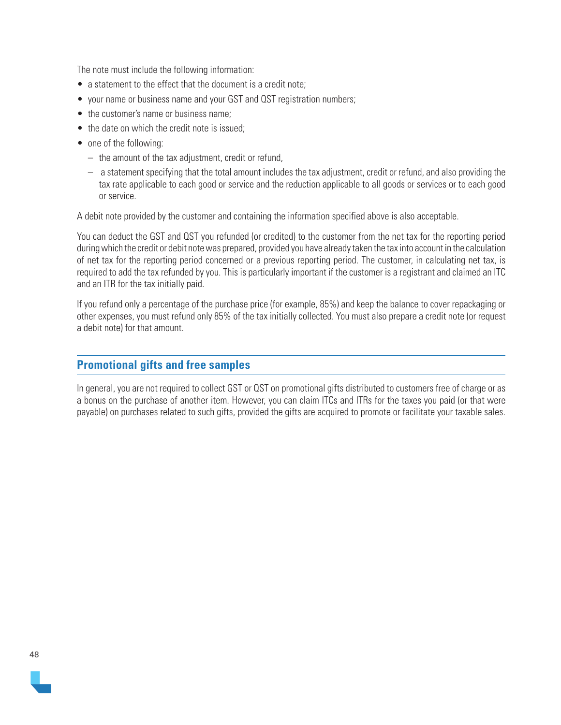The note must include the following information:

- a statement to the effect that the document is a credit note:
- your name or business name and your GST and QST registration numbers;
- the customer's name or business name;
- the date on which the credit note is issued:
- one of the following:
	- the amount of the tax adjustment, credit or refund,
	- a statement specifying that the total amount includes the tax adjustment, credit or refund, and also providing the tax rate applicable to each good or service and the reduction applicable to all goods or services or to each good or service.

A debit note provided by the customer and containing the information specified above is also acceptable.

You can deduct the GST and QST you refunded (or credited) to the customer from the net tax for the reporting period during which the credit or debit note was prepared, provided you have already taken the tax into account in the calculation of net tax for the reporting period concerned or a previous reporting period. The customer, in calculating net tax, is required to add the tax refunded by you. This is particularly important if the customer is a registrant and claimed an ITC and an ITR for the tax initially paid.

If you refund only a percentage of the purchase price (for example, 85%) and keep the balance to cover repackaging or other expenses, you must refund only 85% of the tax initially collected. You must also prepare a credit note (or request a debit note) for that amount.

## **Promotional gifts and free samples**

In general, you are not required to collect GST or QST on promotional gifts distributed to customers free of charge or as a bonus on the purchase of another item. However, you can claim ITCs and ITRs for the taxes you paid (or that were payable) on purchases related to such gifts, provided the gifts are acquired to promote or facilitate your taxable sales.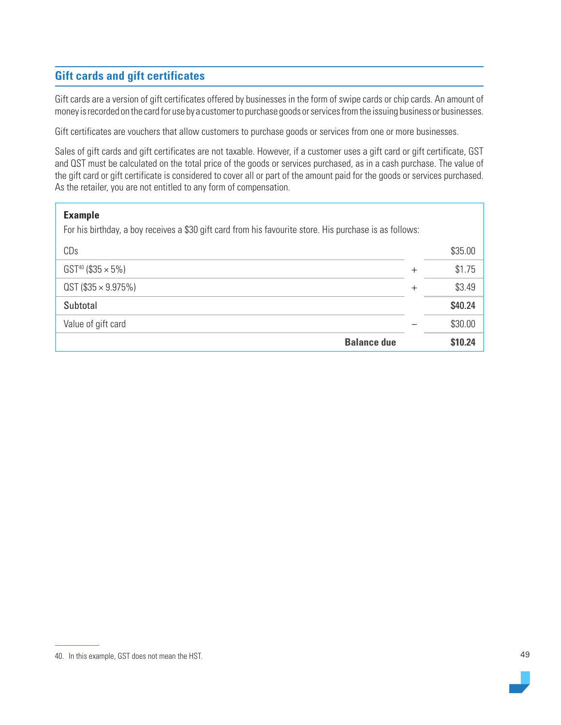# **Gift cards and gift certificates**

Gift cards are a version of gift certificates offered by businesses in the form of swipe cards or chip cards. An amount of money is recorded on the card for use by a customer to purchase goods or services from the issuing business or businesses.

Gift certificates are vouchers that allow customers to purchase goods or services from one or more businesses.

Sales of gift cards and gift certificates are not taxable. However, if a customer uses a gift card or gift certificate, GST and QST must be calculated on the total price of the goods or services purchased, as in a cash purchase. The value of the gift card or gift certificate is considered to cover all or part of the amount paid for the goods or services purchased. As the retailer, you are not entitled to any form of compensation.

| <b>Example</b><br>For his birthday, a boy receives a \$30 gift card from his favourite store. His purchase is as follows: |        |         |
|---------------------------------------------------------------------------------------------------------------------------|--------|---------|
| CDs                                                                                                                       |        | \$35.00 |
| $GST^{40}$ (\$35 $\times$ 5%)                                                                                             | $^{+}$ | \$1.75  |
| $QST$ (\$35 $\times$ 9.975%)                                                                                              | $^{+}$ | \$3.49  |
| Subtotal                                                                                                                  |        | \$40.24 |
| Value of gift card                                                                                                        |        | \$30.00 |
| <b>Balance due</b>                                                                                                        |        | \$10.24 |

<sup>40.</sup> In this example, GST does not mean the HST.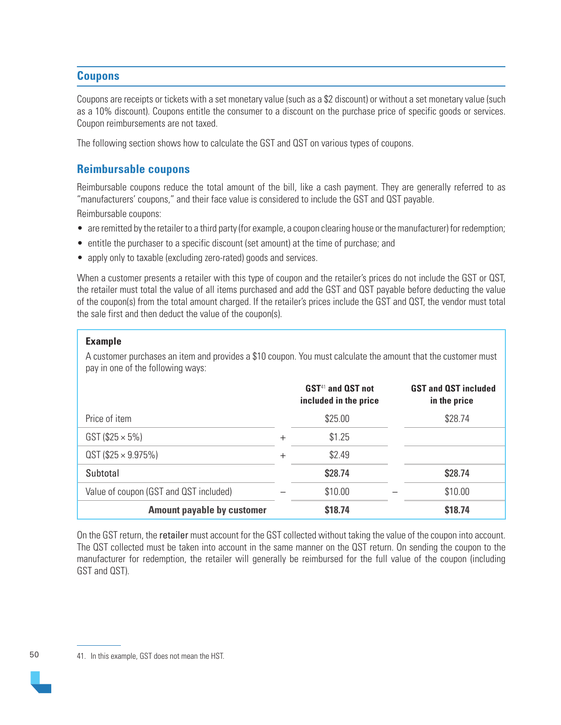# **Coupons**

Coupons are receipts or tickets with a set monetary value (such as a \$2 discount) or without a set monetary value (such as a 10% discount). Coupons entitle the consumer to a discount on the purchase price of specific goods or services. Coupon reimbursements are not taxed.

The following section shows how to calculate the GST and QST on various types of coupons.

# **Reimbursable coupons**

Reimbursable coupons reduce the total amount of the bill, like a cash payment. They are generally referred to as "manufacturers' coupons," and their face value is considered to include the GST and QST payable.

Reimbursable coupons:

- are remitted by the retailer to a third party (for example, a coupon clearing house or the manufacturer) for redemption;
- entitle the purchaser to a specific discount (set amount) at the time of purchase; and
- apply only to taxable (excluding zero-rated) goods and services.

When a customer presents a retailer with this type of coupon and the retailer's prices do not include the GST or QST. the retailer must total the value of all items purchased and add the GST and QST payable before deducting the value of the coupon(s) from the total amount charged. If the retailer's prices include the GST and QST, the vendor must total the sale first and then deduct the value of the coupon(s).

## **Example**

A customer purchases an item and provides a \$10 coupon. You must calculate the amount that the customer must pay in one of the following ways:

|                                        |                | <b>GST<sup>41</sup></b> and <b>QST</b> not<br>included in the price | <b>GST and QST included</b><br>in the price |
|----------------------------------------|----------------|---------------------------------------------------------------------|---------------------------------------------|
| Price of item                          |                | \$25.00                                                             | \$28.74                                     |
| $GST ( $25 \times 5\%)$                | $\overline{+}$ | \$1.25                                                              |                                             |
| $QST$ (\$25 $\times$ 9.975%)           | $\overline{+}$ | \$2.49                                                              |                                             |
| Subtotal                               |                | \$28.74                                                             | \$28.74                                     |
| Value of coupon (GST and QST included) |                | \$10.00                                                             | \$10.00                                     |
| <b>Amount payable by customer</b>      |                | \$18.74                                                             | \$18.74                                     |

On the GST return, the retailer must account for the GST collected without taking the value of the coupon into account. The QST collected must be taken into account in the same manner on the QST return. On sending the coupon to the manufacturer for redemption, the retailer will generally be reimbursed for the full value of the coupon (including GST and QST).

50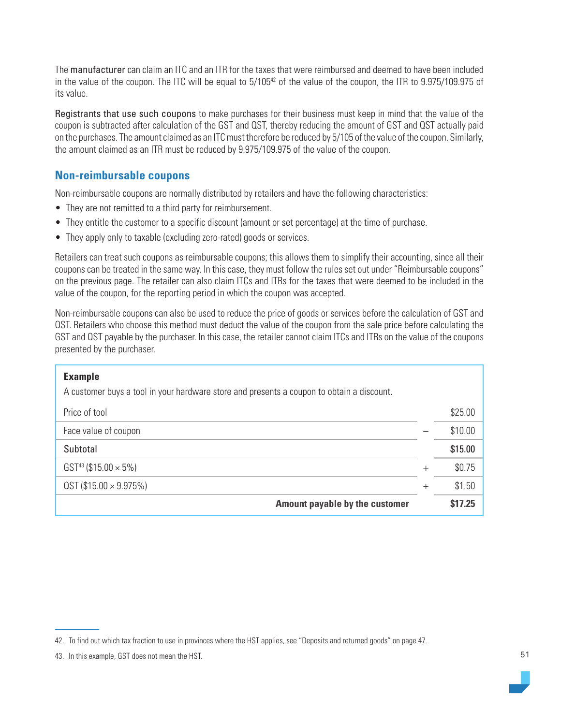The manufacturer can claim an ITC and an ITR for the taxes that were reimbursed and deemed to have been included in the value of the coupon. The ITC will be equal to 5/105<sup>42</sup> of the value of the coupon, the ITR to 9.975/109.975 of its value.

Registrants that use such coupons to make purchases for their business must keep in mind that the value of the coupon is subtracted after calculation of the GST and QST, thereby reducing the amount of GST and QST actually paid on the purchases. The amount claimed as an ITC must therefore be reduced by 5/105 of the value of the coupon. Similarly, the amount claimed as an ITR must be reduced by 9.975/109.975 of the value of the coupon.

# **Non-reimbursable coupons**

Non-reimbursable coupons are normally distributed by retailers and have the following characteristics:

- They are not remitted to a third party for reimbursement.
- They entitle the customer to a specific discount (amount or set percentage) at the time of purchase.
- They apply only to taxable (excluding zero-rated) goods or services.

Retailers can treat such coupons as reimbursable coupons; this allows them to simplify their accounting, since all their coupons can be treated in the same way. In this case, they must follow the rules set out under "Reimbursable coupons" on the previous page. The retailer can also claim ITCs and ITRs for the taxes that were deemed to be included in the value of the coupon, for the reporting period in which the coupon was accepted.

Non-reimbursable coupons can also be used to reduce the price of goods or services before the calculation of GST and QST. Retailers who choose this method must deduct the value of the coupon from the sale price before calculating the GST and QST payable by the purchaser. In this case, the retailer cannot claim ITCs and ITRs on the value of the coupons presented by the purchaser.

| <b>Example</b><br>A customer buys a tool in your hardware store and presents a coupon to obtain a discount. |        |         |
|-------------------------------------------------------------------------------------------------------------|--------|---------|
| Price of tool                                                                                               |        | \$25.00 |
| Face value of coupon                                                                                        |        | \$10.00 |
| Subtotal                                                                                                    |        | \$15.00 |
| $GST^{43}$ (\$15.00 $\times$ 5%)                                                                            | $^{+}$ | \$0.75  |
| $QST$ (\$15.00 $\times$ 9.975%)                                                                             | $^{+}$ | \$1.50  |
| Amount payable by the customer                                                                              |        | \$17.25 |

<sup>42.</sup> To find out which tax fraction to use in provinces where the HST applies, see "Deposits and returned goods" on page 47.

<sup>43.</sup> In this example, GST does not mean the HST.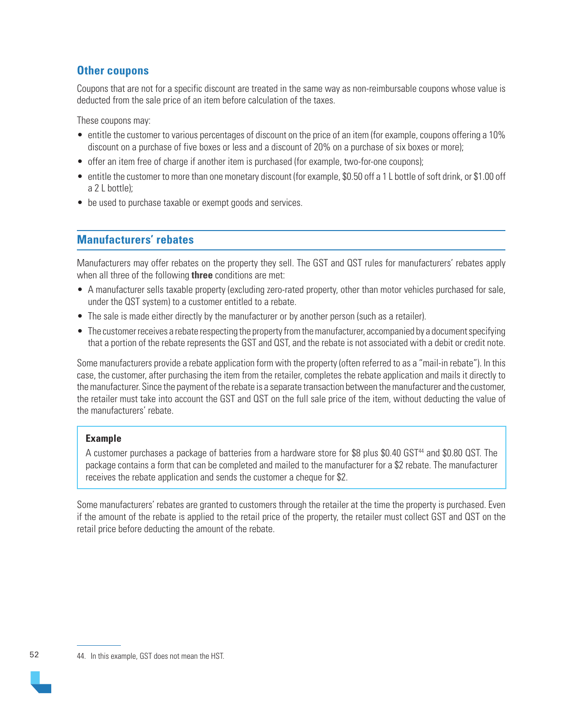# **Other coupons**

Coupons that are not for a specific discount are treated in the same way as non-reimbursable coupons whose value is deducted from the sale price of an item before calculation of the taxes.

These coupons may:

- entitle the customer to various percentages of discount on the price of an item (for example, coupons offering a 10% discount on a purchase of five boxes or less and a discount of 20% on a purchase of six boxes or more);
- offer an item free of charge if another item is purchased (for example, two-for-one coupons);
- entitle the customer to more than one monetary discount (for example, \$0.50 off a 1 L bottle of soft drink, or \$1.00 off a 2 L bottle);
- be used to purchase taxable or exempt goods and services.

# **Manufacturers' rebates**

Manufacturers may offer rebates on the property they sell. The GST and QST rules for manufacturers' rebates apply when all three of the following **three** conditions are met:

- A manufacturer sells taxable property (excluding zero-rated property, other than motor vehicles purchased for sale, under the QST system) to a customer entitled to a rebate.
- The sale is made either directly by the manufacturer or by another person (such as a retailer).
- The customer receives a rebate respecting the property from the manufacturer, accompanied by a document specifying that a portion of the rebate represents the GST and QST, and the rebate is not associated with a debit or credit note.

Some manufacturers provide a rebate application form with the property (often referred to as a "mail-in rebate"). In this case, the customer, after purchasing the item from the retailer, completes the rebate application and mails it directly to the manufacturer. Since the payment of the rebate is a separate transaction between the manufacturer and the customer, the retailer must take into account the GST and QST on the full sale price of the item, without deducting the value of the manufacturers' rebate.

## **Example**

A customer purchases a package of batteries from a hardware store for \$8 plus \$0.40 GST<sup>44</sup> and \$0.80 QST. The package contains a form that can be completed and mailed to the manufacturer for a \$2 rebate. The manufacturer receives the rebate application and sends the customer a cheque for \$2.

Some manufacturers' rebates are granted to customers through the retailer at the time the property is purchased. Even if the amount of the rebate is applied to the retail price of the property, the retailer must collect GST and QST on the retail price before deducting the amount of the rebate.

52

<sup>44.</sup> In this example, GST does not mean the HST.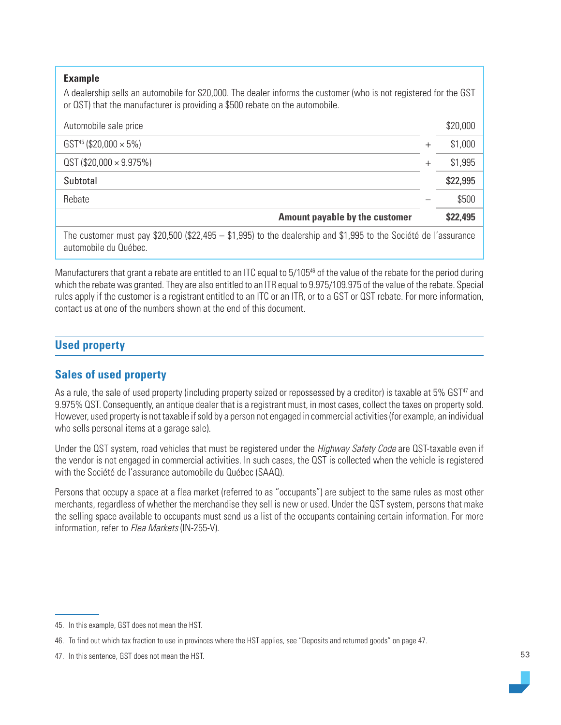#### **Example**

A dealership sells an automobile for \$20,000. The dealer informs the customer (who is not registered for the GST or QST) that the manufacturer is providing a \$500 rebate on the automobile.

| Automobile sale price                                                                                                                      |              | \$20,000 |
|--------------------------------------------------------------------------------------------------------------------------------------------|--------------|----------|
| GST <sup>45</sup> (\$20,000 $\times$ 5%)                                                                                                   | +            | \$1,000  |
| $QST$ (\$20,000 $\times$ 9.975%)                                                                                                           | $\,{}^{+}\,$ | \$1,995  |
| Subtotal                                                                                                                                   |              | \$22,995 |
| Rebate                                                                                                                                     |              | \$500    |
| Amount payable by the customer                                                                                                             |              | \$22,495 |
| The customer must pay \$20,500 (\$22,495 $-$ \$1,995) to the dealership and \$1,995 to the Société de l'assurance<br>automobile du Québec. |              |          |

Manufacturers that grant a rebate are entitled to an ITC equal to 5/105<sup>46</sup> of the value of the rebate for the period during which the rebate was granted. They are also entitled to an ITR equal to 9.975/109.975 of the value of the rebate. Special rules apply if the customer is a registrant entitled to an ITC or an ITR, or to a GST or QST rebate. For more information, contact us at one of the numbers shown at the end of this document.

# **Used property**

# **Sales of used property**

As a rule, the sale of used property (including property seized or repossessed by a creditor) is taxable at 5% GST<sup>47</sup> and 9.975% QST. Consequently, an antique dealer that is a registrant must, in most cases, collect the taxes on property sold. However, used property is not taxable if sold by a person not engaged in commercial activities (for example, an individual who sells personal items at a garage sale).

Under the QST system, road vehicles that must be registered under the Highway Safety Code are QST-taxable even if the vendor is not engaged in commercial activities. In such cases, the QST is collected when the vehicle is registered with the Société de l'assurance automobile du Québec (SAAQ).

Persons that occupy a space at a flea market (referred to as "occupants") are subject to the same rules as most other merchants, regardless of whether the merchandise they sell is new or used. Under the QST system, persons that make the selling space available to occupants must send us a list of the occupants containing certain information. For more information, refer to Flea Markets (IN-255-V).

<sup>45.</sup> In this example, GST does not mean the HST.

<sup>46.</sup> To find out which tax fraction to use in provinces where the HST applies, see "Deposits and returned goods" on page 47.

<sup>47.</sup> In this sentence, GST does not mean the HST.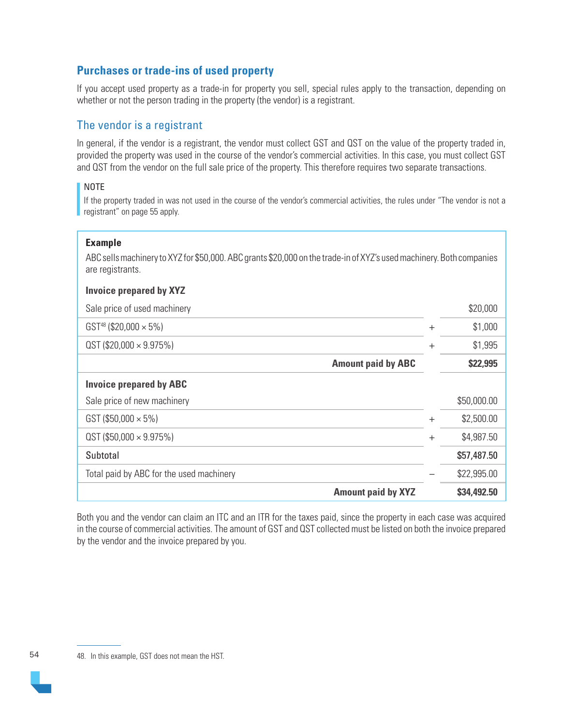# **Purchases or trade-ins of used property**

If you accept used property as a trade-in for property you sell, special rules apply to the transaction, depending on whether or not the person trading in the property (the vendor) is a registrant.

# The vendor is a registrant

In general, if the vendor is a registrant, the vendor must collect GST and QST on the value of the property traded in, provided the property was used in the course of the vendor's commercial activities. In this case, you must collect GST and QST from the vendor on the full sale price of the property. This therefore requires two separate transactions.

## NOTE

If the property traded in was not used in the course of the vendor's commercial activities, the rules under "The vendor is not a registrant" on page 55 apply.

## **Example**

ABC sells machinery to XYZ for \$50,000. ABC grants \$20,000 on the trade-in of XYZ's used machinery. Both companies are registrants.

## **Invoice prepared by XYZ**

| Sale price of used machinery             |        | \$20,000    |
|------------------------------------------|--------|-------------|
| $GST^{48}$ (\$20,000 $\times$ 5%)        | $^{+}$ | \$1,000     |
| $QST$ (\$20,000 $\times$ 9.975%)         | $^{+}$ | \$1,995     |
| <b>Amount paid by ABC</b>                |        | \$22,995    |
| <b>Invoice prepared by ABC</b>           |        |             |
| Sale price of new machinery              |        | \$50,000.00 |
| GST (\$50,000 $\times$ 5%)               | $+$    | \$2,500.00  |
| $QST$ (\$50,000 $\times$ 9.975%)         | $^{+}$ | \$4,987.50  |
| Subtotal                                 |        | \$57,487.50 |
| Total paid by ABC for the used machinery |        | \$22,995.00 |
| <b>Amount paid by XYZ</b>                |        | \$34,492.50 |

Both you and the vendor can claim an ITC and an ITR for the taxes paid, since the property in each case was acquired in the course of commercial activities. The amount of GST and QST collected must be listed on both the invoice prepared by the vendor and the invoice prepared by you.

54

<sup>48.</sup> In this example, GST does not mean the HST.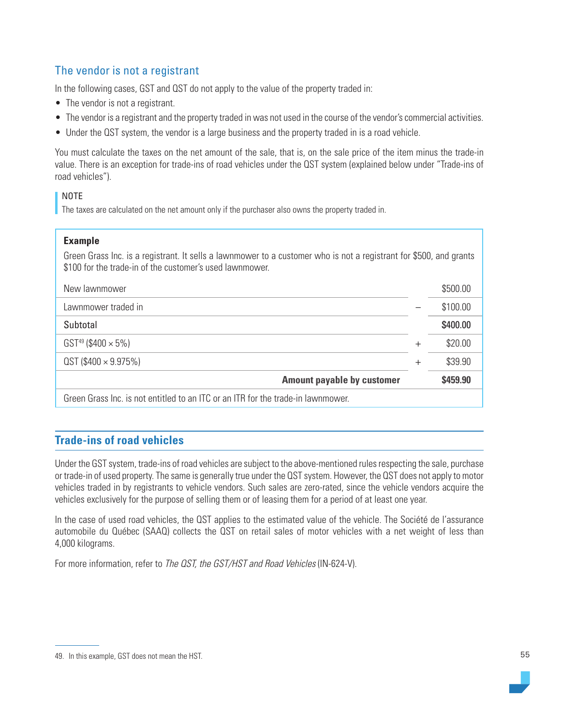# The vendor is not a registrant

In the following cases, GST and QST do not apply to the value of the property traded in:

- The vendor is not a registrant.
- The vendor is a registrant and the property traded in was not used in the course of the vendor's commercial activities.
- Under the QST system, the vendor is a large business and the property traded in is a road vehicle.

You must calculate the taxes on the net amount of the sale, that is, on the sale price of the item minus the trade-in value. There is an exception for trade-ins of road vehicles under the QST system (explained below under "Trade-ins of road vehicles").

## NOTE

The taxes are calculated on the net amount only if the purchaser also owns the property traded in.

#### **Example**

Green Grass Inc. is a registrant. It sells a lawnmower to a customer who is not a registrant for \$500, and grants \$100 for the trade-in of the customer's used lawnmower.

| New lawnmower                                                                    |       | \$500.00 |
|----------------------------------------------------------------------------------|-------|----------|
| Lawnmower traded in                                                              |       | \$100.00 |
| Subtotal                                                                         |       | \$400.00 |
| $GST^{49}$ (\$400 $\times$ 5%)                                                   | $\pm$ | \$20.00  |
| $QST$ (\$400 $\times$ 9.975%)                                                    | $\pm$ | \$39.90  |
| <b>Amount payable by customer</b>                                                |       | \$459.90 |
| Green Grass Inc. is not entitled to an ITC or an ITR for the trade-in lawnmower. |       |          |

# **Trade-ins of road vehicles**

Under the GST system, trade-ins of road vehicles are subject to the above-mentioned rules respecting the sale, purchase or trade-in of used property. The same is generally true under the QST system. However, the QST does not apply to motor vehicles traded in by registrants to vehicle vendors. Such sales are zero-rated, since the vehicle vendors acquire the vehicles exclusively for the purpose of selling them or of leasing them for a period of at least one year.

In the case of used road vehicles, the QST applies to the estimated value of the vehicle. The Société de l'assurance automobile du Québec (SAAQ) collects the QST on retail sales of motor vehicles with a net weight of less than 4,000 kilograms.

For more information, refer to The QST, the GST/HST and Road Vehicles (IN-624-V).

<sup>49.</sup> In this example, GST does not mean the HST.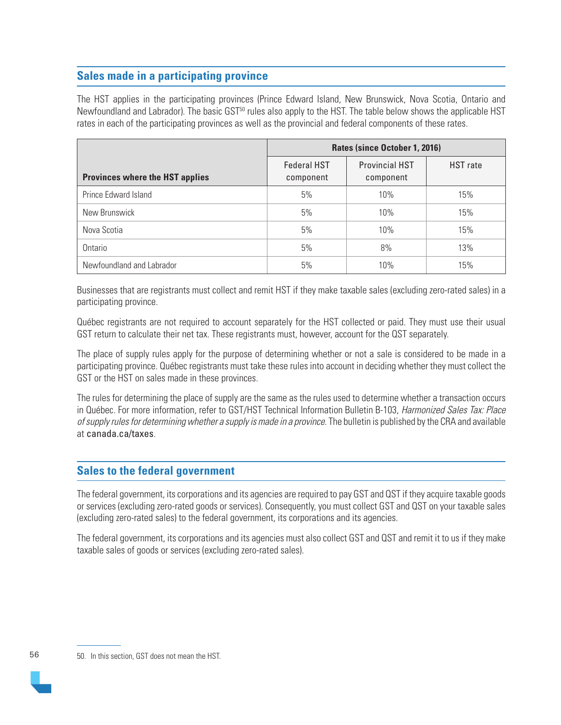# **Sales made in a participating province**

The HST applies in the participating provinces (Prince Edward Island, New Brunswick, Nova Scotia, Ontario and Newfoundland and Labrador). The basic GST<sup>50</sup> rules also apply to the HST. The table below shows the applicable HST rates in each of the participating provinces as well as the provincial and federal components of these rates.

|                                        | Rates (since October 1, 2016)   |                                    |          |  |
|----------------------------------------|---------------------------------|------------------------------------|----------|--|
| <b>Provinces where the HST applies</b> | <b>Federal HST</b><br>component | <b>Provincial HST</b><br>component | HST rate |  |
| Prince Edward Island                   | 5%                              | 10%                                | 15%      |  |
| New Brunswick                          | 5%                              | 10%                                | 15%      |  |
| Nova Scotia                            | 5%                              | 10%                                | 15%      |  |
| Ontario                                | 5%                              | 8%                                 | 13%      |  |
| Newfoundland and Labrador              | 5%                              | 10%                                | 15%      |  |

Businesses that are registrants must collect and remit HST if they make taxable sales (excluding zero-rated sales) in a participating province.

Québec registrants are not required to account separately for the HST collected or paid. They must use their usual GST return to calculate their net tax. These registrants must, however, account for the QST separately.

The place of supply rules apply for the purpose of determining whether or not a sale is considered to be made in a participating province. Québec registrants must take these rules into account in deciding whether they must collect the GST or the HST on sales made in these provinces.

The rules for determining the place of supply are the same as the rules used to determine whether a transaction occurs in Québec. For more information, refer to GST/HST Technical Information Bulletin B-103, Harmonized Sales Tax: Place of supply rules for determining whether a supply is made in a province. The bulletin is published by the CRA and available at [canada.ca/taxes](https://www.canada.ca/en/services/taxes.html).

## **Sales to the federal government**

The federal government, its corporations and its agencies are required to pay GST and QST if they acquire taxable goods or services (excluding zero-rated goods or services). Consequently, you must collect GST and QST on your taxable sales (excluding zero-rated sales) to the federal government, its corporations and its agencies.

The federal government, its corporations and its agencies must also collect GST and QST and remit it to us if they make taxable sales of goods or services (excluding zero-rated sales).

56

<sup>50.</sup> In this section, GST does not mean the HST.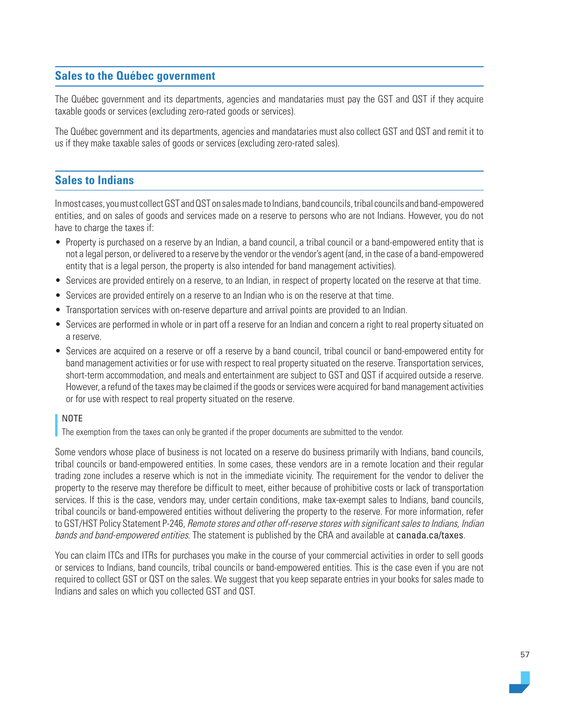# **Sales to the Québec government**

The Québec government and its departments, agencies and mandataries must pay the GST and QST if they acquire taxable goods or services (excluding zero-rated goods or services).

The Québec government and its departments, agencies and mandataries must also collect GST and QST and remit it to us if they make taxable sales of goods or services (excluding zero-rated sales).

## **Sales to Indians**

In most cases, you must collect GST and QST on sales made to Indians, band councils, tribal councils and band-empowered entities, and on sales of goods and services made on a reserve to persons who are not Indians. However, you do not have to charge the taxes if:

- Property is purchased on a reserve by an Indian, a band council, a tribal council or a band-empowered entity that is not a legal person, or delivered to a reserve by the vendor or the vendor's agent (and, in the case of a band-empowered entity that is a legal person, the property is also intended for band management activities).
- Services are provided entirely on a reserve, to an Indian, in respect of property located on the reserve at that time.
- Services are provided entirely on a reserve to an Indian who is on the reserve at that time.
- Transportation services with on-reserve departure and arrival points are provided to an Indian.
- Services are performed in whole or in part off a reserve for an Indian and concern a right to real property situated on a reserve.
- Services are acquired on a reserve or off a reserve by a band council, tribal council or band-empowered entity for band management activities or for use with respect to real property situated on the reserve. Transportation services, short-term accommodation, and meals and entertainment are subject to GST and QST if acquired outside a reserve. However, a refund of the taxes may be claimed if the goods or services were acquired for band management activities or for use with respect to real property situated on the reserve.

#### NOTE

The exemption from the taxes can only be granted if the proper documents are submitted to the vendor.

Some vendors whose place of business is not located on a reserve do business primarily with Indians, band councils, tribal councils or band-empowered entities. In some cases, these vendors are in a remote location and their regular trading zone includes a reserve which is not in the immediate vicinity. The requirement for the vendor to deliver the property to the reserve may therefore be difficult to meet, either because of prohibitive costs or lack of transportation services. If this is the case, vendors may, under certain conditions, make tax-exempt sales to Indians, band councils, tribal councils or band-empowered entities without delivering the property to the reserve. For more information, refer to GST/HST Policy Statement P-246, Remote stores and other off-reserve stores with significant sales to Indians, Indian bands and band-empowered entities. The statement is published by the CRA and available at [canada.ca/taxes](https://www.canada.ca/en/services/taxes.html).

You can claim ITCs and ITRs for purchases you make in the course of your commercial activities in order to sell goods or services to Indians, band councils, tribal councils or band-empowered entities. This is the case even if you are not required to collect GST or QST on the sales. We suggest that you keep separate entries in your books for sales made to Indians and sales on which you collected GST and QST.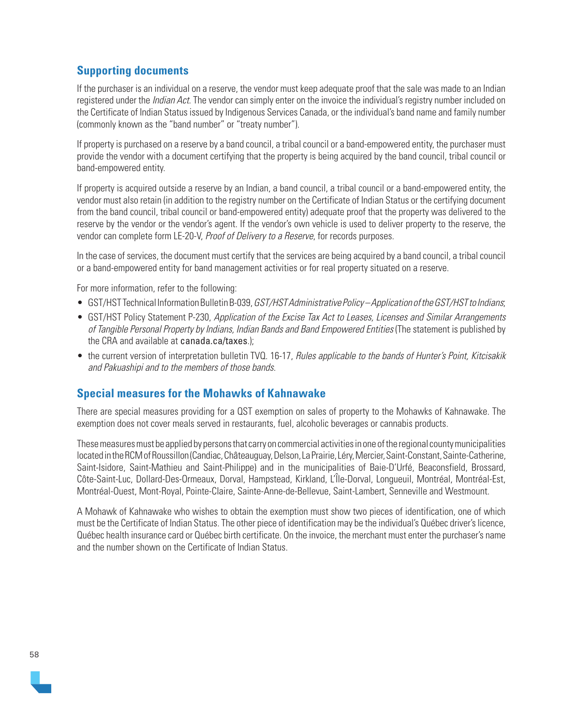# **Supporting documents**

If the purchaser is an individual on a reserve, the vendor must keep adequate proof that the sale was made to an Indian registered under the *Indian Act*. The vendor can simply enter on the invoice the individual's registry number included on the Certificate of Indian Status issued by Indigenous Services Canada, or the individual's band name and family number (commonly known as the "band number" or "treaty number").

If property is purchased on a reserve by a band council, a tribal council or a band-empowered entity, the purchaser must provide the vendor with a document certifying that the property is being acquired by the band council, tribal council or band-empowered entity.

If property is acquired outside a reserve by an Indian, a band council, a tribal council or a band-empowered entity, the vendor must also retain (in addition to the registry number on the Certificate of Indian Status or the certifying document from the band council, tribal council or band-empowered entity) adequate proof that the property was delivered to the reserve by the vendor or the vendor's agent. If the vendor's own vehicle is used to deliver property to the reserve, the vendor can complete form LE-20-V, Proof of Delivery to a Reserve, for records purposes.

In the case of services, the document must certify that the services are being acquired by a band council, a tribal council or a band-empowered entity for band management activities or for real property situated on a reserve.

For more information, refer to the following:

- GST/HST Technical Information Bulletin B-039, GST/HST Administrative Policy Application of the GST/HST to Indians;
- GST/HST Policy Statement P-230, Application of the Excise Tax Act to Leases, Licenses and Similar Arrangements of Tangible Personal Property by Indians, Indian Bands and Band Empowered Entities (The statement is published by the CRA and available at [canada.ca/taxes](https://www.canada.ca/en/services/taxes.html).);
- the current version of interpretation bulletin TVQ. 16-17, Rules applicable to the bands of Hunter's Point, Kitcisakik and Pakuashipi and to the members of those bands.

## **Special measures for the Mohawks of Kahnawake**

There are special measures providing for a QST exemption on sales of property to the Mohawks of Kahnawake. The exemption does not cover meals served in restaurants, fuel, alcoholic beverages or cannabis products.

These measures must be applied by persons that carry on commercial activities in one of the regional county municipalities located in the RCM of Roussillon (Candiac, Châteauguay, Delson, La Prairie, Léry, Mercier, Saint-Constant, Sainte-Catherine, Saint-Isidore, Saint-Mathieu and Saint-Philippe) and in the municipalities of Baie-D'Urfé, Beaconsfield, Brossard, Côte-Saint-Luc, Dollard-Des-Ormeaux, Dorval, Hampstead, Kirkland, L'Île-Dorval, Longueuil, Montréal, Montréal-Est, Montréal-Ouest, Mont-Royal, Pointe-Claire, Sainte-Anne-de-Bellevue, Saint-Lambert, Senneville and Westmount.

A Mohawk of Kahnawake who wishes to obtain the exemption must show two pieces of identification, one of which must be the Certificate of Indian Status. The other piece of identification may be the individual's Québec driver's licence, Québec health insurance card or Québec birth certificate. On the invoice, the merchant must enter the purchaser's name and the number shown on the Certificate of Indian Status.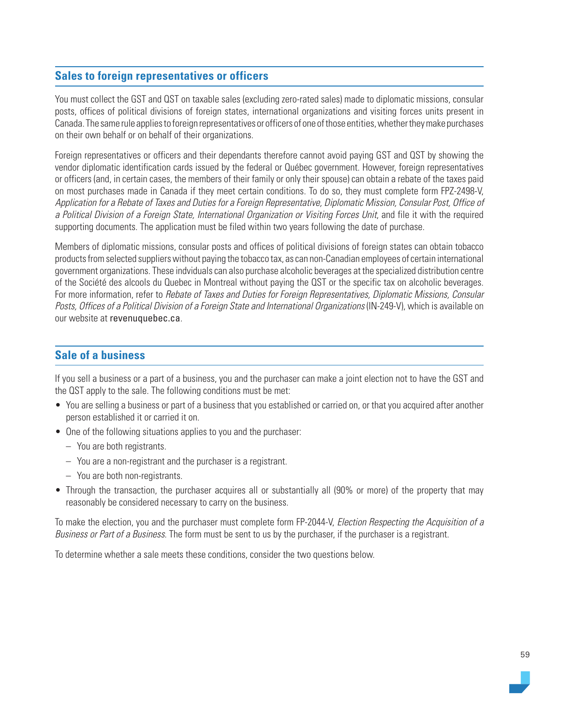# **Sales to foreign representatives or officers**

You must collect the GST and QST on taxable sales (excluding zero-rated sales) made to diplomatic missions, consular posts, offices of political divisions of foreign states, international organizations and visiting forces units present in Canada. The same rule applies to foreign representatives or officers of one of those entities, whether they make purchases on their own behalf or on behalf of their organizations.

Foreign representatives or officers and their dependants therefore cannot avoid paying GST and QST by showing the vendor diplomatic identification cards issued by the federal or Québec government. However, foreign representatives or officers (and, in certain cases, the members of their family or only their spouse) can obtain a rebate of the taxes paid on most purchases made in Canada if they meet certain conditions. To do so, they must complete form FPZ-2498-V, Application for a Rebate of Taxes and Duties for a Foreign Representative, Diplomatic Mission, Consular Post, Office of a Political Division of a Foreign State, International Organization or Visiting Forces Unit, and file it with the required supporting documents. The application must be filed within two years following the date of purchase.

Members of diplomatic missions, consular posts and offices of political divisions of foreign states can obtain tobacco products from selected suppliers without paying the tobacco tax, as can non-Canadian employees of certain international government organizations. These indviduals can also purchase alcoholic beverages at the specialized distribution centre of the Société des alcools du Quebec in Montreal without paying the QST or the specific tax on alcoholic beverages. For more information, refer to Rebate of Taxes and Duties for Foreign Representatives, Diplomatic Missions, Consular Posts, Offices of a Political Division of a Foreign State and International Organizations (IN-249-V), which is available on our website at [revenuquebec.ca](file:///\\SFPFI2152.PROD.MRQ\TRAVAUX\rlov005%20(Valérie)\travaux%20Valérie\2-FORMULAIRES\IN\IN-203(2020-XX)\revenuquebec.ca).

## **Sale of a business**

If you sell a business or a part of a business, you and the purchaser can make a joint election not to have the GST and the QST apply to the sale. The following conditions must be met:

- You are selling a business or part of a business that you established or carried on, or that you acquired after another person established it or carried it on.
- One of the following situations applies to you and the purchaser:
	- You are both registrants.
	- You are a non-registrant and the purchaser is a registrant.
	- You are both non-registrants.
- Through the transaction, the purchaser acquires all or substantially all (90% or more) of the property that may reasonably be considered necessary to carry on the business.

To make the election, you and the purchaser must complete form FP-2044-V, Election Respecting the Acquisition of a Business or Part of a Business. The form must be sent to us by the purchaser, if the purchaser is a registrant.

To determine whether a sale meets these conditions, consider the two questions below.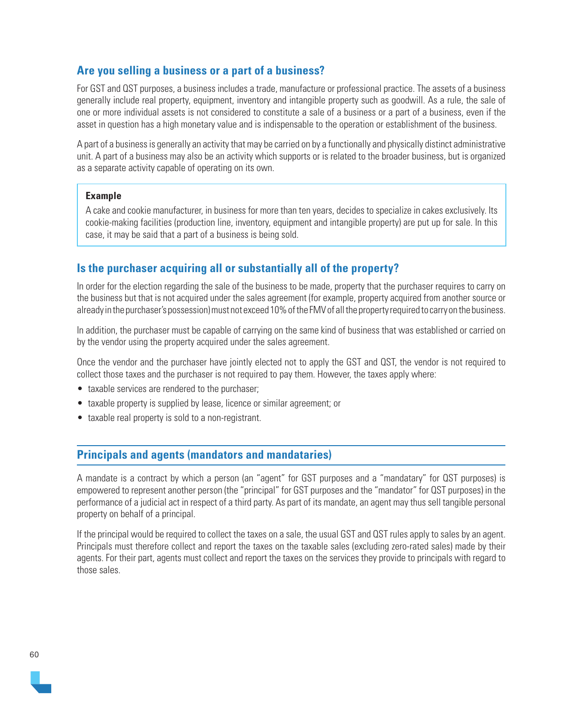# **Are you selling a business or a part of a business?**

For GST and QST purposes, a business includes a trade, manufacture or professional practice. The assets of a business generally include real property, equipment, inventory and intangible property such as goodwill. As a rule, the sale of one or more individual assets is not considered to constitute a sale of a business or a part of a business, even if the asset in question has a high monetary value and is indispensable to the operation or establishment of the business.

A part of a business is generally an activity that may be carried on by a functionally and physically distinct administrative unit. A part of a business may also be an activity which supports or is related to the broader business, but is organized as a separate activity capable of operating on its own.

#### **Example**

A cake and cookie manufacturer, in business for more than ten years, decides to specialize in cakes exclusively. Its cookie-making facilities (production line, inventory, equipment and intangible property) are put up for sale. In this case, it may be said that a part of a business is being sold.

# **Is the purchaser acquiring all or substantially all of the property?**

In order for the election regarding the sale of the business to be made, property that the purchaser requires to carry on the business but that is not acquired under the sales agreement (for example, property acquired from another source or already in the purchaser's possession) must not exceed 10% of the FMV of all the property required to carry on the business.

In addition, the purchaser must be capable of carrying on the same kind of business that was established or carried on by the vendor using the property acquired under the sales agreement.

Once the vendor and the purchaser have jointly elected not to apply the GST and QST, the vendor is not required to collect those taxes and the purchaser is not required to pay them. However, the taxes apply where:

- taxable services are rendered to the purchaser;
- taxable property is supplied by lease, licence or similar agreement; or
- taxable real property is sold to a non-registrant.

## **Principals and agents (mandators and mandataries)**

A mandate is a contract by which a person (an "agent" for GST purposes and a "mandatary" for QST purposes) is empowered to represent another person (the "principal" for GST purposes and the "mandator" for QST purposes) in the performance of a judicial act in respect of a third party. As part of its mandate, an agent may thus sell tangible personal property on behalf of a principal.

If the principal would be required to collect the taxes on a sale, the usual GST and QST rules apply to sales by an agent. Principals must therefore collect and report the taxes on the taxable sales (excluding zero-rated sales) made by their agents. For their part, agents must collect and report the taxes on the services they provide to principals with regard to those sales.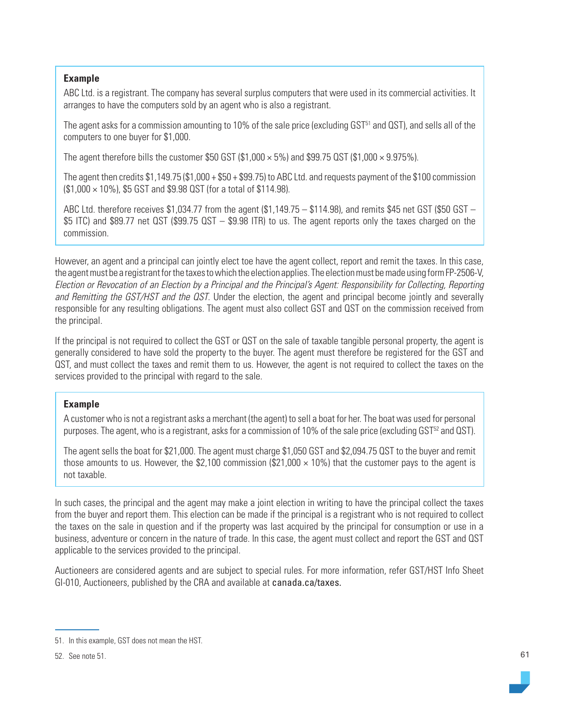#### **Example**

ABC Ltd. is a registrant. The company has several surplus computers that were used in its commercial activities. It arranges to have the computers sold by an agent who is also a registrant.

The agent asks for a commission amounting to 10% of the sale price (excluding GST51 and QST), and sells all of the computers to one buyer for \$1,000.

The agent therefore bills the customer \$50 GST (\$1,000  $\times$  5%) and \$99.75 QST (\$1,000  $\times$  9.975%).

The agent then credits \$1,149.75 (\$1,000 + \$50 + \$99.75) to ABC Ltd. and requests payment of the \$100 commission (\$1,000 × 10%), \$5 GST and \$9.98 QST (for a total of \$114.98).

ABC Ltd. therefore receives \$1,034.77 from the agent (\$1,149.75 – \$114.98), and remits \$45 net GST (\$50 GST – \$5 ITC) and \$89.77 net QST (\$99.75 QST – \$9.98 ITR) to us. The agent reports only the taxes charged on the commission.

However, an agent and a principal can jointly elect toe have the agent collect, report and remit the taxes. In this case, the agent must be a registrant for the taxes to which the election applies. The election must be made using form FP-2506-V, Election or Revocation of an Election by a Principal and the Principal's Agent: Responsibility for Collecting, Reporting and Remitting the GST/HST and the QST. Under the election, the agent and principal become jointly and severally responsible for any resulting obligations. The agent must also collect GST and QST on the commission received from the principal.

If the principal is not required to collect the GST or QST on the sale of taxable tangible personal property, the agent is generally considered to have sold the property to the buyer. The agent must therefore be registered for the GST and QST, and must collect the taxes and remit them to us. However, the agent is not required to collect the taxes on the services provided to the principal with regard to the sale.

## **Example**

A customer who is not a registrant asks a merchant (the agent) to sell a boat for her. The boat was used for personal purposes. The agent, who is a registrant, asks for a commission of 10% of the sale price (excluding GST<sup>52</sup> and QST).

The agent sells the boat for \$21,000. The agent must charge \$1,050 GST and \$2,094.75 QST to the buyer and remit those amounts to us. However, the \$2,100 commission (\$21,000  $\times$  10%) that the customer pays to the agent is not taxable.

In such cases, the principal and the agent may make a joint election in writing to have the principal collect the taxes from the buyer and report them. This election can be made if the principal is a registrant who is not required to collect the taxes on the sale in question and if the property was last acquired by the principal for consumption or use in a business, adventure or concern in the nature of trade. In this case, the agent must collect and report the GST and QST applicable to the services provided to the principal.

Auctioneers are considered agents and are subject to special rules. For more information, refer GST/HST Info Sheet GI-010, Auctioneers, published by the CRA and available at [canada.ca/taxes](https://www.canada.ca/en/services/taxes.html).

<sup>51.</sup> In this example, GST does not mean the HST.

<sup>52.</sup> See note 51.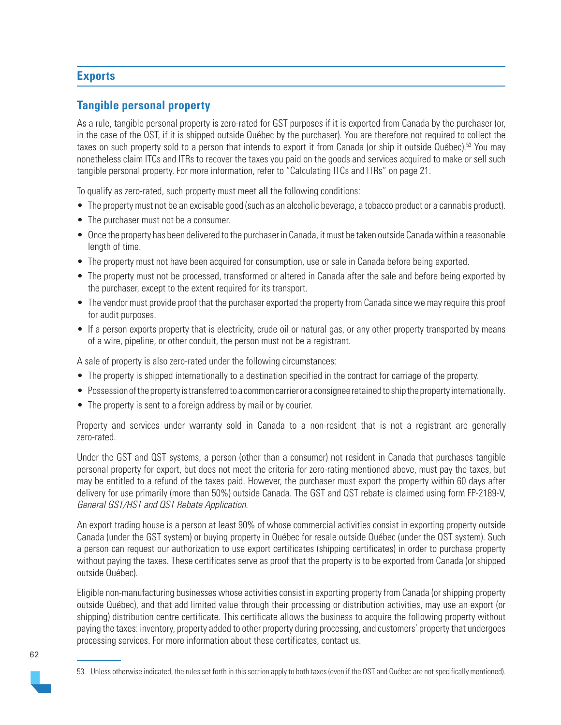# **Exports**

# **Tangible personal property**

As a rule, tangible personal property is zero-rated for GST purposes if it is exported from Canada by the purchaser (or, in the case of the QST, if it is shipped outside Québec by the purchaser). You are therefore not required to collect the taxes on such property sold to a person that intends to export it from Canada (or ship it outside Québec). 53 You may nonetheless claim ITCs and ITRs to recover the taxes you paid on the goods and services acquired to make or sell such tangible personal property. For more information, refer to "Calculating ITCs and ITRs" on page 21.

To qualify as zero-rated, such property must meet all the following conditions:

- The property must not be an excisable good (such as an alcoholic beverage, a tobacco product or a cannabis product).
- The purchaser must not be a consumer.
- Once the property has been delivered to the purchaser in Canada, it must be taken outside Canada within a reasonable length of time.
- The property must not have been acquired for consumption, use or sale in Canada before being exported.
- The property must not be processed, transformed or altered in Canada after the sale and before being exported by the purchaser, except to the extent required for its transport.
- The vendor must provide proof that the purchaser exported the property from Canada since we may require this proof for audit purposes.
- If a person exports property that is electricity, crude oil or natural gas, or any other property transported by means of a wire, pipeline, or other conduit, the person must not be a registrant.

A sale of property is also zero-rated under the following circumstances:

- The property is shipped internationally to a destination specified in the contract for carriage of the property.
- Possession of the property is transferred to a common carrier or a consignee retained to ship the property internationally.
- The property is sent to a foreign address by mail or by courier.

Property and services under warranty sold in Canada to a non-resident that is not a registrant are generally zero-rated.

Under the GST and QST systems, a person (other than a consumer) not resident in Canada that purchases tangible personal property for export, but does not meet the criteria for zero-rating mentioned above, must pay the taxes, but may be entitled to a refund of the taxes paid. However, the purchaser must export the property within 60 days after delivery for use primarily (more than 50%) outside Canada. The GST and QST rebate is claimed using form FP-2189-V, General GST/HST and QST Rebate Application.

An export trading house is a person at least 90% of whose commercial activities consist in exporting property outside Canada (under the GST system) or buying property in Québec for resale outside Québec (under the QST system). Such a person can request our authorization to use export certificates (shipping certificates) in order to purchase property without paying the taxes. These certificates serve as proof that the property is to be exported from Canada (or shipped outside Québec).

Eligible non-manufacturing businesses whose activities consist in exporting property from Canada (or shipping property outside Québec), and that add limited value through their processing or distribution activities, may use an export (or shipping) distribution centre certificate. This certificate allows the business to acquire the following property without paying the taxes: inventory, property added to other property during processing, and customers' property that undergoes processing services. For more information about these certificates, contact us.

<sup>53.</sup> Unless otherwise indicated, the rules set forth in this section apply to both taxes (even if the QST and Québec are not specifically mentioned).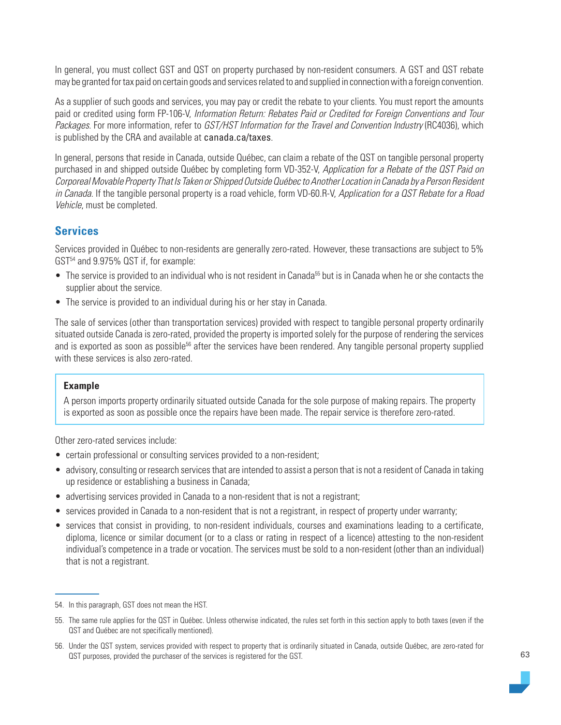In general, you must collect GST and QST on property purchased by non-resident consumers. A GST and QST rebate may be granted for tax paid on certain goods and services related to and supplied in connection with a foreign convention.

As a supplier of such goods and services, you may pay or credit the rebate to your clients. You must report the amounts paid or credited using form FP-106-V, Information Return: Rebates Paid or Credited for Foreign Conventions and Tour Packages. For more information, refer to GST/HST Information for the Travel and Convention Industry (RC4036), which is published by the CRA and available at [canada.ca/taxes](https://www.canada.ca/en/services/taxes.html).

In general, persons that reside in Canada, outside Québec, can claim a rebate of the QST on tangible personal property purchased in and shipped outside Québec by completing form VD-352-V, Application for a Rebate of the QST Paid on Corporeal Movable Property That Is Taken or Shipped Outside Québec to Another Location in Canada by a Person Resident in Canada. If the tangible personal property is a road vehicle, form VD-60.R-V, Application for a QST Rebate for a Road Vehicle, must be completed.

## **Services**

Services provided in Québec to non-residents are generally zero-rated. However, these transactions are subject to 5% GST54 and 9.975% QST if, for example:

- The service is provided to an individual who is not resident in Canada<sup>55</sup> but is in Canada when he or she contacts the supplier about the service.
- The service is provided to an individual during his or her stay in Canada.

The sale of services (other than transportation services) provided with respect to tangible personal property ordinarily situated outside Canada is zero-rated, provided the property is imported solely for the purpose of rendering the services and is exported as soon as possible<sup>56</sup> after the services have been rendered. Any tangible personal property supplied with these services is also zero-rated.

## **Example**

A person imports property ordinarily situated outside Canada for the sole purpose of making repairs. The property is exported as soon as possible once the repairs have been made. The repair service is therefore zero-rated.

Other zero-rated services include:

- certain professional or consulting services provided to a non-resident;
- advisory, consulting or research services that are intended to assist a person that is not a resident of Canada in taking up residence or establishing a business in Canada;
- advertising services provided in Canada to a non-resident that is not a registrant;
- services provided in Canada to a non-resident that is not a registrant, in respect of property under warranty;
- services that consist in providing, to non-resident individuals, courses and examinations leading to a certificate, diploma, licence or similar document (or to a class or rating in respect of a licence) attesting to the non-resident individual's competence in a trade or vocation. The services must be sold to a non-resident (other than an individual) that is not a registrant.

<sup>54.</sup> In this paragraph, GST does not mean the HST.

<sup>55.</sup> The same rule applies for the QST in Québec. Unless otherwise indicated, the rules set forth in this section apply to both taxes (even if the QST and Québec are not specifically mentioned).

<sup>56.</sup> Under the QST system, services provided with respect to property that is ordinarily situated in Canada, outside Québec, are zero-rated for QST purposes, provided the purchaser of the services is registered for the GST.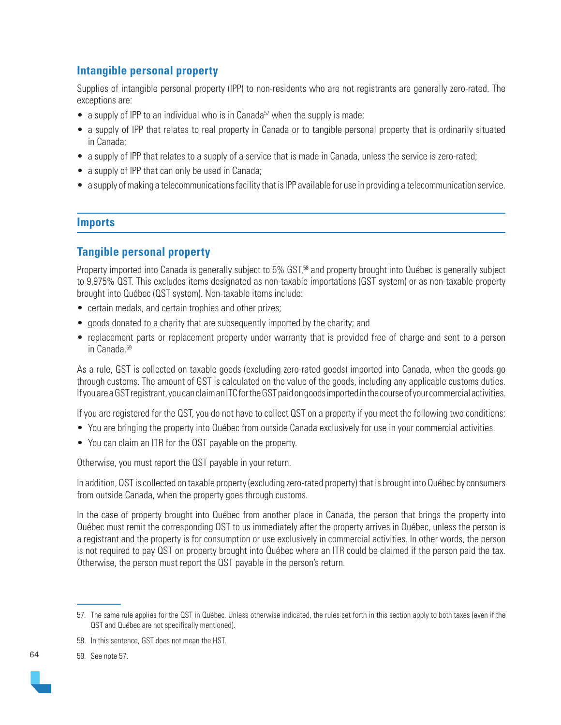# **Intangible personal property**

Supplies of intangible personal property (IPP) to non-residents who are not registrants are generally zero-rated. The exceptions are:

- a supply of IPP to an individual who is in Canada<sup>57</sup> when the supply is made;
- a supply of IPP that relates to real property in Canada or to tangible personal property that is ordinarily situated in Canada;
- a supply of IPP that relates to a supply of a service that is made in Canada, unless the service is zero-rated;
- a supply of IPP that can only be used in Canada;
- a supply of making a telecommunications facility that is IPP available for use in providing a telecommunication service.

## **Imports**

# **Tangible personal property**

Property imported into Canada is generally subject to 5% GST,<sup>58</sup> and property brought into Québec is generally subject to 9.975% QST. This excludes items designated as non-taxable importations (GST system) or as non-taxable property brought into Québec (QST system). Non-taxable items include:

- certain medals, and certain trophies and other prizes;
- goods donated to a charity that are subsequently imported by the charity; and
- replacement parts or replacement property under warranty that is provided free of charge and sent to a person in Canada. 59

As a rule, GST is collected on taxable goods (excluding zero-rated goods) imported into Canada, when the goods go through customs. The amount of GST is calculated on the value of the goods, including any applicable customs duties. If you are a GST registrant, you can claim an ITC for the GST paid on goods imported in the course of your commercial activities.

If you are registered for the QST, you do not have to collect QST on a property if you meet the following two conditions:

- You are bringing the property into Québec from outside Canada exclusively for use in your commercial activities.
- You can claim an ITR for the QST payable on the property.

Otherwise, you must report the QST payable in your return.

In addition, QST is collected on taxable property (excluding zero-rated property) that is brought into Québec by consumers from outside Canada, when the property goes through customs.

In the case of property brought into Québec from another place in Canada, the person that brings the property into Québec must remit the corresponding QST to us immediately after the property arrives in Québec, unless the person is a registrant and the property is for consumption or use exclusively in commercial activities. In other words, the person is not required to pay QST on property brought into Québec where an ITR could be claimed if the person paid the tax. Otherwise, the person must report the QST payable in the person's return.

59. See note 57.

64

<sup>57.</sup> The same rule applies for the QST in Québec. Unless otherwise indicated, the rules set forth in this section apply to both taxes (even if the QST and Québec are not specifically mentioned).

<sup>58.</sup> In this sentence, GST does not mean the HST.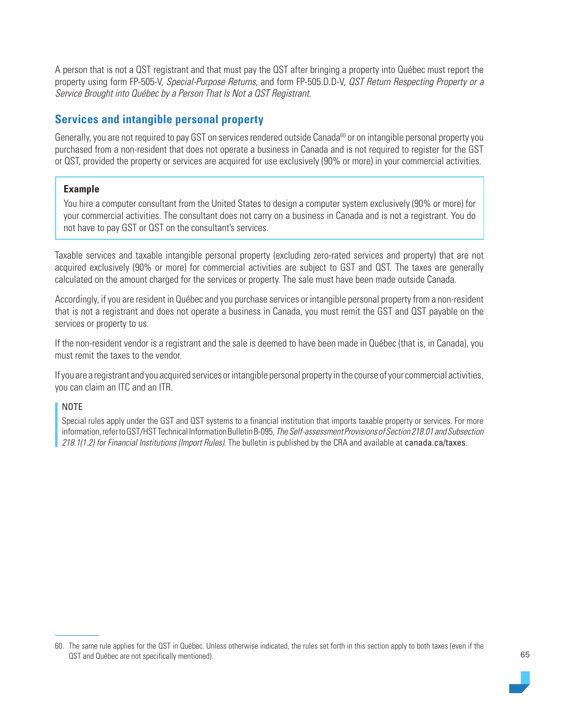A person that is not a QST registrant and that must pay the QST after bringing a property into Québec must report the property using form FP-505-V, Special-Purpose Returns, and form FP-505.D.D-V, *QST Return Respecting Property or a* Service Brought into Québec by a Person That Is Not a QST Registrant.

# **Services and intangible personal property**

Generally, you are not required to pay GST on services rendered outside Canada<sup>60</sup> or on intangible personal property you purchased from a non-resident that does not operate a business in Canada and is not required to register for the GST or QST, provided the property or services are acquired for use exclusively (90% or more) in your commercial activities.

## **Example**

You hire a computer consultant from the United States to design a computer system exclusively (90% or more) for your commercial activities. The consultant does not carry on a business in Canada and is not a registrant. You do not have to pay GST or QST on the consultant's services.

Taxable services and taxable intangible personal property (excluding zero-rated services and property) that are not acquired exclusively (90% or more) for commercial activities are subject to GST and QST. The taxes are generally calculated on the amount charged for the services or property. The sale must have been made outside Canada.

Accordingly, if you are resident in Québec and you purchase services or intangible personal property from a non-resident that is not a registrant and does not operate a business in Canada, you must remit the GST and QST payable on the services or property to us.

If the non-resident vendor is a registrant and the sale is deemed to have been made in Québec (that is, in Canada), you must remit the taxes to the vendor.

If you are a registrant and you acquired services or intangible personal property in the course of your commercial activities, you can claim an ITC and an ITR.

## NOTE

Special rules apply under the GST and QST systems to a financial institution that imports taxable property or services. For more information, refer to GST/HST Technical Information Bulletin B-095, The Self-assessment Provisions of Section 218.01 and Subsection 218.1(1.2) for Financial Institutions (Import Rules). The bulletin is published by the CRA and available at [canada.ca/taxes](https://www.canada.ca/en/services/taxes.html).

<sup>60.</sup> The same rule applies for the QST in Québec. Unless otherwise indicated, the rules set forth in this section apply to both taxes (even if the QST and Québec are not specifically mentioned).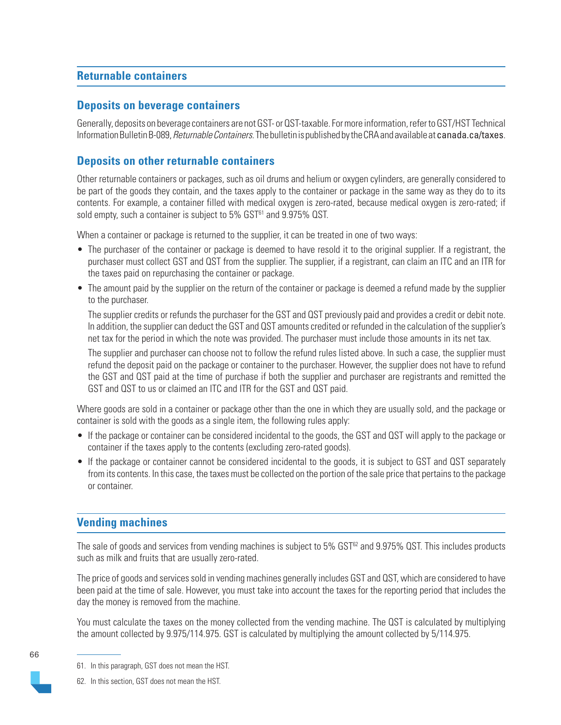# **Returnable containers**

## **Deposits on beverage containers**

Generally, deposits on beverage containers are not GST- or QST-taxable. For more information, refer to GST/HST Technical Information Bulletin B-089, *Returnable Containers*. The bulletin is published by the CRA and available at [canada.ca/taxes](https://www.canada.ca/en/services/taxes.html).

# **Deposits on other returnable containers**

Other returnable containers or packages, such as oil drums and helium or oxygen cylinders, are generally considered to be part of the goods they contain, and the taxes apply to the container or package in the same way as they do to its contents. For example, a container filled with medical oxygen is zero-rated, because medical oxygen is zero-rated; if sold empty, such a container is subject to 5% GST<sup>61</sup> and 9.975% QST.

When a container or package is returned to the supplier, it can be treated in one of two ways:

- The purchaser of the container or package is deemed to have resold it to the original supplier. If a registrant, the purchaser must collect GST and QST from the supplier. The supplier, if a registrant, can claim an ITC and an ITR for the taxes paid on repurchasing the container or package.
- The amount paid by the supplier on the return of the container or package is deemed a refund made by the supplier to the purchaser.

The supplier credits or refunds the purchaser for the GST and QST previously paid and provides a credit or debit note. In addition, the supplier can deduct the GST and QST amounts credited or refunded in the calculation of the supplier's net tax for the period in which the note was provided. The purchaser must include those amounts in its net tax.

The supplier and purchaser can choose not to follow the refund rules listed above. In such a case, the supplier must refund the deposit paid on the package or container to the purchaser. However, the supplier does not have to refund the GST and QST paid at the time of purchase if both the supplier and purchaser are registrants and remitted the GST and QST to us or claimed an ITC and ITR for the GST and QST paid.

Where goods are sold in a container or package other than the one in which they are usually sold, and the package or container is sold with the goods as a single item, the following rules apply:

- If the package or container can be considered incidental to the goods, the GST and QST will apply to the package or container if the taxes apply to the contents (excluding zero-rated goods).
- If the package or container cannot be considered incidental to the goods, it is subject to GST and QST separately from its contents. In this case, the taxes must be collected on the portion of the sale price that pertains to the package or container.

# **Vending machines**

The sale of goods and services from vending machines is subject to 5% GST<sup>62</sup> and 9.975% QST. This includes products such as milk and fruits that are usually zero-rated.

The price of goods and services sold in vending machines generally includes GST and QST, which are considered to have been paid at the time of sale. However, you must take into account the taxes for the reporting period that includes the day the money is removed from the machine.

You must calculate the taxes on the money collected from the vending machine. The QST is calculated by multiplying the amount collected by 9.975/114.975. GST is calculated by multiplying the amount collected by 5/114.975.

<sup>61.</sup> In this paragraph, GST does not mean the HST.

<sup>62.</sup> In this section, GST does not mean the HST.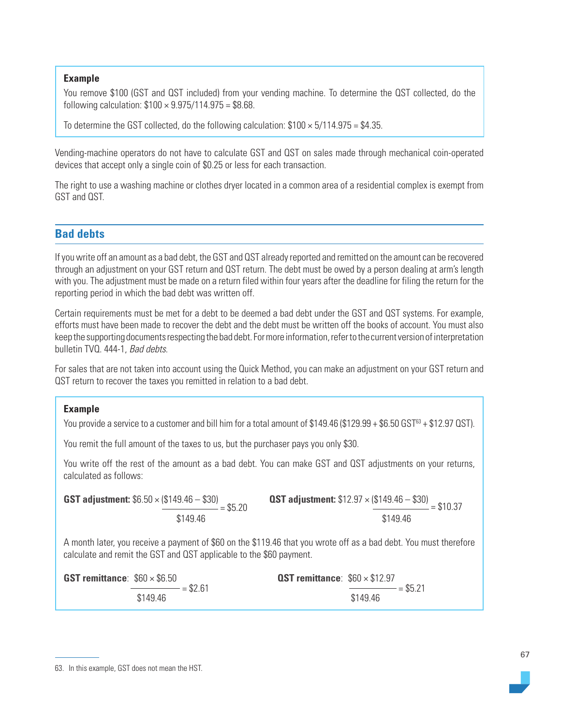#### **Example**

You remove \$100 (GST and QST included) from your vending machine. To determine the QST collected, do the following calculation:  $$100 \times 9.975/114.975 = $8.68$ .

To determine the GST collected, do the following calculation:  $$100 \times 5/114.975 = $4.35$ .

Vending-machine operators do not have to calculate GST and QST on sales made through mechanical coin-operated devices that accept only a single coin of \$0.25 or less for each transaction.

The right to use a washing machine or clothes dryer located in a common area of a residential complex is exempt from GST and QST.

## **Bad debts**

If you write off an amount as a bad debt, the GST and QST already reported and remitted on the amount can be recovered through an adjustment on your GST return and QST return. The debt must be owed by a person dealing at arm's length with you. The adjustment must be made on a return filed within four years after the deadline for filing the return for the reporting period in which the bad debt was written off.

Certain requirements must be met for a debt to be deemed a bad debt under the GST and QST systems. For example, efforts must have been made to recover the debt and the debt must be written off the books of account. You must also keep the supporting documents respecting the bad debt. For more information, refer to the current version of interpretation bulletin TVQ. 444-1, Bad debts.

For sales that are not taken into account using the Quick Method, you can make an adjustment on your GST return and QST return to recover the taxes you remitted in relation to a bad debt.

#### **Example**

You provide a service to a customer and bill him for a total amount of \$149.46 (\$129.99 + \$6.50 GST $^{63}$  + \$12.97 QST).

You remit the full amount of the taxes to us, but the purchaser pays you only \$30.

You write off the rest of the amount as a bad debt. You can make GST and QST adjustments on your returns, calculated as follows:

**GST adjustment:**  $$6.50 \times ($149.46 - $30)$ <br>= \$5.20 \$149.46 **QST adjustment:**  $$12.97 \times ($149.46 - $30] = $10.37$ \$149.46

A month later, you receive a payment of \$60 on the \$119.46 that you wrote off as a bad debt. You must therefore calculate and remit the GST and QST applicable to the \$60 payment.

**GST remittance**: \$60 × \$6.50  $= $2.61$ \$149.46 **QST remittance**: \$60 × \$12.97  $= $5.21$ \$149.46

<sup>63.</sup> In this example, GST does not mean the HST.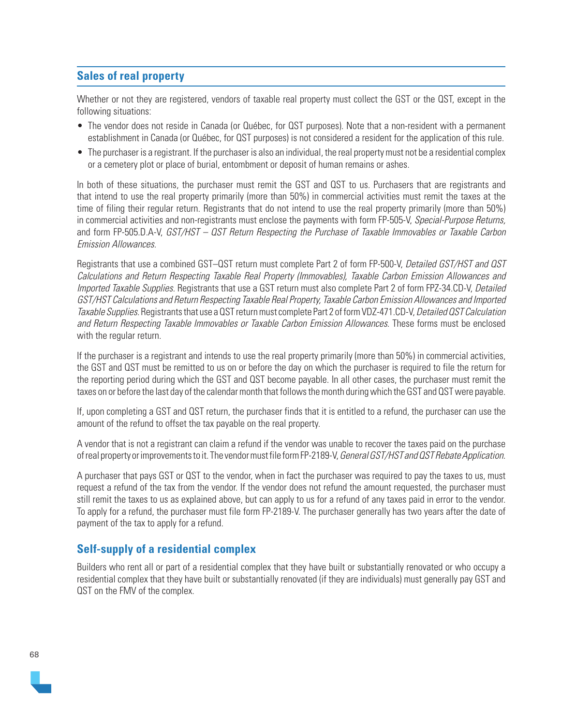# **Sales of real property**

Whether or not they are registered, vendors of taxable real property must collect the GST or the QST, except in the following situations:

- The vendor does not reside in Canada (or Québec, for QST purposes). Note that a non-resident with a permanent establishment in Canada (or Québec, for QST purposes) is not considered a resident for the application of this rule.
- The purchaser is a registrant. If the purchaser is also an individual, the real property must not be a residential complex or a cemetery plot or place of burial, entombment or deposit of human remains or ashes.

In both of these situations, the purchaser must remit the GST and QST to us. Purchasers that are registrants and that intend to use the real property primarily (more than 50%) in commercial activities must remit the taxes at the time of filing their regular return. Registrants that do not intend to use the real property primarily (more than 50%) in commercial activities and non-registrants must enclose the payments with form FP-505-V, Special-Purpose Returns, and form FP-505.D.A-V, GST/HST – QST Return Respecting the Purchase of Taxable Immovables or Taxable Carbon Emission Allowances.

Registrants that use a combined GST–QST return must complete Part 2 of form FP-500-V, Detailed GST/HST and QST Calculations and Return Respecting Taxable Real Property (Immovables), Taxable Carbon Emission Allowances and Imported Taxable Supplies. Registrants that use a GST return must also complete Part 2 of form FPZ-34.CD-V, Detailed GST/HST Calculations and Return Respecting Taxable Real Property, Taxable Carbon Emission Allowances and Imported Taxable Supplies. Registrants that use a QST return must complete Part 2 of form VDZ-471.CD-V, Detailed QST Calculation and Return Respecting Taxable Immovables or Taxable Carbon Emission Allowances. These forms must be enclosed with the regular return.

If the purchaser is a registrant and intends to use the real property primarily (more than 50%) in commercial activities, the GST and QST must be remitted to us on or before the day on which the purchaser is required to file the return for the reporting period during which the GST and QST become payable. In all other cases, the purchaser must remit the taxes on or before the last day of the calendar month that follows the month during which the GST and QST were payable.

If, upon completing a GST and QST return, the purchaser finds that it is entitled to a refund, the purchaser can use the amount of the refund to offset the tax payable on the real property.

A vendor that is not a registrant can claim a refund if the vendor was unable to recover the taxes paid on the purchase of real property or improvements to it. The vendor must file form FP-2189-V, General GST/HST and QST Rebate Application.

A purchaser that pays GST or QST to the vendor, when in fact the purchaser was required to pay the taxes to us, must request a refund of the tax from the vendor. If the vendor does not refund the amount requested, the purchaser must still remit the taxes to us as explained above, but can apply to us for a refund of any taxes paid in error to the vendor. To apply for a refund, the purchaser must file form FP-2189-V. The purchaser generally has two years after the date of payment of the tax to apply for a refund.

# **Self-supply of a residential complex**

Builders who rent all or part of a residential complex that they have built or substantially renovated or who occupy a residential complex that they have built or substantially renovated (if they are individuals) must generally pay GST and QST on the FMV of the complex.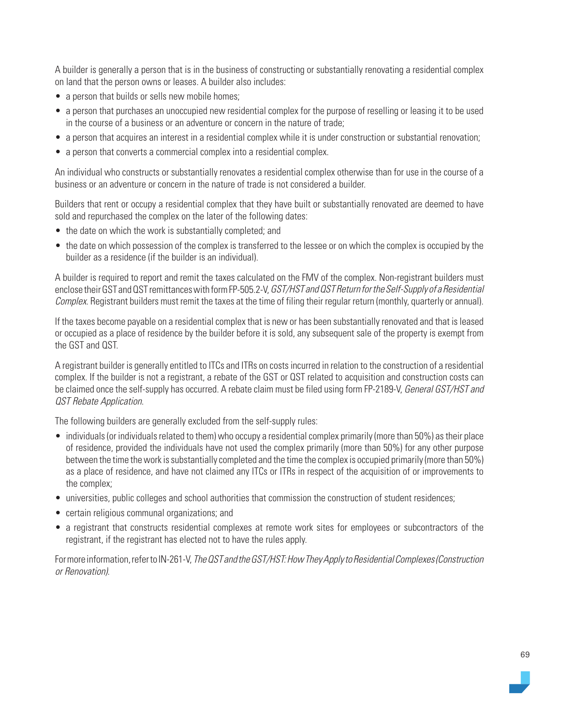A builder is generally a person that is in the business of constructing or substantially renovating a residential complex on land that the person owns or leases. A builder also includes:

- a person that builds or sells new mobile homes;
- a person that purchases an unoccupied new residential complex for the purpose of reselling or leasing it to be used in the course of a business or an adventure or concern in the nature of trade;
- a person that acquires an interest in a residential complex while it is under construction or substantial renovation;
- a person that converts a commercial complex into a residential complex.

An individual who constructs or substantially renovates a residential complex otherwise than for use in the course of a business or an adventure or concern in the nature of trade is not considered a builder.

Builders that rent or occupy a residential complex that they have built or substantially renovated are deemed to have sold and repurchased the complex on the later of the following dates:

- the date on which the work is substantially completed; and
- the date on which possession of the complex is transferred to the lessee or on which the complex is occupied by the builder as a residence (if the builder is an individual).

A builder is required to report and remit the taxes calculated on the FMV of the complex. Non-registrant builders must enclose their GST and QST remittances with form FP-505.2-V, GST/HST and QST Return for the Self-Supply of a Residential Complex. Registrant builders must remit the taxes at the time of filing their regular return (monthly, quarterly or annual).

If the taxes become payable on a residential complex that is new or has been substantially renovated and that is leased or occupied as a place of residence by the builder before it is sold, any subsequent sale of the property is exempt from the GST and QST.

A registrant builder is generally entitled to ITCs and ITRs on costs incurred in relation to the construction of a residential complex. If the builder is not a registrant, a rebate of the GST or QST related to acquisition and construction costs can be claimed once the self-supply has occurred. A rebate claim must be filed using form FP-2189-V, General GST/HST and QST Rebate Application.

The following builders are generally excluded from the self-supply rules:

- individuals (or individuals related to them) who occupy a residential complex primarily (more than 50%) as their place of residence, provided the individuals have not used the complex primarily (more than 50%) for any other purpose between the time the work is substantially completed and the time the complex is occupied primarily (more than 50%) as a place of residence, and have not claimed any ITCs or ITRs in respect of the acquisition of or improvements to the complex;
- universities, public colleges and school authorities that commission the construction of student residences;
- certain religious communal organizations; and
- a registrant that constructs residential complexes at remote work sites for employees or subcontractors of the registrant, if the registrant has elected not to have the rules apply.

For more information, refer to IN-261-V, The QST and the GST/HST: How They Apply to Residential Complexes (Construction or Renovation).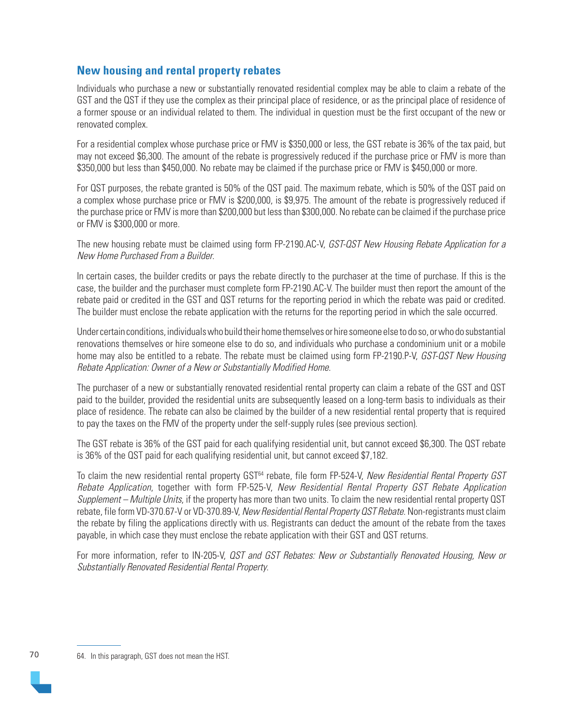# **New housing and rental property rebates**

Individuals who purchase a new or substantially renovated residential complex may be able to claim a rebate of the GST and the QST if they use the complex as their principal place of residence, or as the principal place of residence of a former spouse or an individual related to them. The individual in question must be the first occupant of the new or renovated complex.

For a residential complex whose purchase price or FMV is \$350,000 or less, the GST rebate is 36% of the tax paid, but may not exceed \$6,300. The amount of the rebate is progressively reduced if the purchase price or FMV is more than \$350,000 but less than \$450,000. No rebate may be claimed if the purchase price or FMV is \$450,000 or more.

For QST purposes, the rebate granted is 50% of the QST paid. The maximum rebate, which is 50% of the QST paid on a complex whose purchase price or FMV is \$200,000, is \$9,975. The amount of the rebate is progressively reduced if the purchase price or FMV is more than \$200,000 but less than \$300,000. No rebate can be claimed if the purchase price or FMV is \$300,000 or more.

The new housing rebate must be claimed using form FP-2190.AC-V, GST-QST New Housing Rebate Application for a New Home Purchased From a Builder.

In certain cases, the builder credits or pays the rebate directly to the purchaser at the time of purchase. If this is the case, the builder and the purchaser must complete form FP-2190.AC-V. The builder must then report the amount of the rebate paid or credited in the GST and QST returns for the reporting period in which the rebate was paid or credited. The builder must enclose the rebate application with the returns for the reporting period in which the sale occurred.

Under certain conditions, individuals who build their home themselves or hire someone else to do so, or who do substantial renovations themselves or hire someone else to do so, and individuals who purchase a condominium unit or a mobile home may also be entitled to a rebate. The rebate must be claimed using form FP-2190.P-V, GST-QST New Housing Rebate Application: Owner of a New or Substantially Modified Home.

The purchaser of a new or substantially renovated residential rental property can claim a rebate of the GST and QST paid to the builder, provided the residential units are subsequently leased on a long-term basis to individuals as their place of residence. The rebate can also be claimed by the builder of a new residential rental property that is required to pay the taxes on the FMV of the property under the self-supply rules (see previous section).

The GST rebate is 36% of the GST paid for each qualifying residential unit, but cannot exceed \$6,300. The QST rebate is 36% of the QST paid for each qualifying residential unit, but cannot exceed \$7,182.

To claim the new residential rental property GST<sup>64</sup> rebate, file form FP-524-V, New Residential Rental Property GST Rebate Application, together with form FP-525-V, New Residential Rental Property GST Rebate Application Supplement – Multiple Units, if the property has more than two units. To claim the new residential rental property QST rebate, file form VD-370.67-V or VD-370.89-V, New Residential Rental Property OST Rebate. Non-registrants must claim the rebate by filing the applications directly with us. Registrants can deduct the amount of the rebate from the taxes payable, in which case they must enclose the rebate application with their GST and QST returns.

For more information, refer to IN-205-V, QST and GST Rebates: New or Substantially Renovated Housing, New or Substantially Renovated Residential Rental Property.

70 64. In this paragraph, GST does not mean the HST.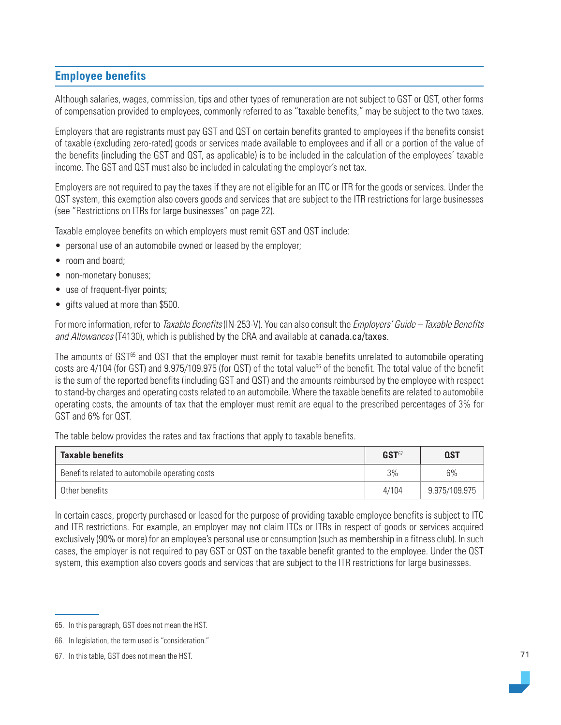# **Employee benefits**

Although salaries, wages, commission, tips and other types of remuneration are not subject to GST or QST, other forms of compensation provided to employees, commonly referred to as "taxable benefits," may be subject to the two taxes.

Employers that are registrants must pay GST and QST on certain benefits granted to employees if the benefits consist of taxable (excluding zero-rated) goods or services made available to employees and if all or a portion of the value of the benefits (including the GST and QST, as applicable) is to be included in the calculation of the employees' taxable income. The GST and QST must also be included in calculating the employer's net tax.

Employers are not required to pay the taxes if they are not eligible for an ITC or ITR for the goods or services. Under the QST system, this exemption also covers goods and services that are subject to the ITR restrictions for large businesses (see "Restrictions on ITRs for large businesses" on page 22).

Taxable employee benefits on which employers must remit GST and QST include:

- personal use of an automobile owned or leased by the employer;
- room and board;
- non-monetary bonuses;
- use of frequent-flyer points;
- gifts valued at more than \$500.

For more information, refer to Taxable Benefits (IN-253-V). You can also consult the Employers' Guide – Taxable Benefits and Allowances (T4130), which is published by the CRA and available at [canada.ca/taxes](https://www.canada.ca/en/services/taxes.html).

The amounts of GST<sup>65</sup> and QST that the employer must remit for taxable benefits unrelated to automobile operating costs are 4/104 (for GST) and 9.975/109.975 (for QST) of the total value<sup>66</sup> of the benefit. The total value of the benefit is the sum of the reported benefits (including GST and QST) and the amounts reimbursed by the employee with respect to stand-by charges and operating costs related to an automobile. Where the taxable benefits are related to automobile operating costs, the amounts of tax that the employer must remit are equal to the prescribed percentages of 3% for GST and 6% for QST.

The table below provides the rates and tax fractions that apply to taxable benefits.

| <b>Taxable benefits</b>                        | GST <sup>67</sup> | <b>QST</b>    |
|------------------------------------------------|-------------------|---------------|
| Benefits related to automobile operating costs | 3%                | 6%            |
| Other benefits                                 | 4/104             | 9.975/109.975 |

In certain cases, property purchased or leased for the purpose of providing taxable employee benefits is subject to ITC and ITR restrictions. For example, an employer may not claim ITCs or ITRs in respect of goods or services acquired exclusively (90% or more) for an employee's personal use or consumption (such as membership in a fitness club). In such cases, the employer is not required to pay GST or QST on the taxable benefit granted to the employee. Under the QST system, this exemption also covers goods and services that are subject to the ITR restrictions for large businesses.

<sup>65.</sup> In this paragraph, GST does not mean the HST.

<sup>66.</sup> In legislation, the term used is "consideration."

<sup>67.</sup> In this table, GST does not mean the HST.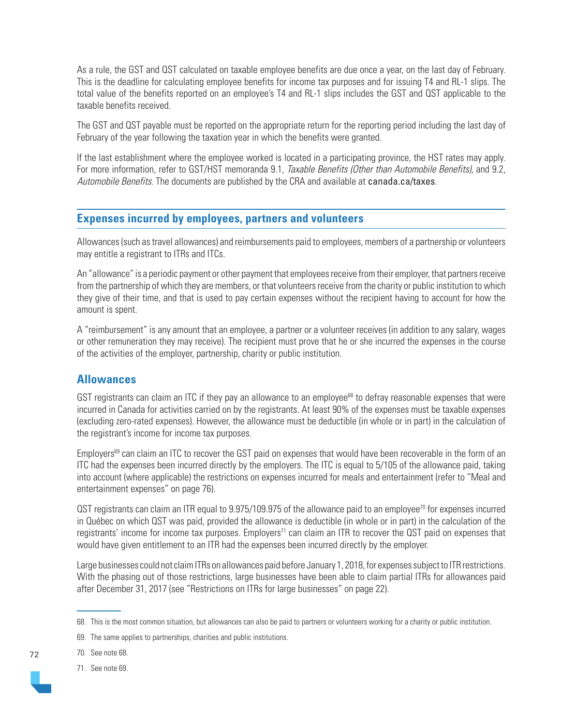As a rule, the GST and QST calculated on taxable employee benefits are due once a year, on the last day of February. This is the deadline for calculating employee benefits for income tax purposes and for issuing T4 and RL-1 slips. The total value of the benefits reported on an employee's T4 and RL-1 slips includes the GST and QST applicable to the taxable benefits received.

The GST and QST payable must be reported on the appropriate return for the reporting period including the last day of February of the year following the taxation year in which the benefits were granted.

If the last establishment where the employee worked is located in a participating province, the HST rates may apply. For more information, refer to GST/HST memoranda 9.1, Taxable Benefits (Other than Automobile Benefits), and 9.2, Automobile Benefits. The documents are published by the CRA and available at [canada.ca/taxes](https://www.canada.ca/en/services/taxes.html).

## **Expenses incurred by employees, partners and volunteers**

Allowances (such as travel allowances) and reimbursements paid to employees, members of a partnership or volunteers may entitle a registrant to ITRs and ITCs.

An "allowance" is a periodic payment or other payment that employees receive from their employer, that partners receive from the partnership of which they are members, or that volunteers receive from the charity or public institution to which they give of their time, and that is used to pay certain expenses without the recipient having to account for how the amount is spent.

A "reimbursement" is any amount that an employee, a partner or a volunteer receives (in addition to any salary, wages or other remuneration they may receive). The recipient must prove that he or she incurred the expenses in the course of the activities of the employer, partnership, charity or public institution.

## **Allowances**

GST registrants can claim an ITC if they pay an allowance to an employee<sup>68</sup> to defray reasonable expenses that were incurred in Canada for activities carried on by the registrants. At least 90% of the expenses must be taxable expenses (excluding zero-rated expenses). However, the allowance must be deductible (in whole or in part) in the calculation of the registrant's income for income tax purposes.

Employers<sup>69</sup> can claim an ITC to recover the GST paid on expenses that would have been recoverable in the form of an ITC had the expenses been incurred directly by the employers. The ITC is equal to 5/105 of the allowance paid, taking into account (where applicable) the restrictions on expenses incurred for meals and entertainment (refer to "Meal and entertainment expenses" on page 76).

QST registrants can claim an ITR equal to 9.975/109.975 of the allowance paid to an employee<sup>70</sup> for expenses incurred in Québec on which QST was paid, provided the allowance is deductible (in whole or in part) in the calculation of the registrants' income for income tax purposes. Employers<sup>71</sup> can claim an ITR to recover the QST paid on expenses that would have given entitlement to an ITR had the expenses been incurred directly by the employer.

Large businesses could not claim ITRs on allowances paid before January 1, 2018, for expenses subject to ITR restrictions. With the phasing out of those restrictions, large businesses have been able to claim partial ITRs for allowances paid after December 31, 2017 (see "Restrictions on ITRs for large businesses" on page 22).

69. The same applies to partnerships, charities and public institutions.

70. See note 68.

71. See note 69.

<sup>68.</sup> This is the most common situation, but allowances can also be paid to partners or volunteers working for a charity or public institution.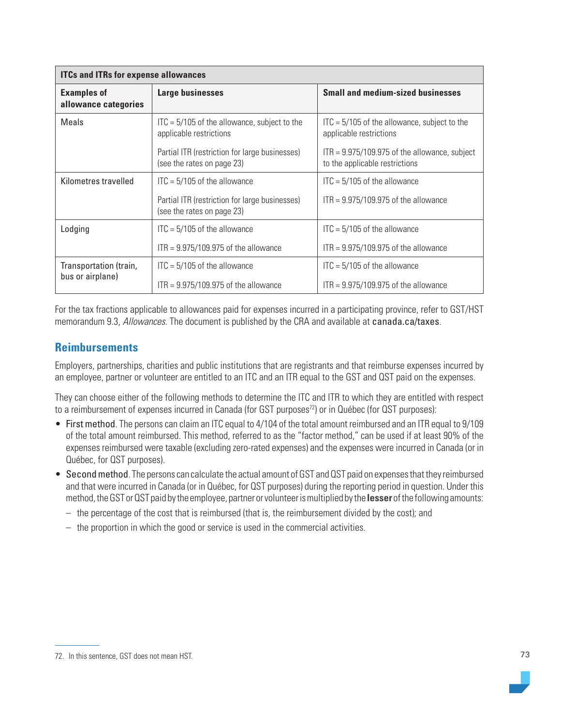| <b>ITCs and ITRs for expense allowances</b> |                                                                                  |                                                                                   |  |  |
|---------------------------------------------|----------------------------------------------------------------------------------|-----------------------------------------------------------------------------------|--|--|
| <b>Examples of</b><br>allowance categories  | Large businesses                                                                 | <b>Small and medium-sized businesses</b>                                          |  |  |
| Meals                                       | $\text{ITC} = 5/105$ of the allowance, subject to the<br>applicable restrictions | $\text{ITC} = 5/105$ of the allowance, subject to the<br>applicable restrictions  |  |  |
|                                             | Partial ITR (restriction for large businesses)<br>(see the rates on page 23)     | $ITR = 9.975/109.975$ of the allowance, subject<br>to the applicable restrictions |  |  |
| Kilometres travelled                        | $ITC = 5/105$ of the allowance                                                   | $ITC = 5/105$ of the allowance                                                    |  |  |
|                                             | Partial ITR (restriction for large businesses)<br>(see the rates on page 23)     | $ITR = 9.975/109.975$ of the allowance                                            |  |  |
| Lodging                                     | $ITC = 5/105$ of the allowance                                                   | $ITC = 5/105$ of the allowance                                                    |  |  |
|                                             | $ITR = 9.975/109.975$ of the allowance                                           | $ITR = 9.975/109.975$ of the allowance                                            |  |  |
| Transportation (train,                      | $ITC = 5/105$ of the allowance                                                   | $ITC = 5/105$ of the allowance                                                    |  |  |
| bus or airplane)                            | $ITR = 9.975/109.975$ of the allowance                                           | $ITR = 9.975/109.975$ of the allowance                                            |  |  |

For the tax fractions applicable to allowances paid for expenses incurred in a participating province, refer to GST/HST memorandum 9.3, Allowances. The document is published by the CRA and available at [canada.ca/taxes](https://www.canada.ca/en/services/taxes.html).

# **Reimbursements**

Employers, partnerships, charities and public institutions that are registrants and that reimburse expenses incurred by an employee, partner or volunteer are entitled to an ITC and an ITR equal to the GST and QST paid on the expenses.

They can choose either of the following methods to determine the ITC and ITR to which they are entitled with respect to a reimbursement of expenses incurred in Canada (for GST purposes<sup>72</sup>) or in Québec (for QST purposes):

- First method. The persons can claim an ITC equal to 4/104 of the total amount reimbursed and an ITR equal to 9/109 of the total amount reimbursed. This method, referred to as the "factor method," can be used if at least 90% of the expenses reimbursed were taxable (excluding zero-rated expenses) and the expenses were incurred in Canada (or in Québec, for QST purposes).
- Second method. The persons can calculate the actual amount of GST and QST paid on expenses that they reimbursed and that were incurred in Canada (or in Québec, for QST purposes) during the reporting period in question. Under this method, the GST or QST paid by the employee, partner or volunteer is multiplied by the **lesser** of the following amounts:
	- the percentage of the cost that is reimbursed (that is, the reimbursement divided by the cost); and
	- the proportion in which the good or service is used in the commercial activities.

<sup>72.</sup> In this sentence, GST does not mean HST.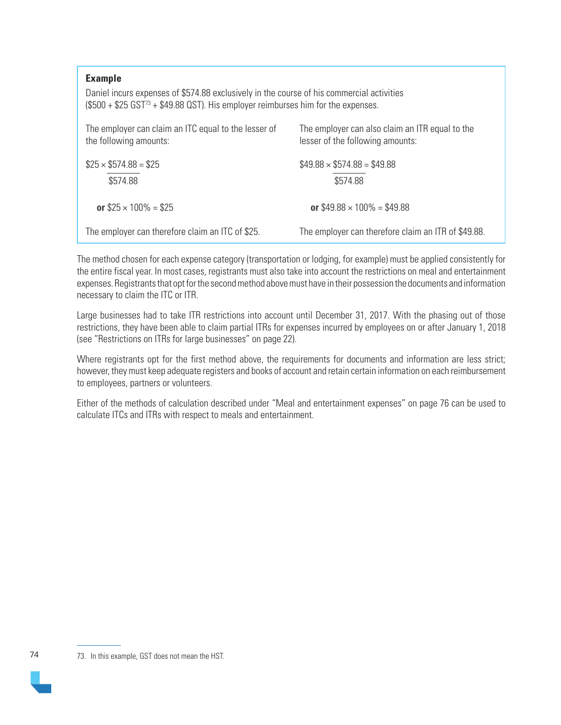### **Example**

Daniel incurs expenses of \$574.88 exclusively in the course of his commercial activities  $($500 + $25 GST<sup>73</sup> + $49.88 OST)$ . His employer reimburses him for the expenses.

| The employer can claim an ITC equal to the lesser of<br>the following amounts: | The employer can also claim an ITR equal to the<br>lesser of the following amounts: |
|--------------------------------------------------------------------------------|-------------------------------------------------------------------------------------|
| $$25 \times $574.88 = $25$                                                     | $$49.88 \times $574.88 = $49.88$                                                    |
| \$574.88                                                                       | \$574.88                                                                            |
| or $$25 \times 100\% = $25$                                                    | or $$49.88 \times 100\% = $49.88$                                                   |
| The employer can therefore claim an ITC of \$25.                               | The employer can therefore claim an ITR of \$49.88.                                 |

The method chosen for each expense category (transportation or lodging, for example) must be applied consistently for the entire fiscal year. In most cases, registrants must also take into account the restrictions on meal and entertainment expenses. Registrants that opt for the second method above must have in their possession the documents and information necessary to claim the ITC or ITR.

Large businesses had to take ITR restrictions into account until December 31, 2017. With the phasing out of those restrictions, they have been able to claim partial ITRs for expenses incurred by employees on or after January 1, 2018 (see "Restrictions on ITRs for large businesses" on page 22).

Where registrants opt for the first method above, the requirements for documents and information are less strict; however, they must keep adequate registers and books of account and retain certain information on each reimbursement to employees, partners or volunteers.

Either of the methods of calculation described under "Meal and entertainment expenses" on page 76 can be used to calculate ITCs and ITRs with respect to meals and entertainment.

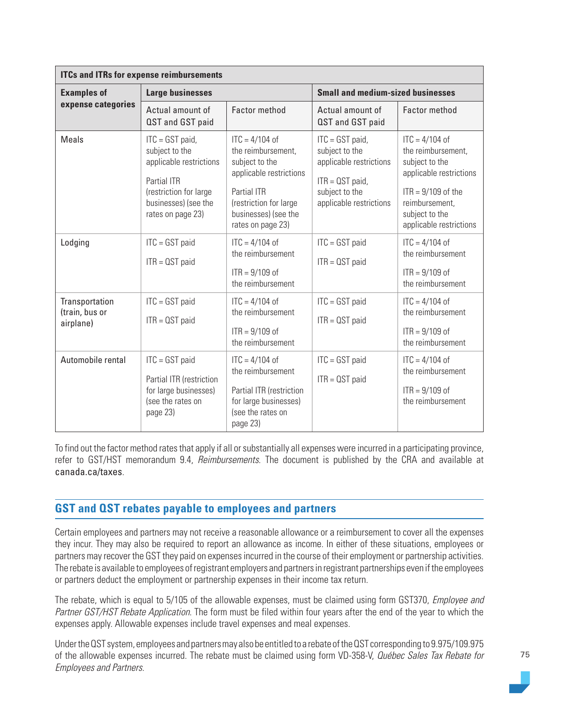| <b>ITCs and ITRs for expense reimbursements</b> |                                                                                                                                                      |                                                                                                                                                                                           |                                                                                                                                  |                                                                                                                                                                            |  |
|-------------------------------------------------|------------------------------------------------------------------------------------------------------------------------------------------------------|-------------------------------------------------------------------------------------------------------------------------------------------------------------------------------------------|----------------------------------------------------------------------------------------------------------------------------------|----------------------------------------------------------------------------------------------------------------------------------------------------------------------------|--|
| <b>Examples of</b>                              | <b>Large businesses</b>                                                                                                                              |                                                                                                                                                                                           | <b>Small and medium-sized businesses</b>                                                                                         |                                                                                                                                                                            |  |
| expense categories                              | Actual amount of<br>QST and GST paid                                                                                                                 | <b>Factor method</b>                                                                                                                                                                      | Actual amount of<br>QST and GST paid                                                                                             | <b>Factor method</b>                                                                                                                                                       |  |
| <b>Meals</b>                                    | $ITC = GST$ paid,<br>subject to the<br>applicable restrictions<br>Partial ITR<br>(restriction for large<br>businesses) (see the<br>rates on page 23) | $\text{ITC} = 4/104 \text{ of }$<br>the reimbursement,<br>subject to the<br>applicable restrictions<br>Partial ITR<br>(restriction for large<br>businesses) (see the<br>rates on page 23) | $ITC = GST$ paid,<br>subject to the<br>applicable restrictions<br>$ITR = QST$ paid,<br>subject to the<br>applicable restrictions | $ITC = 4/104$ of<br>the reimbursement,<br>subject to the<br>applicable restrictions<br>$ITR = 9/109$ of the<br>reimbursement,<br>subject to the<br>applicable restrictions |  |
| Lodging                                         | $ITC = GST$ paid<br>$ITR = OST paid$                                                                                                                 | $ITC = 4/104$ of<br>the reimbursement<br>$ITR = 9/109$ of<br>the reimbursement                                                                                                            | $ITC = GST$ paid<br>$ITR = QST$ paid                                                                                             | $ITC = 4/104$ of<br>the reimbursement<br>$ITR = 9/109$ of<br>the reimbursement                                                                                             |  |
| Transportation<br>(train, bus or<br>airplane)   | $ITC = GST$ paid<br>$ITR = OST paid$                                                                                                                 | $\text{ITC} = 4/104 \text{ of }$<br>the reimbursement<br>$ITR = 9/109$ of<br>the reimbursement                                                                                            | $ITC = GST$ paid<br>$ITR = QST$ paid                                                                                             | $ITC = 4/104$ of<br>the reimbursement<br>$ITR = 9/109$ of<br>the reimbursement                                                                                             |  |
| Automobile rental                               | $ITC = GST$ paid<br>Partial ITR (restriction<br>for large businesses)<br>(see the rates on<br>page 23)                                               | $\text{ITC} = 4/104 \text{ of }$<br>the reimbursement<br>Partial ITR (restriction<br>for large businesses)<br>(see the rates on<br>page 23)                                               | $ITC = GST$ paid<br>$ITR = QST$ paid                                                                                             | $ITC = 4/104$ of<br>the reimbursement<br>$ITR = 9/109$ of<br>the reimbursement                                                                                             |  |

To find out the factor method rates that apply if all or substantially all expenses were incurred in a participating province, refer to GST/HST memorandum 9.4, *Reimbursements*. The document is published by the CRA and available at [canada.ca/taxes](https://www.canada.ca/en/services/taxes.html).

# **GST and QST rebates payable to employees and partners**

Certain employees and partners may not receive a reasonable allowance or a reimbursement to cover all the expenses they incur. They may also be required to report an allowance as income. In either of these situations, employees or partners may recover the GST they paid on expenses incurred in the course of their employment or partnership activities. The rebate is available to employees of registrant employers and partners in registrant partnerships even if the employees or partners deduct the employment or partnership expenses in their income tax return.

The rebate, which is equal to 5/105 of the allowable expenses, must be claimed using form GST370, *Employee and* Partner GST/HST Rebate Application. The form must be filed within four years after the end of the year to which the expenses apply. Allowable expenses include travel expenses and meal expenses.

Under the QST system, employees and partners may also be entitled to a rebate of the QST corresponding to 9.975/109.975 of the allowable expenses incurred. The rebate must be claimed using form VD-358-V, Québec Sales Tax Rebate for Employees and Partners.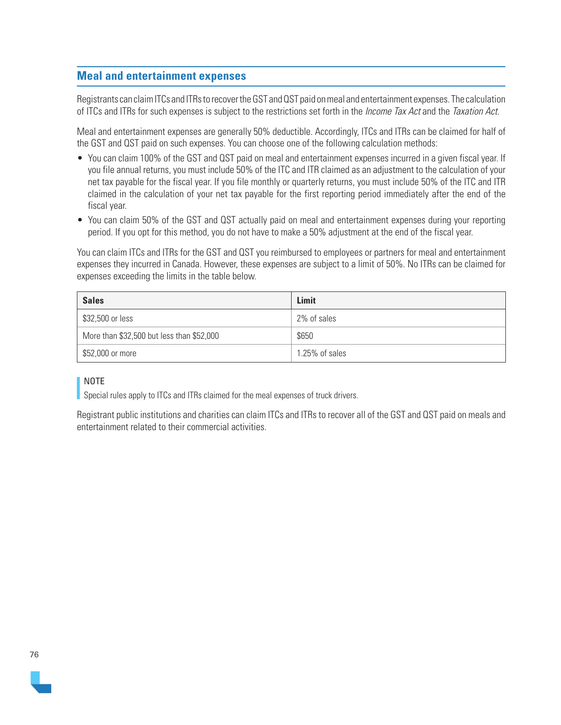### **Meal and entertainment expenses**

Registrants can claim ITCs and ITRs to recover the GST and QST paid on meal and entertainment expenses. The calculation of ITCs and ITRs for such expenses is subject to the restrictions set forth in the *Income Tax Act* and the Taxation Act.

Meal and entertainment expenses are generally 50% deductible. Accordingly, ITCs and ITRs can be claimed for half of the GST and QST paid on such expenses. You can choose one of the following calculation methods:

- You can claim 100% of the GST and QST paid on meal and entertainment expenses incurred in a given fiscal year. If you file annual returns, you must include 50% of the ITC and ITR claimed as an adjustment to the calculation of your net tax payable for the fiscal year. If you file monthly or quarterly returns, you must include 50% of the ITC and ITR claimed in the calculation of your net tax payable for the first reporting period immediately after the end of the fiscal year.
- You can claim 50% of the GST and QST actually paid on meal and entertainment expenses during your reporting period. If you opt for this method, you do not have to make a 50% adjustment at the end of the fiscal year.

You can claim ITCs and ITRs for the GST and QST you reimbursed to employees or partners for meal and entertainment expenses they incurred in Canada. However, these expenses are subject to a limit of 50%. No ITRs can be claimed for expenses exceeding the limits in the table below.

| <b>Sales</b>                              | Limit          |
|-------------------------------------------|----------------|
| \$32,500 or less                          | 2% of sales    |
| More than \$32,500 but less than \$52,000 | \$650          |
| \$52,000 or more                          | 1.25% of sales |

### NOTE

Special rules apply to ITCs and ITRs claimed for the meal expenses of truck drivers.

Registrant public institutions and charities can claim ITCs and ITRs to recover all of the GST and QST paid on meals and entertainment related to their commercial activities.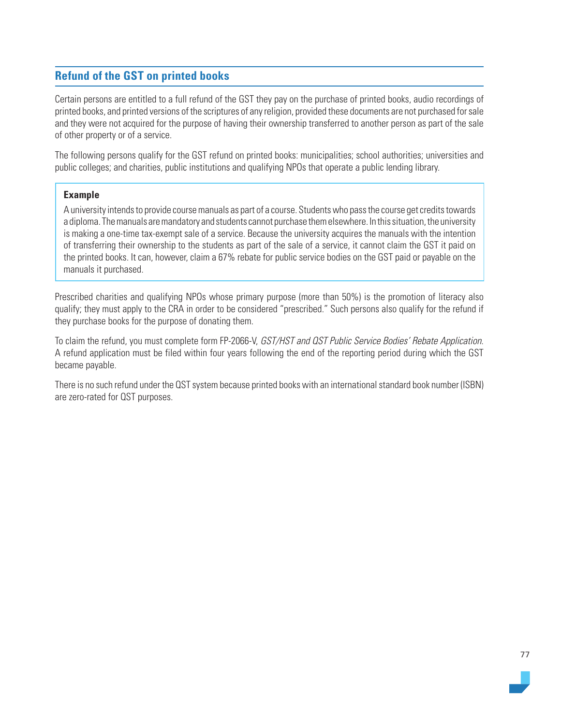# **Refund of the GST on printed books**

Certain persons are entitled to a full refund of the GST they pay on the purchase of printed books, audio recordings of printed books, and printed versions of the scriptures of any religion, provided these documents are not purchased for sale and they were not acquired for the purpose of having their ownership transferred to another person as part of the sale of other property or of a service.

The following persons qualify for the GST refund on printed books: municipalities; school authorities; universities and public colleges; and charities, public institutions and qualifying NPOs that operate a public lending library.

### **Example**

A university intends to provide course manuals as part of a course. Students who pass the course get credits towards a diploma. The manuals are mandatory and students cannot purchase them elsewhere. In this situation, the university is making a one-time tax-exempt sale of a service. Because the university acquires the manuals with the intention of transferring their ownership to the students as part of the sale of a service, it cannot claim the GST it paid on the printed books. It can, however, claim a 67% rebate for public service bodies on the GST paid or payable on the manuals it purchased.

Prescribed charities and qualifying NPOs whose primary purpose (more than 50%) is the promotion of literacy also qualify; they must apply to the CRA in order to be considered "prescribed." Such persons also qualify for the refund if they purchase books for the purpose of donating them.

To claim the refund, you must complete form FP-2066-V, GST/HST and QST Public Service Bodies' Rebate Application. A refund application must be filed within four years following the end of the reporting period during which the GST became payable.

There is no such refund under the QST system because printed books with an international standard book number (ISBN) are zero-rated for QST purposes.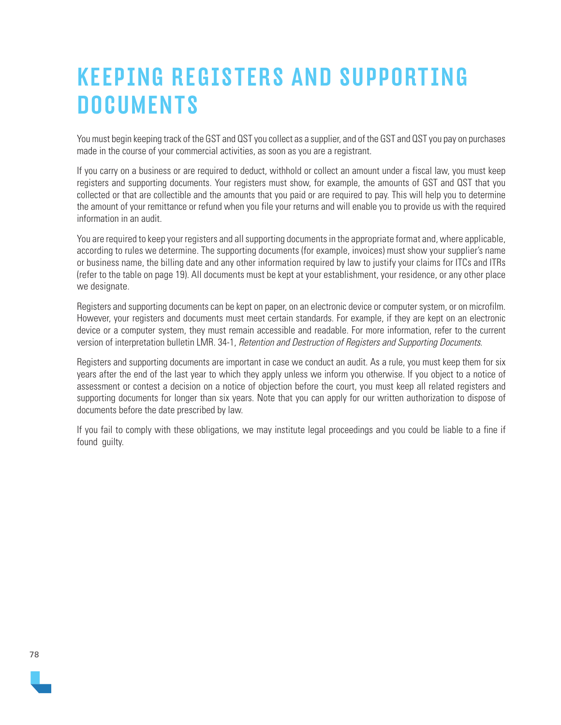# KEEPING REGISTERS AND SUPPORTING **DOCUMENTS**

You must begin keeping track of the GST and QST you collect as a supplier, and of the GST and QST you pay on purchases made in the course of your commercial activities, as soon as you are a registrant.

If you carry on a business or are required to deduct, withhold or collect an amount under a fiscal law, you must keep registers and supporting documents. Your registers must show, for example, the amounts of GST and QST that you collected or that are collectible and the amounts that you paid or are required to pay. This will help you to determine the amount of your remittance or refund when you file your returns and will enable you to provide us with the required information in an audit.

You are required to keep your reqisters and all supporting documents in the appropriate format and, where applicable, according to rules we determine. The supporting documents (for example, invoices) must show your supplier's name or business name, the billing date and any other information required by law to justify your claims for ITCs and ITRs (refer to the table on page 19). All documents must be kept at your establishment, your residence, or any other place we designate.

Registers and supporting documents can be kept on paper, on an electronic device or computer system, or on microfilm. However, your registers and documents must meet certain standards. For example, if they are kept on an electronic device or a computer system, they must remain accessible and readable. For more information, refer to the current version of interpretation bulletin LMR. 34-1, Retention and Destruction of Registers and Supporting Documents.

Registers and supporting documents are important in case we conduct an audit. As a rule, you must keep them for six years after the end of the last year to which they apply unless we inform you otherwise. If you object to a notice of assessment or contest a decision on a notice of objection before the court, you must keep all related registers and supporting documents for longer than six years. Note that you can apply for our written authorization to dispose of documents before the date prescribed by law.

If you fail to comply with these obligations, we may institute legal proceedings and you could be liable to a fine if found quilty.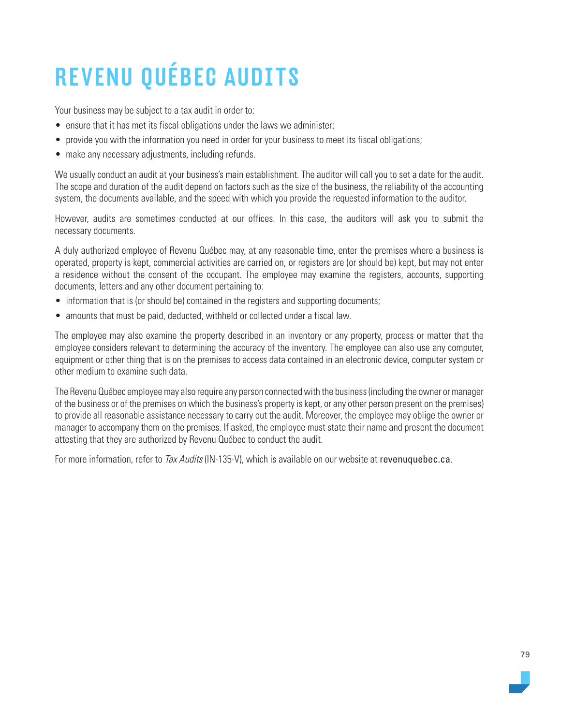# REVENU QUÉBEC AUDITS

Your business may be subject to a tax audit in order to:

- ensure that it has met its fiscal obligations under the laws we administer;
- provide you with the information you need in order for your business to meet its fiscal obligations;
- make any necessary adjustments, including refunds.

We usually conduct an audit at your business's main establishment. The auditor will call you to set a date for the audit. The scope and duration of the audit depend on factors such as the size of the business, the reliability of the accounting system, the documents available, and the speed with which you provide the requested information to the auditor.

However, audits are sometimes conducted at our offices. In this case, the auditors will ask you to submit the necessary documents.

A duly authorized employee of Revenu Québec may, at any reasonable time, enter the premises where a business is operated, property is kept, commercial activities are carried on, or registers are (or should be) kept, but may not enter a residence without the consent of the occupant. The employee may examine the registers, accounts, supporting documents, letters and any other document pertaining to:

- information that is (or should be) contained in the registers and supporting documents;
- amounts that must be paid, deducted, withheld or collected under a fiscal law.

The employee may also examine the property described in an inventory or any property, process or matter that the employee considers relevant to determining the accuracy of the inventory. The employee can also use any computer, equipment or other thing that is on the premises to access data contained in an electronic device, computer system or other medium to examine such data.

The Revenu Québec employee may also require any person connected with the business (including the owner or manager of the business or of the premises on which the business's property is kept, or any other person present on the premises) to provide all reasonable assistance necessary to carry out the audit. Moreover, the employee may oblige the owner or manager to accompany them on the premises. If asked, the employee must state their name and present the document attesting that they are authorized by Revenu Québec to conduct the audit.

For more information, refer to *Tax Audits* (IN-135-V), which is available on our website at [revenuquebec.ca](https://www.revenuquebec.ca/en/).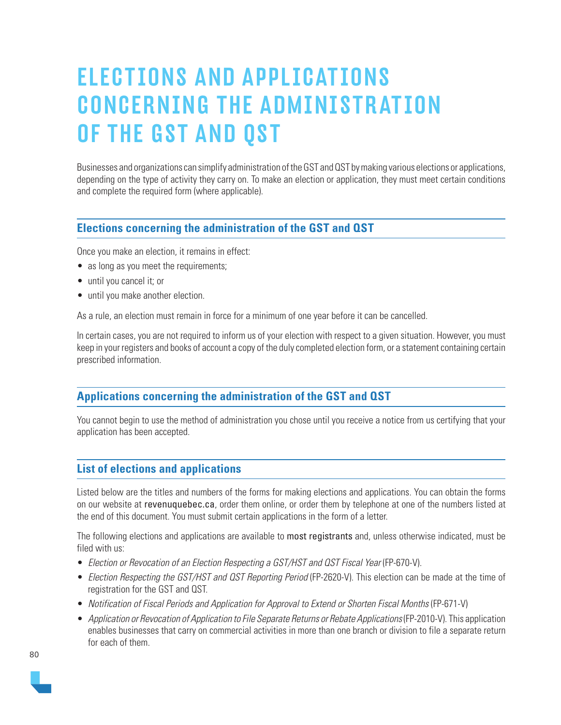# ELECTIONS AND APPLICATIONS CONCERNING THE ADMINISTRATION OF THE GST AND QST

Businesses and organizations can simplify administration of the GST and QST by making various elections or applications, depending on the type of activity they carry on. To make an election or application, they must meet certain conditions and complete the required form (where applicable).

# **Elections concerning the administration of the GST and QST**

Once you make an election, it remains in effect:

- as long as you meet the requirements;
- until you cancel it; or
- until you make another election.

As a rule, an election must remain in force for a minimum of one year before it can be cancelled.

In certain cases, you are not required to inform us of your election with respect to a given situation. However, you must keep in your registers and books of account a copy of the duly completed election form, or a statement containing certain prescribed information.

# **Applications concerning the administration of the GST and QST**

You cannot begin to use the method of administration you chose until you receive a notice from us certifying that your application has been accepted.

### **List of elections and applications**

Listed below are the titles and numbers of the forms for making elections and applications. You can obtain the forms on our website at [revenuquebec.ca](https://www.revenuquebec.ca/en/), order them online, or order them by telephone at one of the numbers listed at the end of this document. You must submit certain applications in the form of a letter.

The following elections and applications are available to most registrants and, unless otherwise indicated, must be filed with us:

- Election or Revocation of an Election Respecting a GST/HST and QST Fiscal Year (FP-670-V).
- Election Respecting the GST/HST and QST Reporting Period (FP-2620-V). This election can be made at the time of registration for the GST and QST.
- Notification of Fiscal Periods and Application for Approval to Extend or Shorten Fiscal Months (FP-671-V)
- Application or Revocation of Application to File Separate Returns or Rebate Applications (FP-2010-V). This application enables businesses that carry on commercial activities in more than one branch or division to file a separate return for each of them.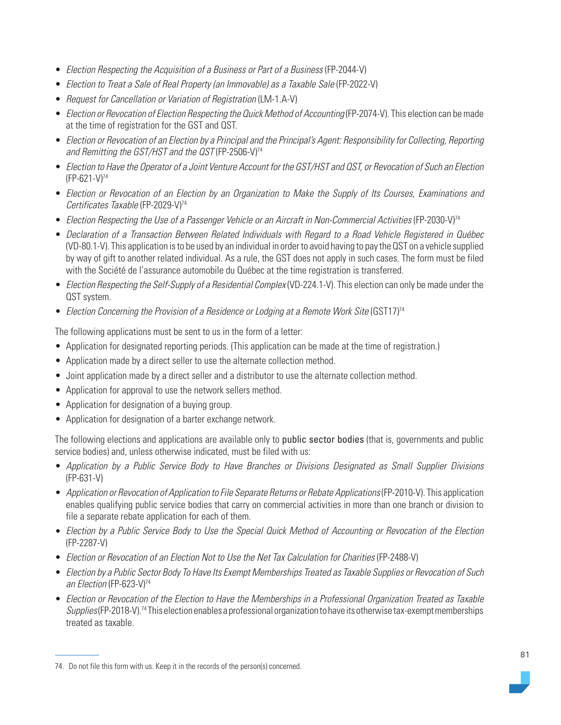- Election Respecting the Acquisition of a Business or Part of a Business (FP-2044-V)
- Election to Treat a Sale of Real Property (an Immovable) as a Taxable Sale (FP-2022-V)
- Request for Cancellation or Variation of Registration (LM-1.A-V)
- Election or Revocation of Election Respecting the Quick Method of Accounting (FP-2074-V). This election can be made at the time of registration for the GST and QST.
- Election or Revocation of an Election by a Principal and the Principal's Agent: Responsibility for Collecting, Reporting and Remitting the GST/HST and the OST (FP-2506-V)<sup>74</sup>
- Election to Have the Operator of a Joint Venture Account for the GST/HST and QST, or Revocation of Such an Election (FP-621-V)74
- Election or Revocation of an Election by an Organization to Make the Supply of Its Courses, Examinations and Certificates Taxable (FP-2029-V)<sup>74</sup>
- Election Respecting the Use of a Passenger Vehicle or an Aircraft in Non-Commercial Activities (FP-2030-V)<sup>74</sup>
- Declaration of a Transaction Between Related Individuals with Regard to a Road Vehicle Registered in Québec (VD-80.1-V). This application is to be used by an individual in order to avoid having to pay the QST on a vehicle supplied by way of gift to another related individual. As a rule, the GST does not apply in such cases. The form must be filed with the Société de l'assurance automobile du Québec at the time registration is transferred.
- Election Respecting the Self-Supply of a Residential Complex (VD-224.1-V). This election can only be made under the QST system.
- Election Concerning the Provision of a Residence or Lodging at a Remote Work Site (GST17)<sup>74</sup>

The following applications must be sent to us in the form of a letter:

- Application for designated reporting periods. (This application can be made at the time of registration.)
- Application made by a direct seller to use the alternate collection method.
- Joint application made by a direct seller and a distributor to use the alternate collection method.
- Application for approval to use the network sellers method.
- Application for designation of a buying group.
- Application for designation of a barter exchange network.

The following elections and applications are available only to public sector bodies (that is, governments and public service bodies) and, unless otherwise indicated, must be filed with us:

- Application by a Public Service Body to Have Branches or Divisions Designated as Small Supplier Divisions (FP-631-V)
- Application or Revocation of Application to File Separate Returns or Rebate Applications (FP-2010-V). This application enables qualifying public service bodies that carry on commercial activities in more than one branch or division to file a separate rebate application for each of them.
- Election by a Public Service Body to Use the Special Quick Method of Accounting or Revocation of the Election (FP-2287-V)
- Election or Revocation of an Election Not to Use the Net Tax Calculation for Charities (FP-2488-V)
- Election by a Public Sector Body To Have Its Exempt Memberships Treated as Taxable Supplies or Revocation of Such an Election (FP-623-V)<sup>74</sup>
- Election or Revocation of the Election to Have the Memberships in a Professional Organization Treated as Taxable Supplies (FP-2018-V).<sup>74</sup> This election enables a professional organization to have its otherwise tax-exempt memberships treated as taxable.

<sup>74.</sup> Do not file this form with us. Keep it in the records of the person(s) concerned.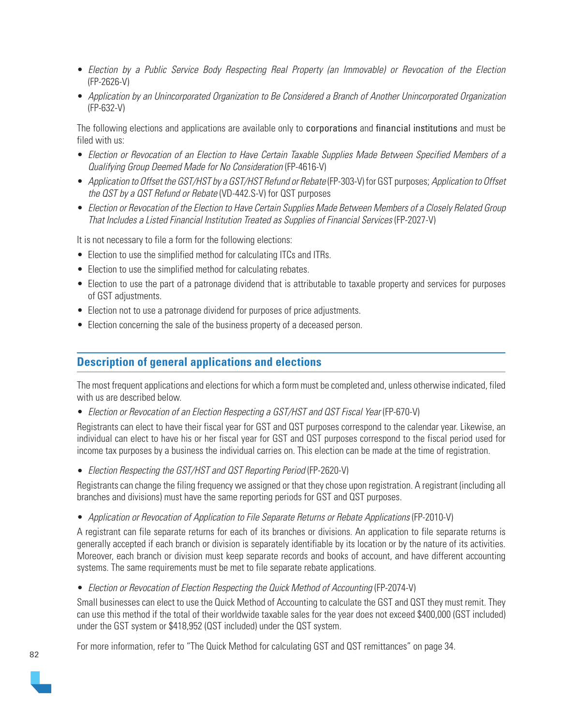- Election by a Public Service Body Respecting Real Property (an Immovable) or Revocation of the Election (FP-2626-V)
- Application by an Unincorporated Organization to Be Considered a Branch of Another Unincorporated Organization (FP-632-V)

The following elections and applications are available only to corporations and financial institutions and must be filed with us:

- Election or Revocation of an Election to Have Certain Taxable Supplies Made Between Specified Members of a Qualifying Group Deemed Made for No Consideration (FP-4616-V)
- Application to Offset the GST/HST by a GST/HST Refund or Rebate (FP-303-V) for GST purposes; Application to Offset the QST by a QST Refund or Rebate (VD-442.S-V) for QST purposes
- Election or Revocation of the Election to Have Certain Supplies Made Between Members of a Closely Related Group That Includes a Listed Financial Institution Treated as Supplies of Financial Services (FP-2027-V)

It is not necessary to file a form for the following elections:

- Election to use the simplified method for calculating ITCs and ITRs.
- Election to use the simplified method for calculating rebates.
- Election to use the part of a patronage dividend that is attributable to taxable property and services for purposes of GST adjustments.
- Election not to use a patronage dividend for purposes of price adjustments.
- Election concerning the sale of the business property of a deceased person.

## **Description of general applications and elections**

The most frequent applications and elections for which a form must be completed and, unless otherwise indicated, filed with us are described below.

• Election or Revocation of an Election Respecting a GST/HST and QST Fiscal Year (FP-670-V)

Registrants can elect to have their fiscal year for GST and QST purposes correspond to the calendar year. Likewise, an individual can elect to have his or her fiscal year for GST and QST purposes correspond to the fiscal period used for income tax purposes by a business the individual carries on. This election can be made at the time of registration.

• Election Respecting the GST/HST and QST Reporting Period (FP-2620-V)

Registrants can change the filing frequency we assigned or that they chose upon registration. A registrant (including all branches and divisions) must have the same reporting periods for GST and QST purposes.

• Application or Revocation of Application to File Separate Returns or Rebate Applications (FP-2010-V)

A registrant can file separate returns for each of its branches or divisions. An application to file separate returns is generally accepted if each branch or division is separately identifiable by its location or by the nature of its activities. Moreover, each branch or division must keep separate records and books of account, and have different accounting systems. The same requirements must be met to file separate rebate applications.

• Election or Revocation of Election Respecting the Quick Method of Accounting (FP-2074-V)

Small businesses can elect to use the Quick Method of Accounting to calculate the GST and QST they must remit. They can use this method if the total of their worldwide taxable sales for the year does not exceed \$400,000 (GST included) under the GST system or \$418,952 (QST included) under the QST system.

For more information, refer to "The Quick Method for calculating GST and QST remittances" on page 34.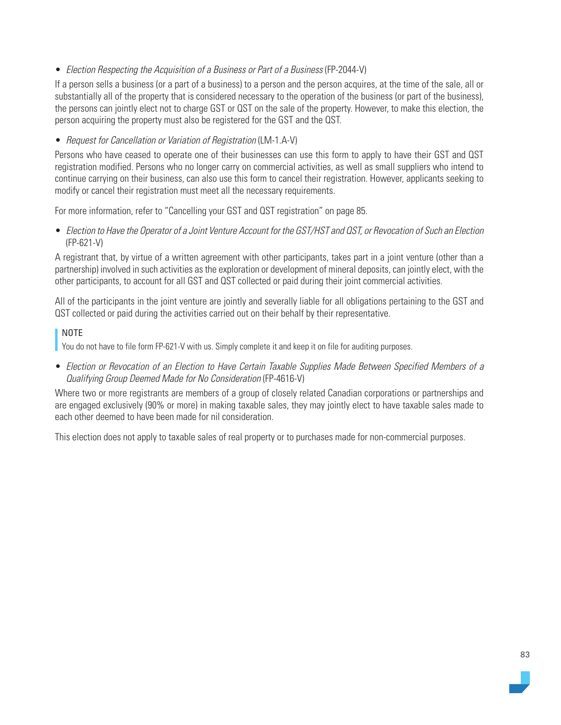• Election Respecting the Acquisition of a Business or Part of a Business (FP-2044-V)

If a person sells a business (or a part of a business) to a person and the person acquires, at the time of the sale, all or substantially all of the property that is considered necessary to the operation of the business (or part of the business), the persons can jointly elect not to charge GST or QST on the sale of the property. However, to make this election, the person acquiring the property must also be registered for the GST and the QST.

### • Request for Cancellation or Variation of Registration (LM-1.A-V)

Persons who have ceased to operate one of their businesses can use this form to apply to have their GST and QST registration modified. Persons who no longer carry on commercial activities, as well as small suppliers who intend to continue carrying on their business, can also use this form to cancel their registration. However, applicants seeking to modify or cancel their registration must meet all the necessary requirements.

For more information, refer to "Cancelling your GST and QST registration" on page 85.

• Election to Have the Operator of a Joint Venture Account for the GST/HST and QST, or Revocation of Such an Election (FP-621-V)

A registrant that, by virtue of a written agreement with other participants, takes part in a joint venture (other than a partnership) involved in such activities as the exploration or development of mineral deposits, can jointly elect, with the other participants, to account for all GST and QST collected or paid during their joint commercial activities.

All of the participants in the joint venture are jointly and severally liable for all obligations pertaining to the GST and QST collected or paid during the activities carried out on their behalf by their representative.

### NOTE

You do not have to file form FP-621-V with us. Simply complete it and keep it on file for auditing purposes.

• Election or Revocation of an Election to Have Certain Taxable Supplies Made Between Specified Members of a Qualifying Group Deemed Made for No Consideration (FP-4616-V)

Where two or more registrants are members of a group of closely related Canadian corporations or partnerships and are engaged exclusively (90% or more) in making taxable sales, they may jointly elect to have taxable sales made to each other deemed to have been made for nil consideration.

This election does not apply to taxable sales of real property or to purchases made for non-commercial purposes.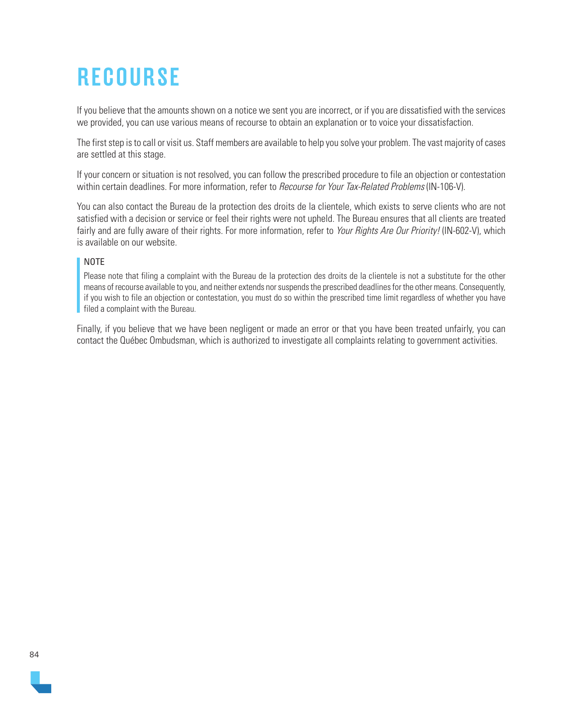# **RECOURSE**

If you believe that the amounts shown on a notice we sent you are incorrect, or if you are dissatisfied with the services we provided, you can use various means of recourse to obtain an explanation or to voice your dissatisfaction.

The first step is to call or visit us. Staff members are available to help you solve your problem. The vast majority of cases are settled at this stage.

If your concern or situation is not resolved, you can follow the prescribed procedure to file an objection or contestation within certain deadlines. For more information, refer to *Recourse for Your Tax-Related Problems* (IN-106-V).

You can also contact the Bureau de la protection des droits de la clientele, which exists to serve clients who are not satisfied with a decision or service or feel their rights were not upheld. The Bureau ensures that all clients are treated fairly and are fully aware of their rights. For more information, refer to Your Rights Are Our Priority! (IN-602-V), which is available on our website.

### NOTE

Please note that filing a complaint with the Bureau de la protection des droits de la clientele is not a substitute for the other means of recourse available to you, and neither extends nor suspends the prescribed deadlines for the other means. Consequently, if you wish to file an objection or contestation, you must do so within the prescribed time limit regardless of whether you have filed a complaint with the Bureau.

Finally, if you believe that we have been negligent or made an error or that you have been treated unfairly, you can contact the Québec Ombudsman, which is authorized to investigate all complaints relating to government activities.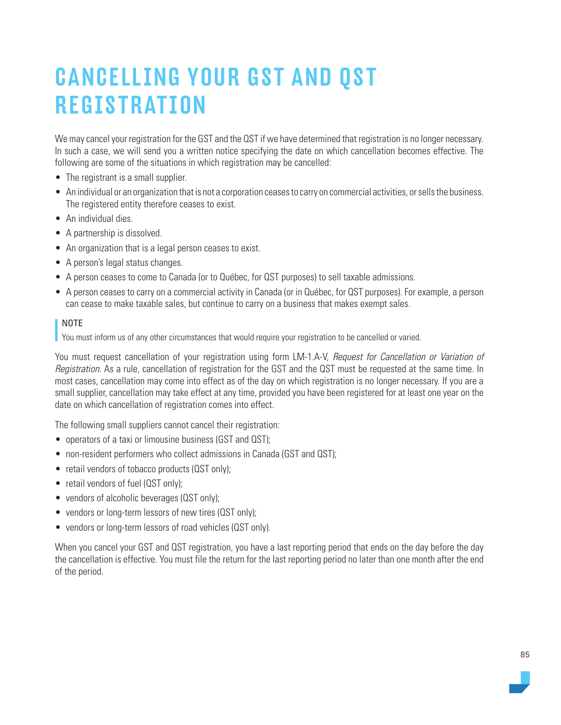# CANCELLING YOUR GST AND QST **REGISTRATION**

We may cancel your registration for the GST and the QST if we have determined that registration is no longer necessary. In such a case, we will send you a written notice specifying the date on which cancellation becomes effective. The following are some of the situations in which registration may be cancelled:

- The registrant is a small supplier.
- An individual or an organization that is not a corporation ceases to carry on commercial activities, or sells the business. The registered entity therefore ceases to exist.
- An individual dies.
- A partnership is dissolved.
- An organization that is a legal person ceases to exist.
- A person's legal status changes.
- A person ceases to come to Canada (or to Québec, for QST purposes) to sell taxable admissions.
- A person ceases to carry on a commercial activity in Canada (or in Québec, for QST purposes). For example, a person can cease to make taxable sales, but continue to carry on a business that makes exempt sales.

### NOTE

You must inform us of any other circumstances that would require your registration to be cancelled or varied.

You must request cancellation of your registration using form LM-1.A-V, Request for Cancellation or Variation of Registration. As a rule, cancellation of registration for the GST and the QST must be requested at the same time. In most cases, cancellation may come into effect as of the day on which registration is no longer necessary. If you are a small supplier, cancellation may take effect at any time, provided you have been registered for at least one year on the date on which cancellation of registration comes into effect.

The following small suppliers cannot cancel their registration:

- operators of a taxi or limousine business (GST and QST);
- non-resident performers who collect admissions in Canada (GST and QST);
- retail vendors of tobacco products (QST only);
- retail vendors of fuel (QST only);
- vendors of alcoholic beverages (QST only);
- vendors or long-term lessors of new tires (QST only);
- vendors or long-term lessors of road vehicles (QST only).

When you cancel your GST and QST registration, you have a last reporting period that ends on the day before the day the cancellation is effective. You must file the return for the last reporting period no later than one month after the end of the period.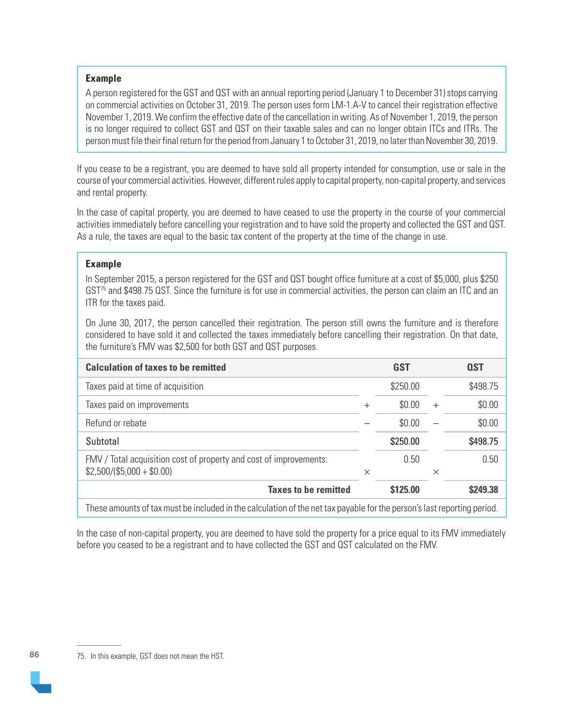### **Example**

A person registered for the GST and QST with an annual reporting period (January 1 to December 31) stops carrying on commercial activities on October 31, 2019. The person uses form LM-1.A-V to cancel their registration effective November 1, 2019. We confirm the effective date of the cancellation in writing. As of November 1, 2019, the person is no longer required to collect GST and QST on their taxable sales and can no longer obtain ITCs and ITRs. The person must file their final return for the period from January 1 to October 31, 2019, no later than November 30, 2019.

If you cease to be a registrant, you are deemed to have sold all property intended for consumption, use or sale in the course of your commercial activities. However, different rules apply to capital property, non-capital property, and services and rental property.

In the case of capital property, you are deemed to have ceased to use the property in the course of your commercial activities immediately before cancelling your registration and to have sold the property and collected the GST and QST. As a rule, the taxes are equal to the basic tax content of the property at the time of the change in use.

### **Example**

In September 2015, a person registered for the GST and QST bought office furniture at a cost of \$5,000, plus \$250 GST75 and \$498.75 QST. Since the furniture is for use in commercial activities, the person can claim an ITC and an ITR for the taxes paid.

On June 30, 2017, the person cancelled their registration. The person still owns the furniture and is therefore considered to have sold it and collected the taxes immediately before cancelling their registration. On that date, the furniture's FMV was \$2,500 for both GST and QST purposes.

| <b>Calculation of taxes to be remitted</b>                                                                              |          | GST      |          | <b>QST</b> |
|-------------------------------------------------------------------------------------------------------------------------|----------|----------|----------|------------|
| Taxes paid at time of acquisition                                                                                       |          | \$250.00 |          | \$498.75   |
| Taxes paid on improvements                                                                                              | $^{+}$   | \$0.00   | $^{+}$   | \$0.00     |
| Refund or rebate                                                                                                        |          | \$0.00   |          | \$0.00     |
| Subtotal                                                                                                                |          | \$250.00 |          | \$498.75   |
| FMV / Total acquisition cost of property and cost of improvements:<br>$$2,500/($5,000 + $0.00)$                         | $\times$ | 0.50     | $\times$ | 0.50       |
| <b>Taxes to be remitted</b>                                                                                             |          | \$125.00 |          | \$249.38   |
| These amounts of tax must be included in the calculation of the net tax payable for the person's last reporting period. |          |          |          |            |

In the case of non-capital property, you are deemed to have sold the property for a price equal to its FMV immediately before you ceased to be a registrant and to have collected the GST and QST calculated on the FMV.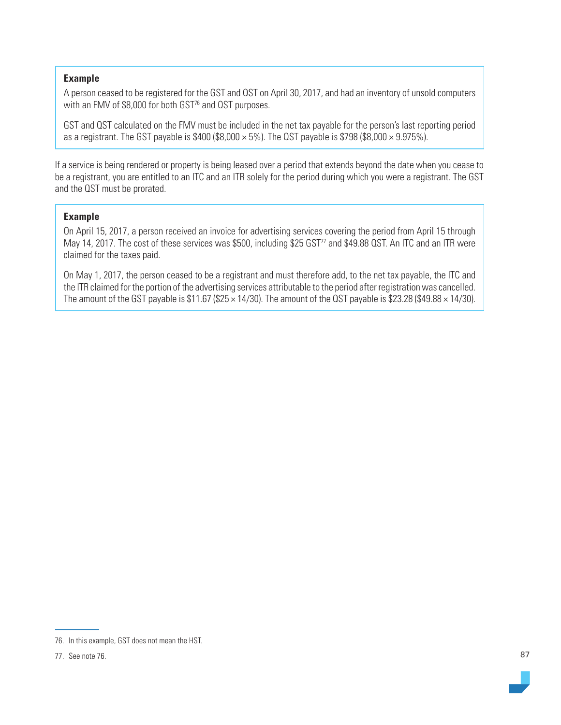### **Example**

A person ceased to be registered for the GST and QST on April 30, 2017, and had an inventory of unsold computers with an FMV of \$8,000 for both GST<sup>76</sup> and QST purposes.

GST and QST calculated on the FMV must be included in the net tax payable for the person's last reporting period as a registrant. The GST payable is  $$400 ( $8,000 \times 5\%)$ . The QST payable is \$798 (\$8,000  $\times$  9.975%).

If a service is being rendered or property is being leased over a period that extends beyond the date when you cease to be a registrant, you are entitled to an ITC and an ITR solely for the period during which you were a registrant. The GST and the QST must be prorated.

### **Example**

On April 15, 2017, a person received an invoice for advertising services covering the period from April 15 through May 14, 2017. The cost of these services was \$500, including \$25 GST<sup>77</sup> and \$49.88 QST. An ITC and an ITR were claimed for the taxes paid.

On May 1, 2017, the person ceased to be a registrant and must therefore add, to the net tax payable, the ITC and the ITR claimed for the portion of the advertising services attributable to the period after registration was cancelled. The amount of the GST payable is  $$11.67$  ( $$25 \times 14/30$ ). The amount of the QST payable is  $$23.28$  ( $$49.88 \times 14/30$ ).

<sup>76.</sup> In this example, GST does not mean the HST.

<sup>77.</sup> See note 76.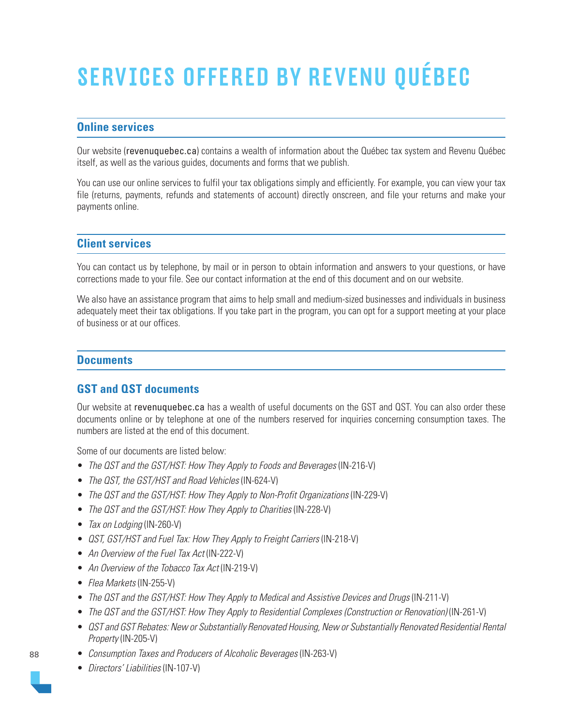# SERVICES OFFERED BY REVENU QUÉBEC

# **Online services**

Our website ([revenuquebec.ca](https://www.revenuquebec.ca/en/)) contains a wealth of information about the Québec tax system and Revenu Québec itself, as well as the various guides, documents and forms that we publish.

You can use our online services to fulfil your tax obligations simply and efficiently. For example, you can view your tax file (returns, payments, refunds and statements of account) directly onscreen, and file your returns and make your payments online.

## **Client services**

You can contact us by telephone, by mail or in person to obtain information and answers to your questions, or have corrections made to your file. See our contact information at the end of this document and on our website.

We also have an assistance program that aims to help small and medium-sized businesses and individuals in business adequately meet their tax obligations. If you take part in the program, you can opt for a support meeting at your place of business or at our offices.

## **Documents**

# **GST and QST documents**

Our website at [revenuquebec.ca](https://www.revenuquebec.ca/en/) has a wealth of useful documents on the GST and QST. You can also order these documents online or by telephone at one of the numbers reserved for inquiries concerning consumption taxes. The numbers are listed at the end of this document.

Some of our documents are listed below:

- The QST and the GST/HST: How They Apply to Foods and Beverages (IN-216-V)
- The QST, the GST/HST and Road Vehicles (IN-624-V)
- The QST and the GST/HST: How They Apply to Non-Profit Organizations (IN-229-V)
- The QST and the GST/HST: How They Apply to Charities (IN-228-V)
- Tax on Lodging (IN-260-V)
- *QST, GST/HST and Fuel Tax: How They Apply to Freight Carriers* (IN-218-V)
- An Overview of the Fuel Tax Act (IN-222-V)
- An Overview of the Tobacco Tax Act (IN-219-V)
- Flea Markets (IN-255-V)
- The QST and the GST/HST: How They Apply to Medical and Assistive Devices and Drugs (IN-211-V)
- The QST and the GST/HST: How They Apply to Residential Complexes (Construction or Renovation) (IN-261-V)
- QST and GST Rebates: New or Substantially Renovated Housing, New or Substantially Renovated Residential Rental Property (IN-205-V)
- Consumption Taxes and Producers of Alcoholic Beverages (IN-263-V)
- Directors' Liabilities (IN-107-V)



88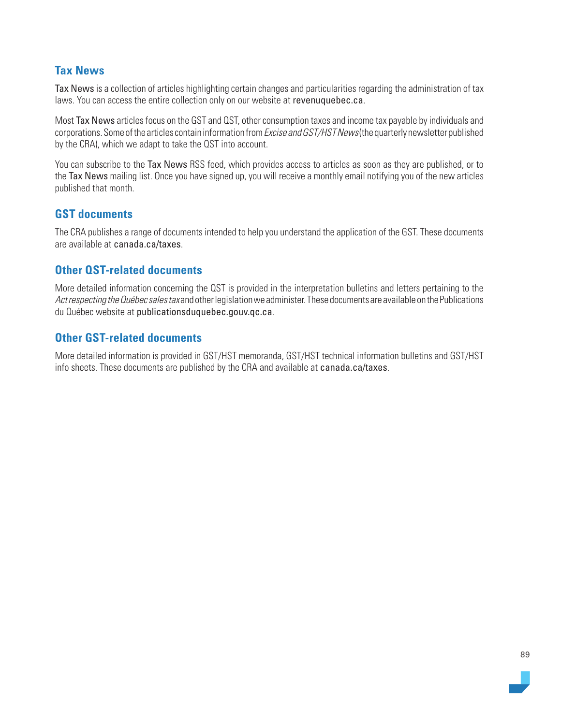# **Tax News**

Tax News is a collection of articles highlighting certain changes and particularities regarding the administration of tax laws. You can access the entire collection only on our website at [revenuquebec.ca](https://www.revenuquebec.ca/en/).

Most Tax News articles focus on the GST and QST, other consumption taxes and income tax payable by individuals and corporations. Some of the articles contain information from *Excise and GST/HST News* (the quarterly newsletter published by the CRA), which we adapt to take the QST into account.

You can subscribe to the Tax News RSS feed, which provides access to articles as soon as they are published, or to the Tax News mailing list. Once you have signed up, you will receive a monthly email notifying you of the new articles published that month.

# **GST documents**

The CRA publishes a range of documents intended to help you understand the application of the GST. These documents are available at [canada.ca/taxes](https://www.canada.ca/en/services/taxes.html).

# **Other QST-related documents**

More detailed information concerning the QST is provided in the interpretation bulletins and letters pertaining to the Act respecting the Québec sales tax and other legislation we administer. These documents are available on the Publications du Québec website at [publicationsduquebec.gouv.qc.ca](https://www.publicationsduquebec.gouv.qc.ca/cspq/).

# **Other GST-related documents**

More detailed information is provided in GST/HST memoranda, GST/HST technical information bulletins and GST/HST info sheets. These documents are published by the CRA and available at [canada.ca/taxes](https://www.canada.ca/en/services/taxes.html).